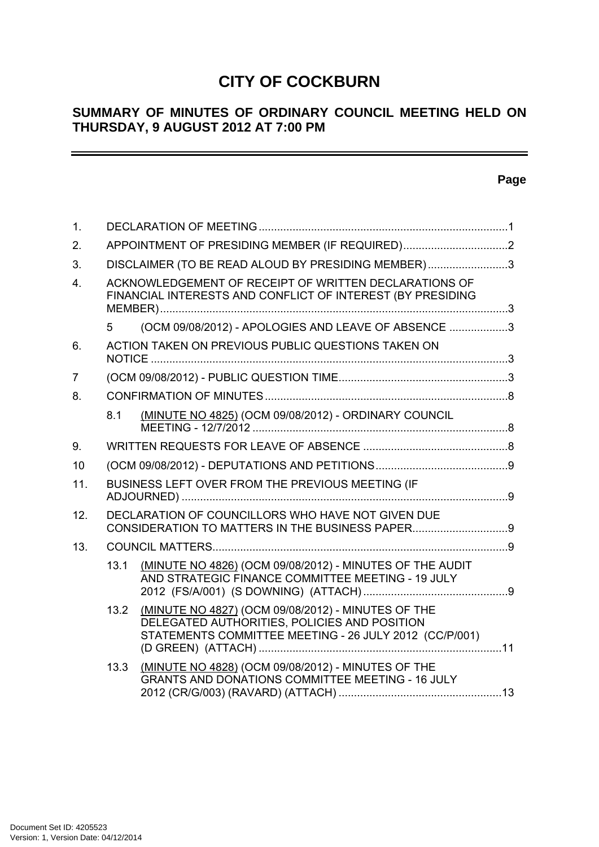# **CITY OF COCKBURN**

## **SUMMARY OF MINUTES OF ORDINARY COUNCIL MEETING HELD ON THURSDAY, 9 AUGUST 2012 AT 7:00 PM**

## **Page**

| 1.               |      |                                                                                                                                                              |  |
|------------------|------|--------------------------------------------------------------------------------------------------------------------------------------------------------------|--|
| 2.               |      | APPOINTMENT OF PRESIDING MEMBER (IF REQUIRED)2                                                                                                               |  |
| 3.               |      | DISCLAIMER (TO BE READ ALOUD BY PRESIDING MEMBER)3                                                                                                           |  |
| $\overline{4}$ . |      | ACKNOWLEDGEMENT OF RECEIPT OF WRITTEN DECLARATIONS OF<br>FINANCIAL INTERESTS AND CONFLICT OF INTEREST (BY PRESIDING                                          |  |
|                  | 5    | (OCM 09/08/2012) - APOLOGIES AND LEAVE OF ABSENCE 3                                                                                                          |  |
| 6.               |      | ACTION TAKEN ON PREVIOUS PUBLIC QUESTIONS TAKEN ON                                                                                                           |  |
| $\overline{7}$   |      |                                                                                                                                                              |  |
| 8.               |      |                                                                                                                                                              |  |
|                  | 8.1  | (MINUTE NO 4825) (OCM 09/08/2012) - ORDINARY COUNCIL                                                                                                         |  |
| 9.               |      |                                                                                                                                                              |  |
| 10               |      |                                                                                                                                                              |  |
| 11.              |      | BUSINESS LEFT OVER FROM THE PREVIOUS MEETING (IF                                                                                                             |  |
| 12.              |      | DECLARATION OF COUNCILLORS WHO HAVE NOT GIVEN DUE                                                                                                            |  |
| 13.              |      |                                                                                                                                                              |  |
|                  | 13.1 | (MINUTE NO 4826) (OCM 09/08/2012) - MINUTES OF THE AUDIT<br>AND STRATEGIC FINANCE COMMITTEE MEETING - 19 JULY                                                |  |
|                  | 13.2 | (MINUTE NO 4827) (OCM 09/08/2012) - MINUTES OF THE<br>DELEGATED AUTHORITIES, POLICIES AND POSITION<br>STATEMENTS COMMITTEE MEETING - 26 JULY 2012 (CC/P/001) |  |
|                  | 13.3 | (MINUTE NO 4828) (OCM 09/08/2012) - MINUTES OF THE<br><b>GRANTS AND DONATIONS COMMITTEE MEETING - 16 JULY</b>                                                |  |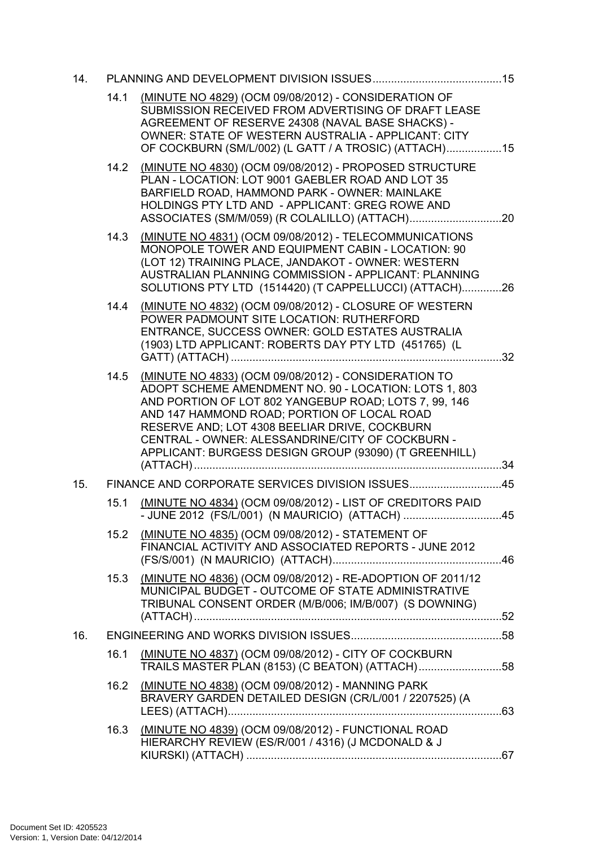| 14. |      |                                                                                                                                                                                                                                                                                                                                                                                     |  |
|-----|------|-------------------------------------------------------------------------------------------------------------------------------------------------------------------------------------------------------------------------------------------------------------------------------------------------------------------------------------------------------------------------------------|--|
|     | 14.1 | (MINUTE NO 4829) (OCM 09/08/2012) - CONSIDERATION OF<br>SUBMISSION RECEIVED FROM ADVERTISING OF DRAFT LEASE<br>AGREEMENT OF RESERVE 24308 (NAVAL BASE SHACKS) -<br>OWNER: STATE OF WESTERN AUSTRALIA - APPLICANT: CITY<br>OF COCKBURN (SM/L/002) (L GATT / A TROSIC) (ATTACH)15                                                                                                     |  |
|     | 14.2 | (MINUTE NO 4830) (OCM 09/08/2012) - PROPOSED STRUCTURE<br>PLAN - LOCATION: LOT 9001 GAEBLER ROAD AND LOT 35<br>BARFIELD ROAD, HAMMOND PARK - OWNER: MAINLAKE<br>HOLDINGS PTY LTD AND - APPLICANT: GREG ROWE AND                                                                                                                                                                     |  |
|     | 14.3 | (MINUTE NO 4831) (OCM 09/08/2012) - TELECOMMUNICATIONS<br>MONOPOLE TOWER AND EQUIPMENT CABIN - LOCATION: 90<br>(LOT 12) TRAINING PLACE, JANDAKOT - OWNER: WESTERN<br>AUSTRALIAN PLANNING COMMISSION - APPLICANT: PLANNING<br>SOLUTIONS PTY LTD (1514420) (T CAPPELLUCCI) (ATTACH)26                                                                                                 |  |
|     | 14.4 | (MINUTE NO 4832) (OCM 09/08/2012) - CLOSURE OF WESTERN<br>POWER PADMOUNT SITE LOCATION: RUTHERFORD<br>ENTRANCE, SUCCESS OWNER: GOLD ESTATES AUSTRALIA<br>(1903) LTD APPLICANT: ROBERTS DAY PTY LTD (451765) (L                                                                                                                                                                      |  |
|     | 14.5 | (MINUTE NO 4833) (OCM 09/08/2012) - CONSIDERATION TO<br>ADOPT SCHEME AMENDMENT NO. 90 - LOCATION: LOTS 1, 803<br>AND PORTION OF LOT 802 YANGEBUP ROAD; LOTS 7, 99, 146<br>AND 147 HAMMOND ROAD; PORTION OF LOCAL ROAD<br>RESERVE AND; LOT 4308 BEELIAR DRIVE, COCKBURN<br>CENTRAL - OWNER: ALESSANDRINE/CITY OF COCKBURN -<br>APPLICANT: BURGESS DESIGN GROUP (93090) (T GREENHILL) |  |
| 15. |      | FINANCE AND CORPORATE SERVICES DIVISION ISSUES45                                                                                                                                                                                                                                                                                                                                    |  |
|     | 15.1 | (MINUTE NO 4834) (OCM 09/08/2012) - LIST OF CREDITORS PAID<br>- JUNE 2012 (FS/L/001) (N MAURICIO) (ATTACH) 45                                                                                                                                                                                                                                                                       |  |
|     | 15.2 | (MINUTE NO 4835) (OCM 09/08/2012) - STATEMENT OF<br>FINANCIAL ACTIVITY AND ASSOCIATED REPORTS - JUNE 2012                                                                                                                                                                                                                                                                           |  |
|     | 15.3 | (MINUTE NO 4836) (OCM 09/08/2012) - RE-ADOPTION OF 2011/12<br>MUNICIPAL BUDGET - OUTCOME OF STATE ADMINISTRATIVE<br>TRIBUNAL CONSENT ORDER (M/B/006; IM/B/007) (S DOWNING)                                                                                                                                                                                                          |  |
| 16. |      |                                                                                                                                                                                                                                                                                                                                                                                     |  |
|     | 16.1 | (MINUTE NO 4837) (OCM 09/08/2012) - CITY OF COCKBURN<br>TRAILS MASTER PLAN (8153) (C BEATON) (ATTACH)58                                                                                                                                                                                                                                                                             |  |
|     | 16.2 | (MINUTE NO 4838) (OCM 09/08/2012) - MANNING PARK<br>BRAVERY GARDEN DETAILED DESIGN (CR/L/001 / 2207525) (A                                                                                                                                                                                                                                                                          |  |
|     | 16.3 | (MINUTE NO 4839) (OCM 09/08/2012) - FUNCTIONAL ROAD<br>HIERARCHY REVIEW (ES/R/001 / 4316) (J MCDONALD & J                                                                                                                                                                                                                                                                           |  |
|     |      |                                                                                                                                                                                                                                                                                                                                                                                     |  |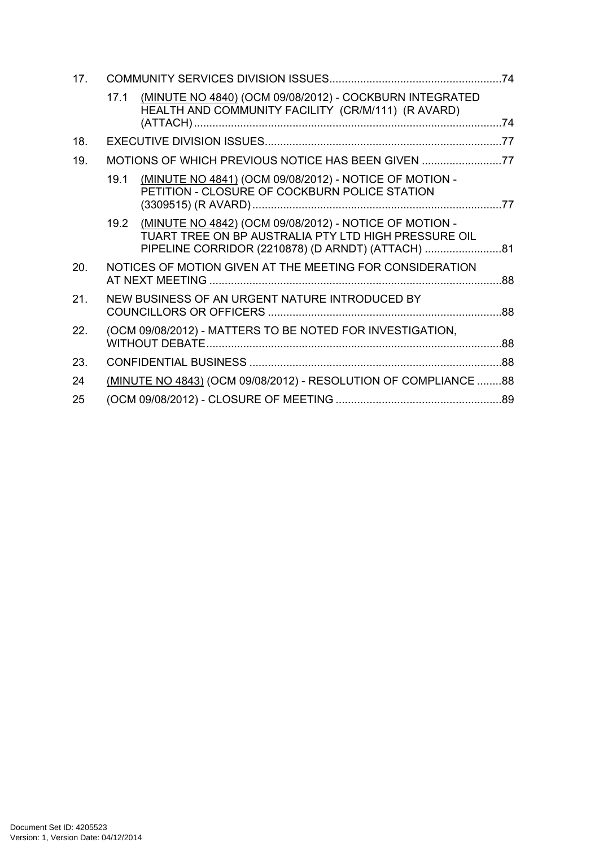| 17 <sub>1</sub> |                                                |                                                                                                                                                                  |  |
|-----------------|------------------------------------------------|------------------------------------------------------------------------------------------------------------------------------------------------------------------|--|
|                 | 17.1                                           | (MINUTE NO 4840) (OCM 09/08/2012) - COCKBURN INTEGRATED<br>HEALTH AND COMMUNITY FACILITY (CR/M/111) (R AVARD)                                                    |  |
| 18.             |                                                |                                                                                                                                                                  |  |
| 19.             |                                                | MOTIONS OF WHICH PREVIOUS NOTICE HAS BEEN GIVEN 77                                                                                                               |  |
|                 | 19.1                                           | (MINUTE NO 4841) (OCM 09/08/2012) - NOTICE OF MOTION -<br>PETITION - CLOSURE OF COCKBURN POLICE STATION                                                          |  |
|                 | 19.2                                           | (MINUTE NO 4842) (OCM 09/08/2012) - NOTICE OF MOTION -<br>TUART TREE ON BP AUSTRALIA PTY LTD HIGH PRESSURE OIL<br>PIPELINE CORRIDOR (2210878) (D ARNDT) (ATTACH) |  |
| 20              |                                                | NOTICES OF MOTION GIVEN AT THE MEETING FOR CONSIDERATION                                                                                                         |  |
| 21.             | NEW BUSINESS OF AN URGENT NATURE INTRODUCED BY |                                                                                                                                                                  |  |
| 22.             |                                                | (OCM 09/08/2012) - MATTERS TO BE NOTED FOR INVESTIGATION,                                                                                                        |  |
| 23.             |                                                |                                                                                                                                                                  |  |
| 24              |                                                | (MINUTE NO 4843) (OCM 09/08/2012) - RESOLUTION OF COMPLIANCE 88                                                                                                  |  |
| 25              |                                                |                                                                                                                                                                  |  |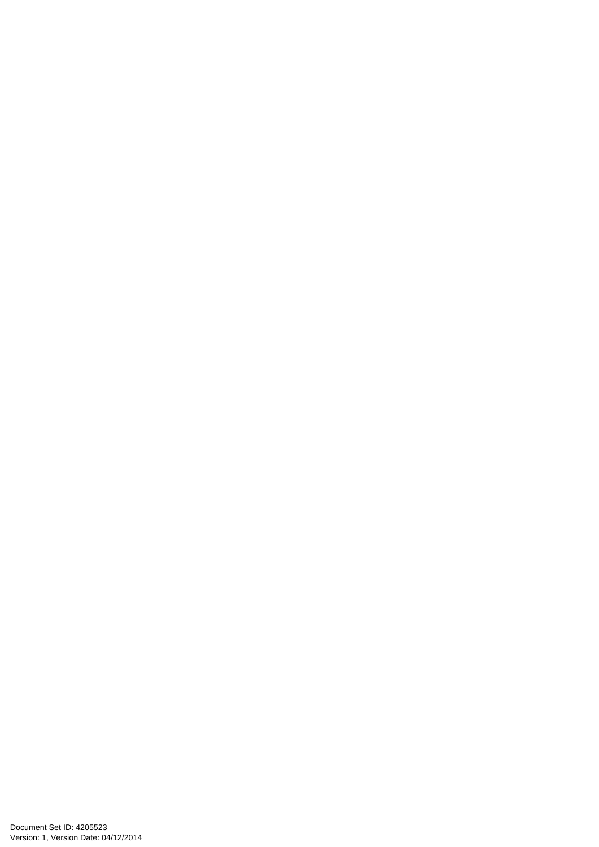Document Set ID: 4205523<br>Version: 1, Version Date: 04/12/2014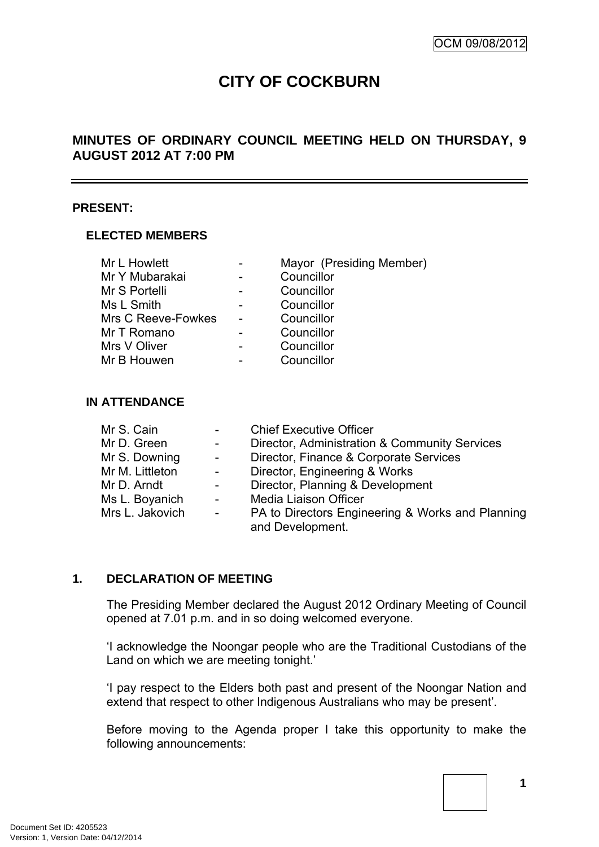# **CITY OF COCKBURN**

## **MINUTES OF ORDINARY COUNCIL MEETING HELD ON THURSDAY, 9 AUGUST 2012 AT 7:00 PM**

#### **PRESENT:**

#### **ELECTED MEMBERS**

| Mr L Howlett       | Mayor (Presiding Member) |
|--------------------|--------------------------|
| Mr Y Mubarakai     | Councillor               |
| Mr S Portelli      | Councillor               |
| Ms L Smith         | Councillor               |
| Mrs C Reeve-Fowkes | Councillor               |
| Mr T Romano        | Councillor               |
| Mrs V Oliver       | Councillor               |
| Mr B Houwen        | Councillor               |

#### **IN ATTENDANCE**

| Mr S. Cain      |                          | <b>Chief Executive Officer</b>                                       |
|-----------------|--------------------------|----------------------------------------------------------------------|
| Mr D. Green     | $\sim$                   | Director, Administration & Community Services                        |
| Mr S. Downing   | $\sim$                   | Director, Finance & Corporate Services                               |
| Mr M. Littleton | $\sim$                   | Director, Engineering & Works                                        |
| Mr D. Arndt     | $\overline{\phantom{0}}$ | Director, Planning & Development                                     |
| Ms L. Boyanich  | $\sim$ $-$               | Media Liaison Officer                                                |
| Mrs L. Jakovich | $\sim$ $-$               | PA to Directors Engineering & Works and Planning<br>and Development. |

## **1. DECLARATION OF MEETING**

The Presiding Member declared the August 2012 Ordinary Meeting of Council opened at 7.01 p.m. and in so doing welcomed everyone.

'I acknowledge the Noongar people who are the Traditional Custodians of the Land on which we are meeting tonight.'

'I pay respect to the Elders both past and present of the Noongar Nation and extend that respect to other Indigenous Australians who may be present'.

Before moving to the Agenda proper I take this opportunity to make the following announcements: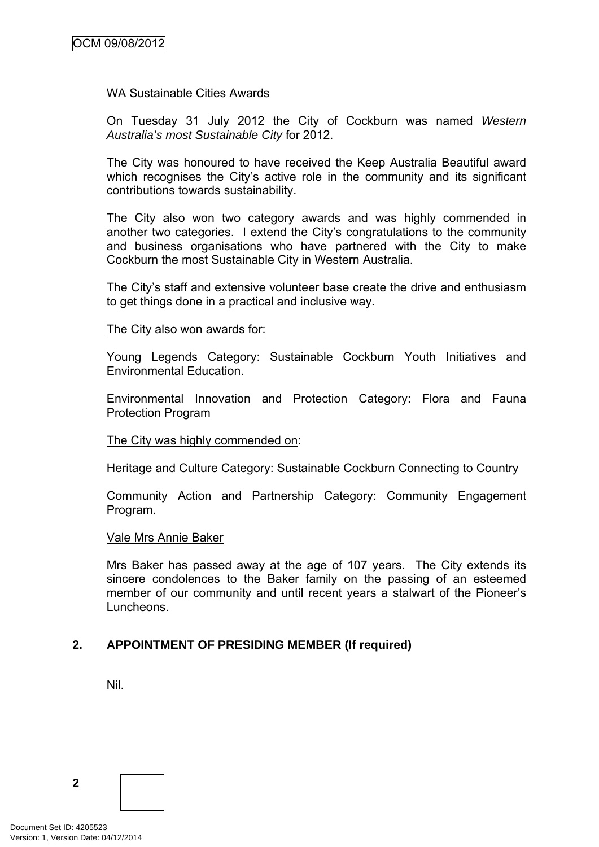#### WA Sustainable Cities Awards

On Tuesday 31 July 2012 the City of Cockburn was named *Western Australia's most Sustainable City* for 2012.

The City was honoured to have received the Keep Australia Beautiful award which recognises the City's active role in the community and its significant contributions towards sustainability.

The City also won two category awards and was highly commended in another two categories. I extend the City's congratulations to the community and business organisations who have partnered with the City to make Cockburn the most Sustainable City in Western Australia.

The City's staff and extensive volunteer base create the drive and enthusiasm to get things done in a practical and inclusive way.

#### The City also won awards for:

Young Legends Category: Sustainable Cockburn Youth Initiatives and Environmental Education.

Environmental Innovation and Protection Category: Flora and Fauna Protection Program

#### The City was highly commended on:

Heritage and Culture Category: Sustainable Cockburn Connecting to Country

Community Action and Partnership Category: Community Engagement Program.

#### Vale Mrs Annie Baker

Mrs Baker has passed away at the age of 107 years. The City extends its sincere condolences to the Baker family on the passing of an esteemed member of our community and until recent years a stalwart of the Pioneer's Luncheons.

#### **2. APPOINTMENT OF PRESIDING MEMBER (If required)**

Nil.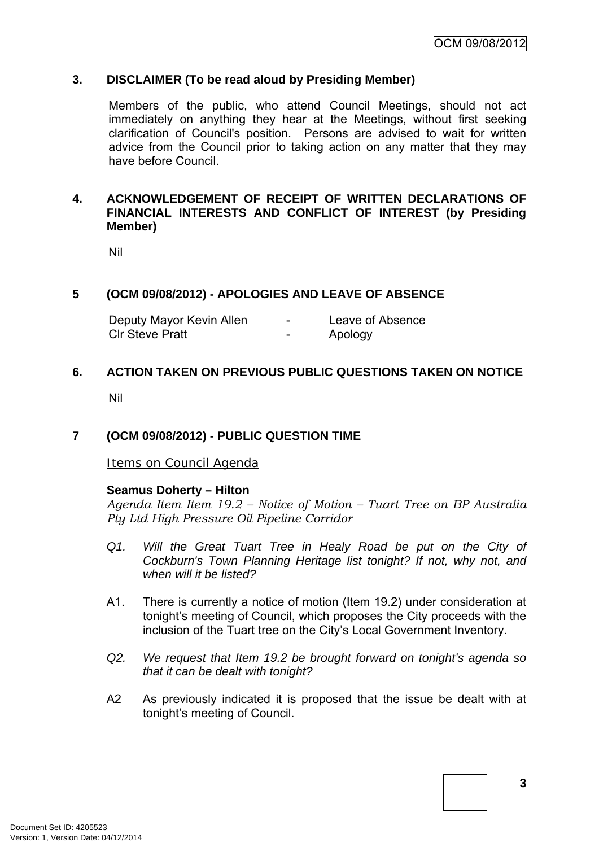#### **3. DISCLAIMER (To be read aloud by Presiding Member)**

Members of the public, who attend Council Meetings, should not act immediately on anything they hear at the Meetings, without first seeking clarification of Council's position. Persons are advised to wait for written advice from the Council prior to taking action on any matter that they may have before Council.

#### **4. ACKNOWLEDGEMENT OF RECEIPT OF WRITTEN DECLARATIONS OF FINANCIAL INTERESTS AND CONFLICT OF INTEREST (by Presiding Member)**

Nil

## **5 (OCM 09/08/2012) - APOLOGIES AND LEAVE OF ABSENCE**

| Deputy Mayor Kevin Allen | $\overline{\phantom{0}}$ | Leave of Absence |
|--------------------------|--------------------------|------------------|
| Clr Steve Pratt          | -                        | Apology          |

#### **6. ACTION TAKEN ON PREVIOUS PUBLIC QUESTIONS TAKEN ON NOTICE**

Nil

#### **7 (OCM 09/08/2012) - PUBLIC QUESTION TIME**

*Items on Council Agenda*

#### **Seamus Doherty – Hilton**

*Agenda Item Item 19.2 – Notice of Motion – Tuart Tree on BP Australia Pty Ltd High Pressure Oil Pipeline Corridor* 

- *Q1. Will the Great Tuart Tree in Healy Road be put on the City of Cockburn's Town Planning Heritage list tonight? If not, why not, and when will it be listed?*
- A1. There is currently a notice of motion (Item 19.2) under consideration at tonight's meeting of Council, which proposes the City proceeds with the inclusion of the Tuart tree on the City's Local Government Inventory.
- *Q2. We request that Item 19.2 be brought forward on tonight's agenda so that it can be dealt with tonight?*
- A2 As previously indicated it is proposed that the issue be dealt with at tonight's meeting of Council.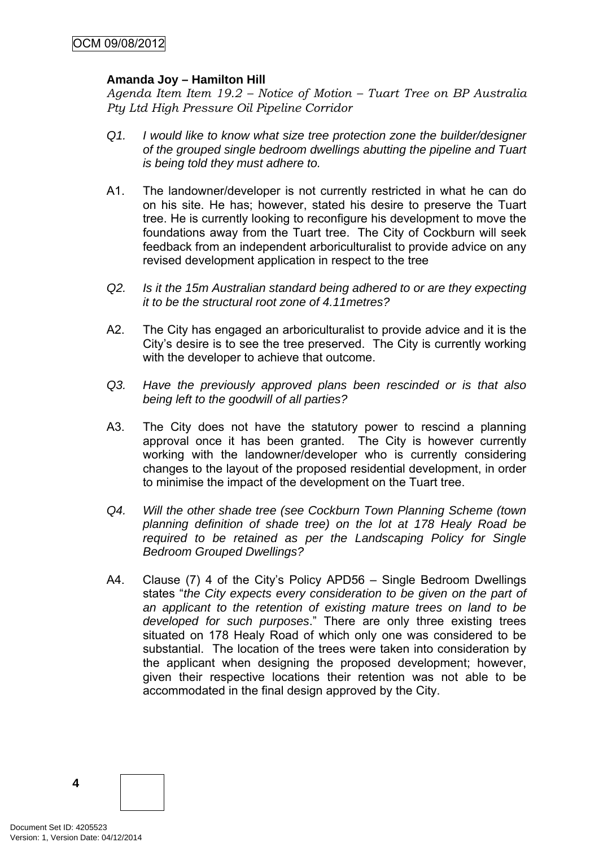## **Amanda Joy – Hamilton Hill**

*Agenda Item Item 19.2 – Notice of Motion – Tuart Tree on BP Australia Pty Ltd High Pressure Oil Pipeline Corridor* 

- *Q1. I would like to know what size tree protection zone the builder/designer of the grouped single bedroom dwellings abutting the pipeline and Tuart is being told they must adhere to.*
- A1. The landowner/developer is not currently restricted in what he can do on his site. He has; however, stated his desire to preserve the Tuart tree. He is currently looking to reconfigure his development to move the foundations away from the Tuart tree. The City of Cockburn will seek feedback from an independent arboriculturalist to provide advice on any revised development application in respect to the tree
- *Q2. Is it the 15m Australian standard being adhered to or are they expecting it to be the structural root zone of 4.11metres?*
- A2. The City has engaged an arboriculturalist to provide advice and it is the City's desire is to see the tree preserved. The City is currently working with the developer to achieve that outcome.
- *Q3. Have the previously approved plans been rescinded or is that also being left to the goodwill of all parties?*
- A3. The City does not have the statutory power to rescind a planning approval once it has been granted. The City is however currently working with the landowner/developer who is currently considering changes to the layout of the proposed residential development, in order to minimise the impact of the development on the Tuart tree.
- *Q4. Will the other shade tree (see Cockburn Town Planning Scheme (town planning definition of shade tree) on the lot at 178 Healy Road be required to be retained as per the Landscaping Policy for Single Bedroom Grouped Dwellings?*
- A4. Clause (7) 4 of the City's Policy APD56 Single Bedroom Dwellings states "*the City expects every consideration to be given on the part of an applicant to the retention of existing mature trees on land to be developed for such purposes*." There are only three existing trees situated on 178 Healy Road of which only one was considered to be substantial. The location of the trees were taken into consideration by the applicant when designing the proposed development; however, given their respective locations their retention was not able to be accommodated in the final design approved by the City.

**4**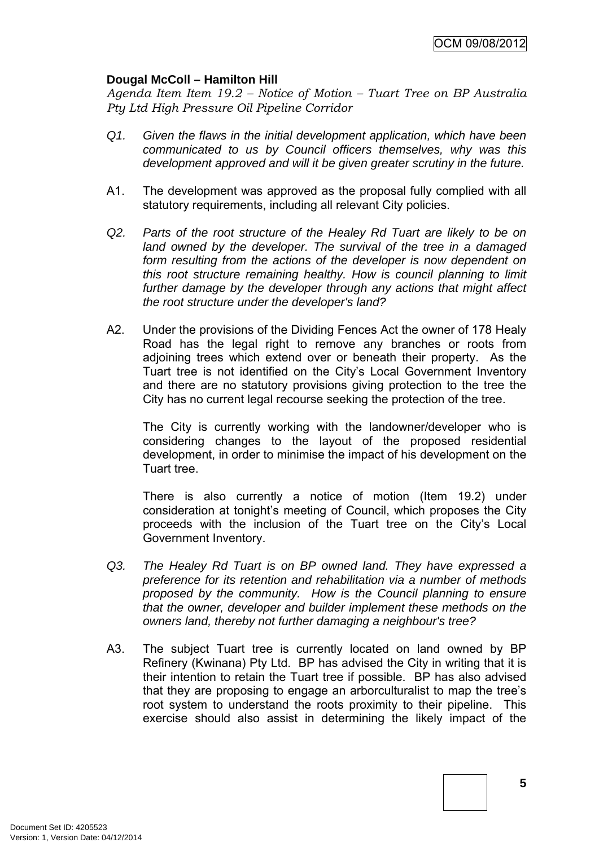## **Dougal McColl – Hamilton Hill**

*Agenda Item Item 19.2 – Notice of Motion – Tuart Tree on BP Australia Pty Ltd High Pressure Oil Pipeline Corridor* 

- *Q1. Given the flaws in the initial development application, which have been communicated to us by Council officers themselves, why was this development approved and will it be given greater scrutiny in the future.*
- A1. The development was approved as the proposal fully complied with all statutory requirements, including all relevant City policies.
- *Q2. Parts of the root structure of the Healey Rd Tuart are likely to be on land owned by the developer. The survival of the tree in a damaged*  form resulting from the actions of the developer is now dependent on *this root structure remaining healthy. How is council planning to limit further damage by the developer through any actions that might affect the root structure under the developer's land?*
- A2. Under the provisions of the Dividing Fences Act the owner of 178 Healy Road has the legal right to remove any branches or roots from adjoining trees which extend over or beneath their property. As the Tuart tree is not identified on the City's Local Government Inventory and there are no statutory provisions giving protection to the tree the City has no current legal recourse seeking the protection of the tree.

The City is currently working with the landowner/developer who is considering changes to the layout of the proposed residential development, in order to minimise the impact of his development on the Tuart tree.

There is also currently a notice of motion (Item 19.2) under consideration at tonight's meeting of Council, which proposes the City proceeds with the inclusion of the Tuart tree on the City's Local Government Inventory.

- *Q3. The Healey Rd Tuart is on BP owned land. They have expressed a preference for its retention and rehabilitation via a number of methods proposed by the community. How is the Council planning to ensure that the owner, developer and builder implement these methods on the owners land, thereby not further damaging a neighbour's tree?*
- A3. The subject Tuart tree is currently located on land owned by BP Refinery (Kwinana) Pty Ltd. BP has advised the City in writing that it is their intention to retain the Tuart tree if possible. BP has also advised that they are proposing to engage an arborculturalist to map the tree's root system to understand the roots proximity to their pipeline. This exercise should also assist in determining the likely impact of the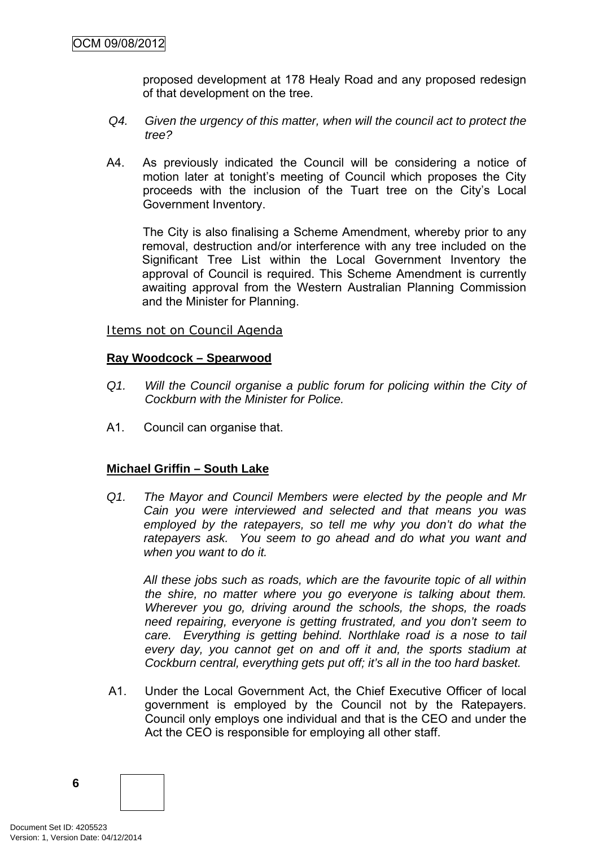proposed development at 178 Healy Road and any proposed redesign of that development on the tree.

- *Q4. Given the urgency of this matter, when will the council act to protect the tree?*
- A4. As previously indicated the Council will be considering a notice of motion later at tonight's meeting of Council which proposes the City proceeds with the inclusion of the Tuart tree on the City's Local Government Inventory.

The City is also finalising a Scheme Amendment, whereby prior to any removal, destruction and/or interference with any tree included on the Significant Tree List within the Local Government Inventory the approval of Council is required. This Scheme Amendment is currently awaiting approval from the Western Australian Planning Commission and the Minister for Planning.

## *Items not on Council Agenda*

#### **Ray Woodcock – Spearwood**

- *Q1. Will the Council organise a public forum for policing within the City of Cockburn with the Minister for Police.*
- A1. Council can organise that.

## **Michael Griffin – South Lake**

*Q1. The Mayor and Council Members were elected by the people and Mr Cain you were interviewed and selected and that means you was employed by the ratepayers, so tell me why you don't do what the ratepayers ask. You seem to go ahead and do what you want and when you want to do it.* 

*All these jobs such as roads, which are the favourite topic of all within the shire, no matter where you go everyone is talking about them. Wherever you go, driving around the schools, the shops, the roads need repairing, everyone is getting frustrated, and you don't seem to care. Everything is getting behind. Northlake road is a nose to tail every day, you cannot get on and off it and, the sports stadium at Cockburn central, everything gets put off; it's all in the too hard basket.* 

A1. Under the Local Government Act, the Chief Executive Officer of local government is employed by the Council not by the Ratepayers. Council only employs one individual and that is the CEO and under the Act the CEO is responsible for employing all other staff.

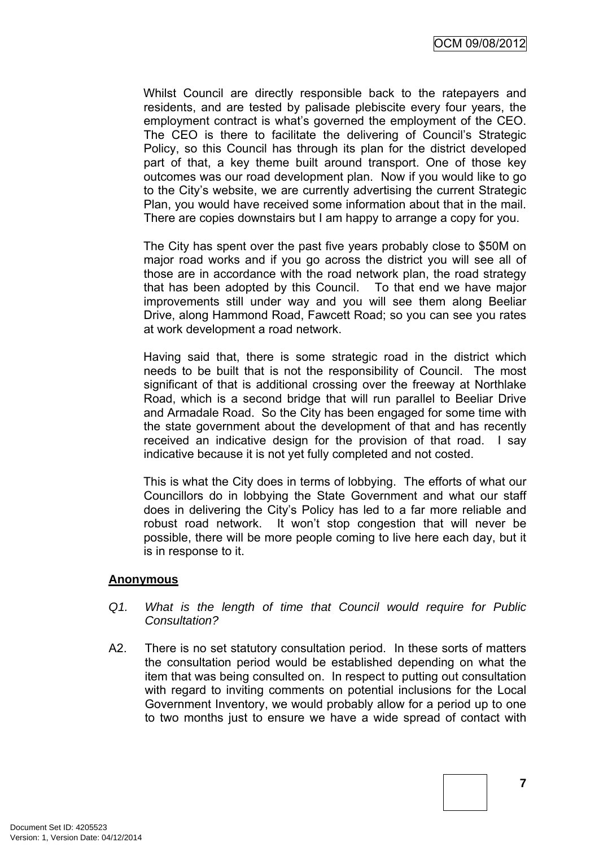Whilst Council are directly responsible back to the ratepayers and residents, and are tested by palisade plebiscite every four years, the employment contract is what's governed the employment of the CEO. The CEO is there to facilitate the delivering of Council's Strategic Policy, so this Council has through its plan for the district developed part of that, a key theme built around transport. One of those key outcomes was our road development plan. Now if you would like to go to the City's website, we are currently advertising the current Strategic Plan, you would have received some information about that in the mail. There are copies downstairs but I am happy to arrange a copy for you.

The City has spent over the past five years probably close to \$50M on major road works and if you go across the district you will see all of those are in accordance with the road network plan, the road strategy that has been adopted by this Council. To that end we have major improvements still under way and you will see them along Beeliar Drive, along Hammond Road, Fawcett Road; so you can see you rates at work development a road network.

Having said that, there is some strategic road in the district which needs to be built that is not the responsibility of Council. The most significant of that is additional crossing over the freeway at Northlake Road, which is a second bridge that will run parallel to Beeliar Drive and Armadale Road. So the City has been engaged for some time with the state government about the development of that and has recently received an indicative design for the provision of that road. I say indicative because it is not yet fully completed and not costed.

This is what the City does in terms of lobbying. The efforts of what our Councillors do in lobbying the State Government and what our staff does in delivering the City's Policy has led to a far more reliable and robust road network. It won't stop congestion that will never be possible, there will be more people coming to live here each day, but it is in response to it.

#### **Anonymous**

- *Q1. What is the length of time that Council would require for Public Consultation?*
- A2. There is no set statutory consultation period. In these sorts of matters the consultation period would be established depending on what the item that was being consulted on. In respect to putting out consultation with regard to inviting comments on potential inclusions for the Local Government Inventory, we would probably allow for a period up to one to two months just to ensure we have a wide spread of contact with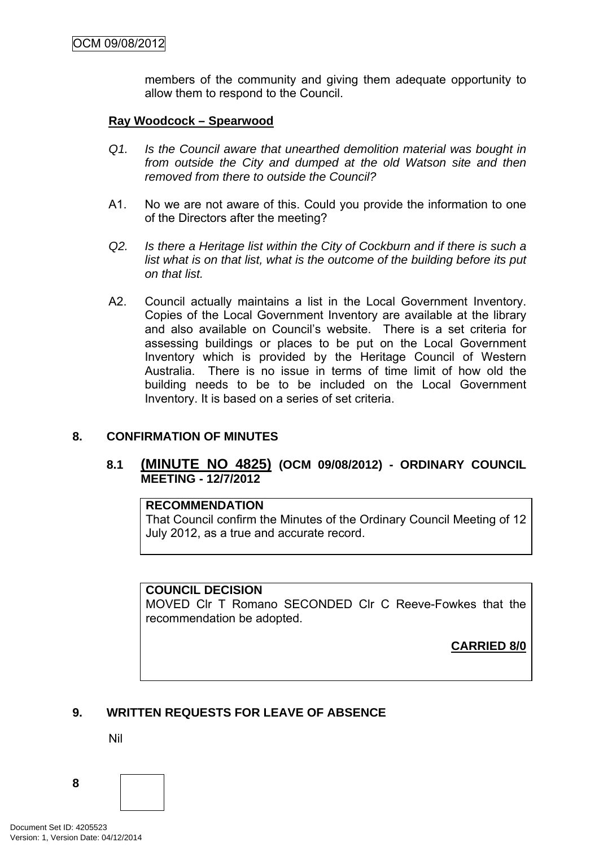members of the community and giving them adequate opportunity to allow them to respond to the Council.

#### **Ray Woodcock – Spearwood**

- *Q1. Is the Council aware that unearthed demolition material was bought in from outside the City and dumped at the old Watson site and then removed from there to outside the Council?*
- A1. No we are not aware of this. Could you provide the information to one of the Directors after the meeting?
- *Q2. Is there a Heritage list within the City of Cockburn and if there is such a list what is on that list, what is the outcome of the building before its put on that list.*
- A2. Council actually maintains a list in the Local Government Inventory. Copies of the Local Government Inventory are available at the library and also available on Council's website. There is a set criteria for assessing buildings or places to be put on the Local Government Inventory which is provided by the Heritage Council of Western Australia. There is no issue in terms of time limit of how old the building needs to be to be included on the Local Government Inventory. It is based on a series of set criteria.

#### **8. CONFIRMATION OF MINUTES**

## **8.1 (MINUTE NO 4825) (OCM 09/08/2012) - ORDINARY COUNCIL MEETING - 12/7/2012**

#### **RECOMMENDATION**

That Council confirm the Minutes of the Ordinary Council Meeting of 12 July 2012, as a true and accurate record.

#### **COUNCIL DECISION**

MOVED Clr T Romano SECONDED Clr C Reeve-Fowkes that the recommendation be adopted.

**CARRIED 8/0**

## **9. WRITTEN REQUESTS FOR LEAVE OF ABSENCE**

Nil

Document Set ID: 4205523<br>Version: 1, Version Date: 04/12/2014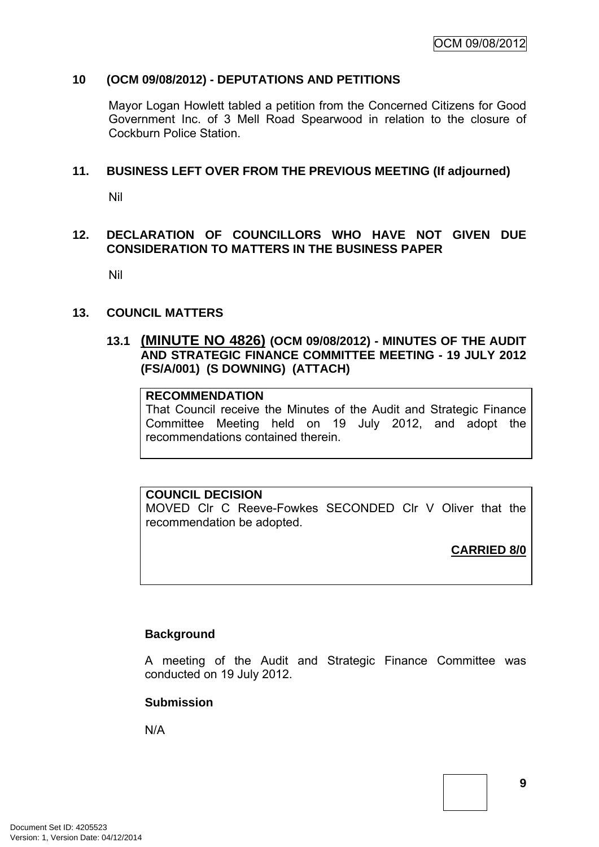## **10 (OCM 09/08/2012) - DEPUTATIONS AND PETITIONS**

Mayor Logan Howlett tabled a petition from the Concerned Citizens for Good Government Inc. of 3 Mell Road Spearwood in relation to the closure of Cockburn Police Station.

### **11. BUSINESS LEFT OVER FROM THE PREVIOUS MEETING (If adjourned)**

Nil

## **12. DECLARATION OF COUNCILLORS WHO HAVE NOT GIVEN DUE CONSIDERATION TO MATTERS IN THE BUSINESS PAPER**

Nil

#### **13. COUNCIL MATTERS**

## **13.1 (MINUTE NO 4826) (OCM 09/08/2012) - MINUTES OF THE AUDIT AND STRATEGIC FINANCE COMMITTEE MEETING - 19 JULY 2012 (FS/A/001) (S DOWNING) (ATTACH)**

## **RECOMMENDATION**

That Council receive the Minutes of the Audit and Strategic Finance Committee Meeting held on 19 July 2012, and adopt the recommendations contained therein.

#### **COUNCIL DECISION**

MOVED Clr C Reeve-Fowkes SECONDED Clr V Oliver that the recommendation be adopted.

**CARRIED 8/0**

#### **Background**

A meeting of the Audit and Strategic Finance Committee was conducted on 19 July 2012.

### **Submission**

N/A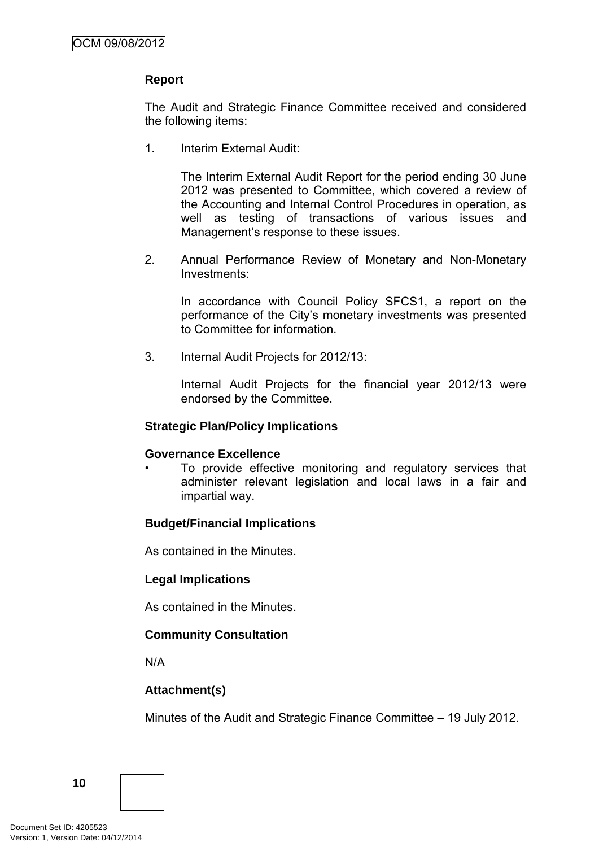## **Report**

The Audit and Strategic Finance Committee received and considered the following items:

1. Interim External Audit:

The Interim External Audit Report for the period ending 30 June 2012 was presented to Committee, which covered a review of the Accounting and Internal Control Procedures in operation, as well as testing of transactions of various issues and Management's response to these issues.

2. Annual Performance Review of Monetary and Non-Monetary Investments:

In accordance with Council Policy SFCS1, a report on the performance of the City's monetary investments was presented to Committee for information.

3. Internal Audit Projects for 2012/13:

Internal Audit Projects for the financial year 2012/13 were endorsed by the Committee.

#### **Strategic Plan/Policy Implications**

#### **Governance Excellence**

To provide effective monitoring and regulatory services that administer relevant legislation and local laws in a fair and impartial way.

#### **Budget/Financial Implications**

As contained in the Minutes.

#### **Legal Implications**

As contained in the Minutes.

#### **Community Consultation**

N/A

#### **Attachment(s)**

Minutes of the Audit and Strategic Finance Committee – 19 July 2012.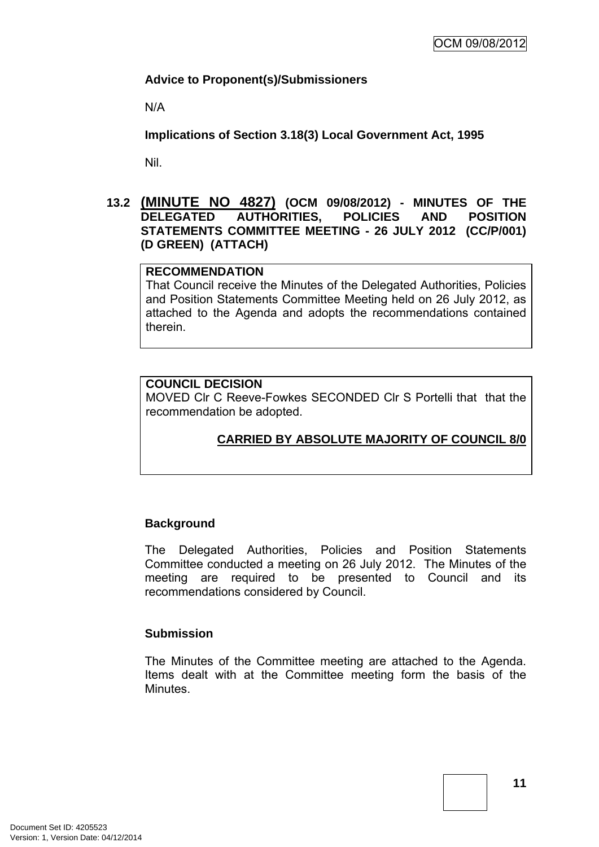## **Advice to Proponent(s)/Submissioners**

N/A

**Implications of Section 3.18(3) Local Government Act, 1995**

Nil.

**13.2 (MINUTE NO 4827) (OCM 09/08/2012) - MINUTES OF THE DELEGATED AUTHORITIES, POLICIES AND POSITION STATEMENTS COMMITTEE MEETING - 26 JULY 2012 (CC/P/001) (D GREEN) (ATTACH)** 

## **RECOMMENDATION**

That Council receive the Minutes of the Delegated Authorities, Policies and Position Statements Committee Meeting held on 26 July 2012, as attached to the Agenda and adopts the recommendations contained therein.

## **COUNCIL DECISION**

MOVED Clr C Reeve-Fowkes SECONDED Clr S Portelli that that the recommendation be adopted.

## **CARRIED BY ABSOLUTE MAJORITY OF COUNCIL 8/0**

#### **Background**

The Delegated Authorities, Policies and Position Statements Committee conducted a meeting on 26 July 2012. The Minutes of the meeting are required to be presented to Council and its recommendations considered by Council.

#### **Submission**

The Minutes of the Committee meeting are attached to the Agenda. Items dealt with at the Committee meeting form the basis of the **Minutes**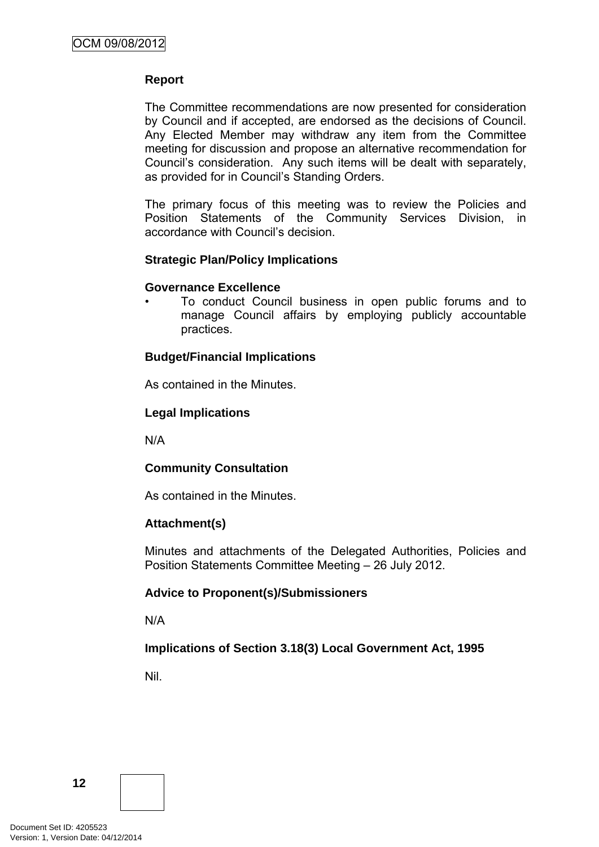#### **Report**

The Committee recommendations are now presented for consideration by Council and if accepted, are endorsed as the decisions of Council. Any Elected Member may withdraw any item from the Committee meeting for discussion and propose an alternative recommendation for Council's consideration. Any such items will be dealt with separately, as provided for in Council's Standing Orders.

The primary focus of this meeting was to review the Policies and Position Statements of the Community Services Division, in accordance with Council's decision.

#### **Strategic Plan/Policy Implications**

#### **Governance Excellence**

• To conduct Council business in open public forums and to manage Council affairs by employing publicly accountable practices.

#### **Budget/Financial Implications**

As contained in the Minutes.

#### **Legal Implications**

N/A

#### **Community Consultation**

As contained in the Minutes.

#### **Attachment(s)**

Minutes and attachments of the Delegated Authorities, Policies and Position Statements Committee Meeting – 26 July 2012.

#### **Advice to Proponent(s)/Submissioners**

N/A

#### **Implications of Section 3.18(3) Local Government Act, 1995**

Nil.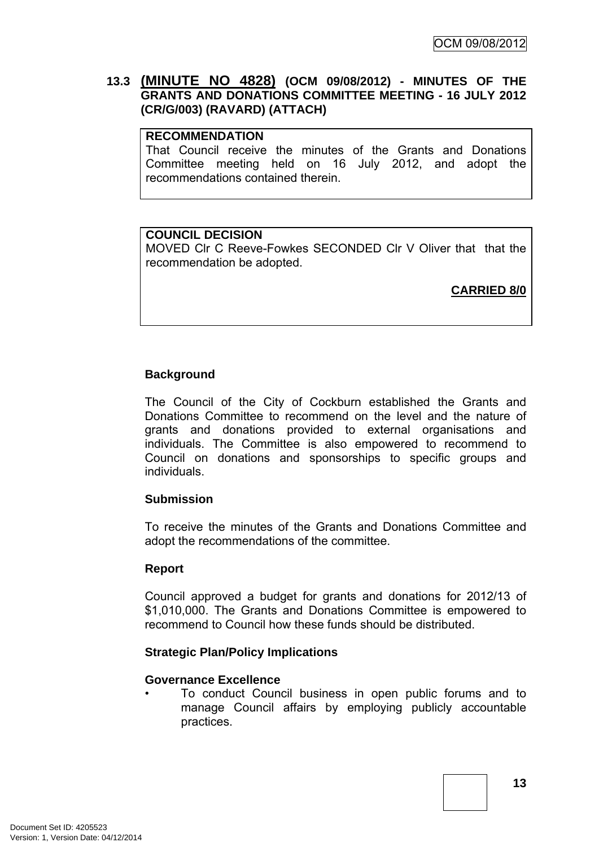## **13.3 (MINUTE NO 4828) (OCM 09/08/2012) - MINUTES OF THE GRANTS AND DONATIONS COMMITTEE MEETING - 16 JULY 2012 (CR/G/003) (RAVARD) (ATTACH)**

#### **RECOMMENDATION**

That Council receive the minutes of the Grants and Donations Committee meeting held on 16 July 2012, and adopt the recommendations contained therein.

#### **COUNCIL DECISION**

MOVED Clr C Reeve-Fowkes SECONDED Clr V Oliver that that the recommendation be adopted.

**CARRIED 8/0**

#### **Background**

The Council of the City of Cockburn established the Grants and Donations Committee to recommend on the level and the nature of grants and donations provided to external organisations and individuals. The Committee is also empowered to recommend to Council on donations and sponsorships to specific groups and individuals.

#### **Submission**

To receive the minutes of the Grants and Donations Committee and adopt the recommendations of the committee.

#### **Report**

Council approved a budget for grants and donations for 2012/13 of \$1,010,000. The Grants and Donations Committee is empowered to recommend to Council how these funds should be distributed.

#### **Strategic Plan/Policy Implications**

#### **Governance Excellence**

• To conduct Council business in open public forums and to manage Council affairs by employing publicly accountable practices.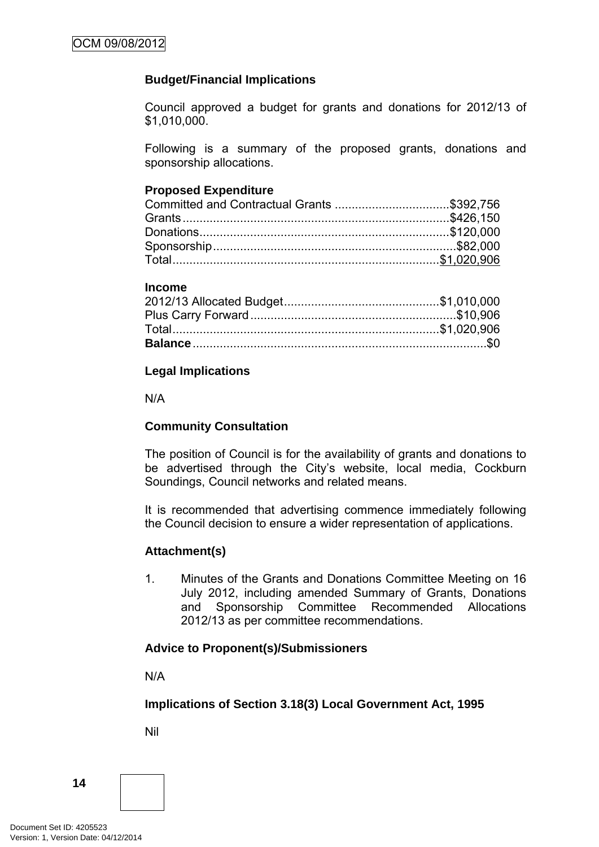## **Budget/Financial Implications**

Council approved a budget for grants and donations for 2012/13 of \$1,010,000.

Following is a summary of the proposed grants, donations and sponsorship allocations.

#### **Proposed Expenditure**

#### **Income**

#### **Legal Implications**

N/A

#### **Community Consultation**

The position of Council is for the availability of grants and donations to be advertised through the City's website, local media, Cockburn Soundings, Council networks and related means.

It is recommended that advertising commence immediately following the Council decision to ensure a wider representation of applications.

#### **Attachment(s)**

1. Minutes of the Grants and Donations Committee Meeting on 16 July 2012, including amended Summary of Grants, Donations and Sponsorship Committee Recommended Allocations 2012/13 as per committee recommendations.

#### **Advice to Proponent(s)/Submissioners**

N/A

**Implications of Section 3.18(3) Local Government Act, 1995**

Nil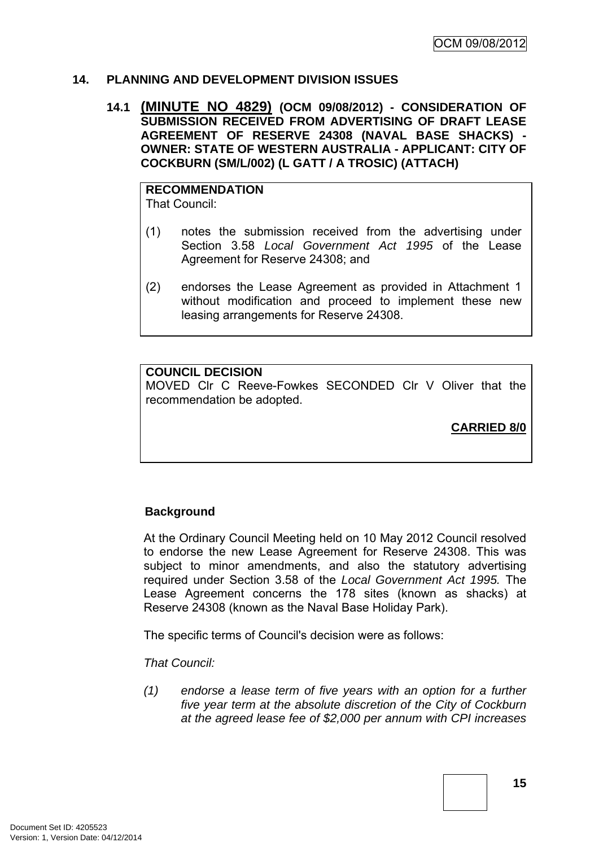## **14. PLANNING AND DEVELOPMENT DIVISION ISSUES**

#### **14.1 (MINUTE NO 4829) (OCM 09/08/2012) - CONSIDERATION OF SUBMISSION RECEIVED FROM ADVERTISING OF DRAFT LEASE AGREEMENT OF RESERVE 24308 (NAVAL BASE SHACKS) - OWNER: STATE OF WESTERN AUSTRALIA - APPLICANT: CITY OF COCKBURN (SM/L/002) (L GATT / A TROSIC) (ATTACH)**

## **RECOMMENDATION**

That Council:

- (1) notes the submission received from the advertising under Section 3.58 *Local Government Act 1995* of the Lease Agreement for Reserve 24308; and
- (2) endorses the Lease Agreement as provided in Attachment 1 without modification and proceed to implement these new leasing arrangements for Reserve 24308.

## **COUNCIL DECISION**

MOVED Clr C Reeve-Fowkes SECONDED Clr V Oliver that the recommendation be adopted.

**CARRIED 8/0**

## **Background**

At the Ordinary Council Meeting held on 10 May 2012 Council resolved to endorse the new Lease Agreement for Reserve 24308. This was subject to minor amendments, and also the statutory advertising required under Section 3.58 of the *Local Government Act 1995.* The Lease Agreement concerns the 178 sites (known as shacks) at Reserve 24308 (known as the Naval Base Holiday Park).

The specific terms of Council's decision were as follows:

*That Council:* 

*(1) endorse a lease term of five years with an option for a further five year term at the absolute discretion of the City of Cockburn at the agreed lease fee of \$2,000 per annum with CPI increases*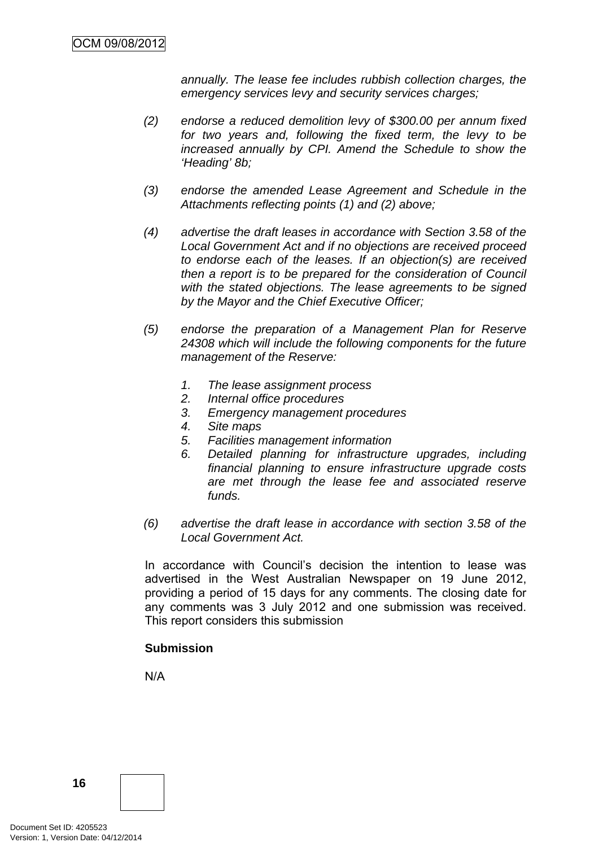*annually. The lease fee includes rubbish collection charges, the emergency services levy and security services charges;* 

- *(2) endorse a reduced demolition levy of \$300.00 per annum fixed*  for two years and, following the fixed term, the levy to be *increased annually by CPI. Amend the Schedule to show the 'Heading' 8b;*
- *(3) endorse the amended Lease Agreement and Schedule in the Attachments reflecting points (1) and (2) above;*
- *(4) advertise the draft leases in accordance with Section 3.58 of the Local Government Act and if no objections are received proceed to endorse each of the leases. If an objection(s) are received then a report is to be prepared for the consideration of Council with the stated objections. The lease agreements to be signed by the Mayor and the Chief Executive Officer;*
- *(5) endorse the preparation of a Management Plan for Reserve 24308 which will include the following components for the future management of the Reserve:* 
	- *1. The lease assignment process*
	- *2. Internal office procedures*
	- *3. Emergency management procedures*
	- *4. Site maps*
	- *5. Facilities management information*
	- *6. Detailed planning for infrastructure upgrades, including financial planning to ensure infrastructure upgrade costs are met through the lease fee and associated reserve funds.*
- *(6) advertise the draft lease in accordance with section 3.58 of the Local Government Act.*

In accordance with Council's decision the intention to lease was advertised in the West Australian Newspaper on 19 June 2012, providing a period of 15 days for any comments. The closing date for any comments was 3 July 2012 and one submission was received. This report considers this submission

#### **Submission**

N/A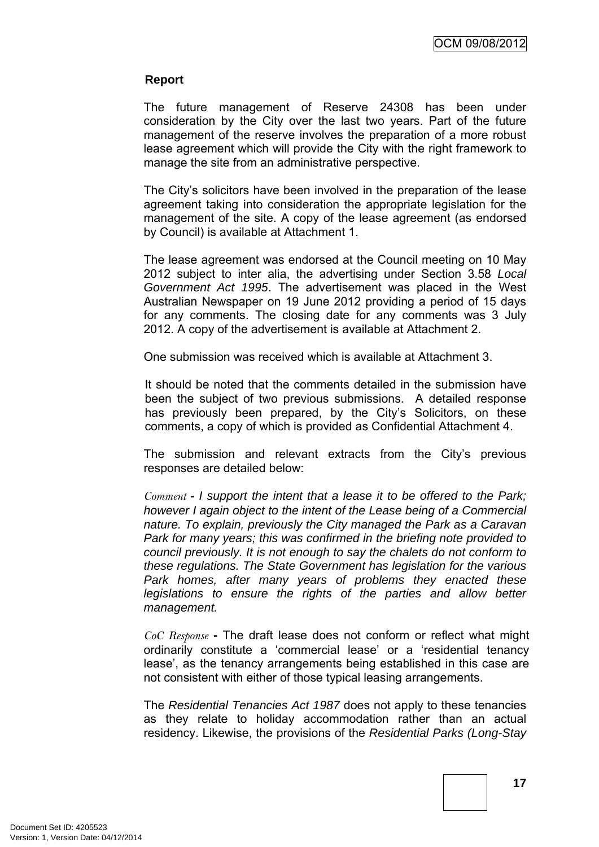#### **Report**

The future management of Reserve 24308 has been under consideration by the City over the last two years. Part of the future management of the reserve involves the preparation of a more robust lease agreement which will provide the City with the right framework to manage the site from an administrative perspective.

The City's solicitors have been involved in the preparation of the lease agreement taking into consideration the appropriate legislation for the management of the site. A copy of the lease agreement (as endorsed by Council) is available at Attachment 1.

The lease agreement was endorsed at the Council meeting on 10 May 2012 subject to inter alia, the advertising under Section 3.58 *Local Government Act 1995*. The advertisement was placed in the West Australian Newspaper on 19 June 2012 providing a period of 15 days for any comments. The closing date for any comments was 3 July 2012. A copy of the advertisement is available at Attachment 2.

One submission was received which is available at Attachment 3.

It should be noted that the comments detailed in the submission have been the subject of two previous submissions. A detailed response has previously been prepared, by the City's Solicitors, on these comments, a copy of which is provided as Confidential Attachment 4.

The submission and relevant extracts from the City's previous responses are detailed below:

*Comment* **-** *I support the intent that a lease it to be offered to the Park; however I again object to the intent of the Lease being of a Commercial nature. To explain, previously the City managed the Park as a Caravan Park for many years; this was confirmed in the briefing note provided to council previously. It is not enough to say the chalets do not conform to these regulations. The State Government has legislation for the various Park homes, after many years of problems they enacted these*  legislations to ensure the rights of the parties and allow better *management.* 

*CoC Response* **-** The draft lease does not conform or reflect what might ordinarily constitute a 'commercial lease' or a 'residential tenancy lease', as the tenancy arrangements being established in this case are not consistent with either of those typical leasing arrangements.

The *Residential Tenancies Act 1987* does not apply to these tenancies as they relate to holiday accommodation rather than an actual residency. Likewise, the provisions of the *Residential Parks (Long-Stay*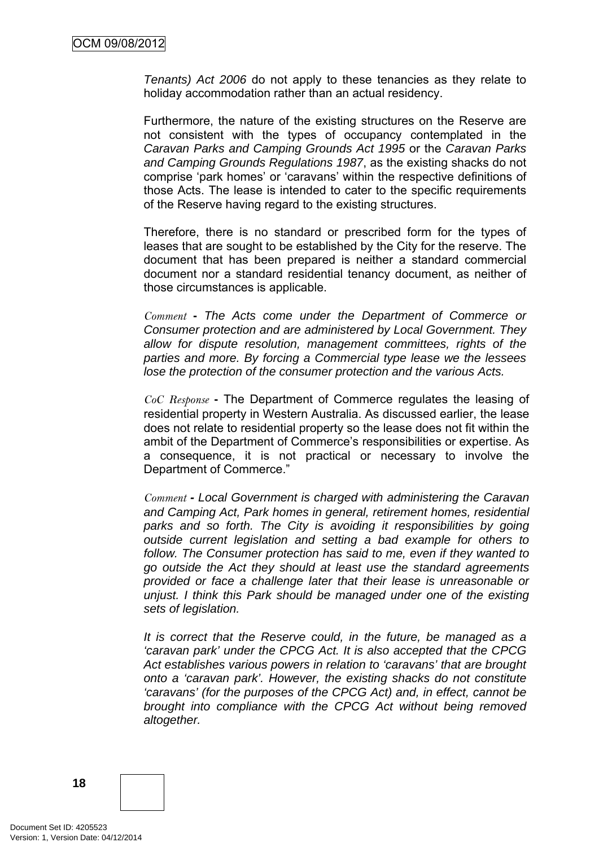*Tenants) Act 2006* do not apply to these tenancies as they relate to holiday accommodation rather than an actual residency.

Furthermore, the nature of the existing structures on the Reserve are not consistent with the types of occupancy contemplated in the *Caravan Parks and Camping Grounds Act 1995* or the *Caravan Parks and Camping Grounds Regulations 1987*, as the existing shacks do not comprise 'park homes' or 'caravans' within the respective definitions of those Acts. The lease is intended to cater to the specific requirements of the Reserve having regard to the existing structures.

Therefore, there is no standard or prescribed form for the types of leases that are sought to be established by the City for the reserve. The document that has been prepared is neither a standard commercial document nor a standard residential tenancy document, as neither of those circumstances is applicable.

*Comment* **-** *The Acts come under the Department of Commerce or Consumer protection and are administered by Local Government. They allow for dispute resolution, management committees, rights of the parties and more. By forcing a Commercial type lease we the lessees lose the protection of the consumer protection and the various Acts.* 

*CoC Response* **-** The Department of Commerce regulates the leasing of residential property in Western Australia. As discussed earlier, the lease does not relate to residential property so the lease does not fit within the ambit of the Department of Commerce's responsibilities or expertise. As a consequence, it is not practical or necessary to involve the Department of Commerce."

*Comment - Local Government is charged with administering the Caravan and Camping Act, Park homes in general, retirement homes, residential parks and so forth. The City is avoiding it responsibilities by going outside current legislation and setting a bad example for others to follow. The Consumer protection has said to me, even if they wanted to go outside the Act they should at least use the standard agreements provided or face a challenge later that their lease is unreasonable or unjust. I think this Park should be managed under one of the existing sets of legislation.* 

*It is correct that the Reserve could, in the future, be managed as a 'caravan park' under the CPCG Act. It is also accepted that the CPCG Act establishes various powers in relation to 'caravans' that are brought onto a 'caravan park'. However, the existing shacks do not constitute 'caravans' (for the purposes of the CPCG Act) and, in effect, cannot be brought into compliance with the CPCG Act without being removed altogether.*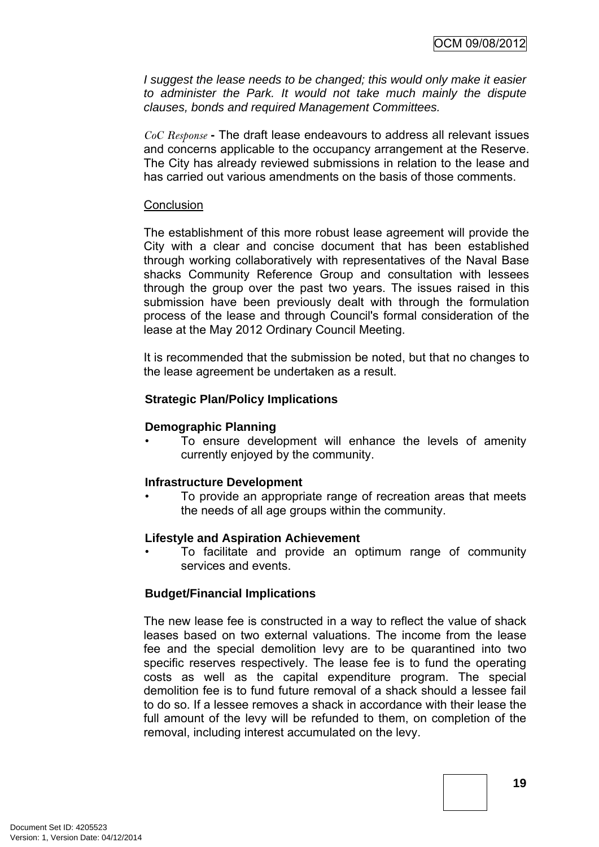*I* suggest the lease needs to be changed; this would only make it easier *to administer the Park. It would not take much mainly the dispute clauses, bonds and required Management Committees.* 

*CoC Response* **-** The draft lease endeavours to address all relevant issues and concerns applicable to the occupancy arrangement at the Reserve. The City has already reviewed submissions in relation to the lease and has carried out various amendments on the basis of those comments.

#### **Conclusion**

The establishment of this more robust lease agreement will provide the City with a clear and concise document that has been established through working collaboratively with representatives of the Naval Base shacks Community Reference Group and consultation with lessees through the group over the past two years. The issues raised in this submission have been previously dealt with through the formulation process of the lease and through Council's formal consideration of the lease at the May 2012 Ordinary Council Meeting.

It is recommended that the submission be noted, but that no changes to the lease agreement be undertaken as a result.

## **Strategic Plan/Policy Implications**

#### **Demographic Planning**

To ensure development will enhance the levels of amenity currently enjoyed by the community.

#### **Infrastructure Development**

• To provide an appropriate range of recreation areas that meets the needs of all age groups within the community.

#### **Lifestyle and Aspiration Achievement**

• To facilitate and provide an optimum range of community services and events.

#### **Budget/Financial Implications**

The new lease fee is constructed in a way to reflect the value of shack leases based on two external valuations. The income from the lease fee and the special demolition levy are to be quarantined into two specific reserves respectively. The lease fee is to fund the operating costs as well as the capital expenditure program. The special demolition fee is to fund future removal of a shack should a lessee fail to do so. If a lessee removes a shack in accordance with their lease the full amount of the levy will be refunded to them, on completion of the removal, including interest accumulated on the levy.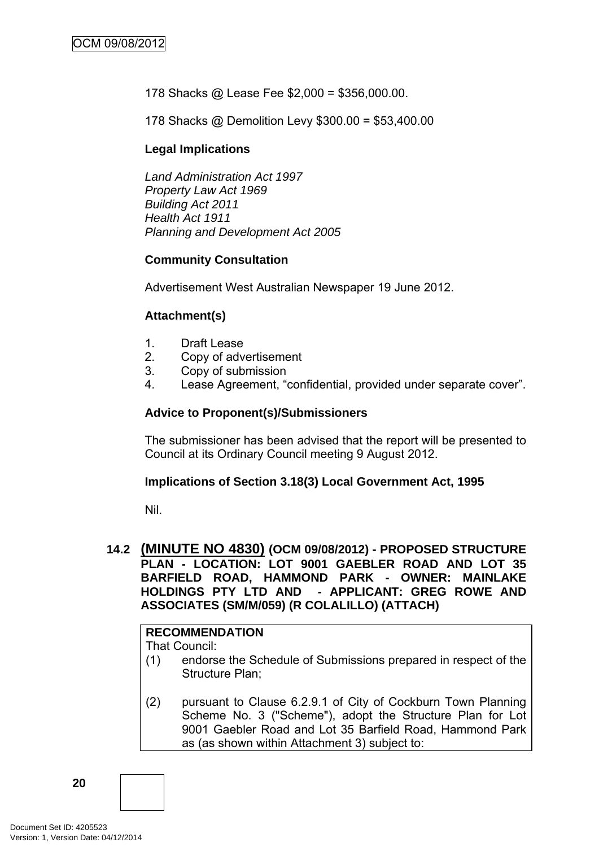178 Shacks @ Lease Fee \$2,000 = \$356,000.00.

178 Shacks @ Demolition Levy \$300.00 = \$53,400.00

## **Legal Implications**

*Land Administration Act 1997 Property Law Act 1969 Building Act 2011 Health Act 1911 Planning and Development Act 2005* 

## **Community Consultation**

Advertisement West Australian Newspaper 19 June 2012.

## **Attachment(s)**

- 1. Draft Lease
- 2. Copy of advertisement
- 3. Copy of submission
- 4. Lease Agreement, "confidential, provided under separate cover".

## **Advice to Proponent(s)/Submissioners**

The submissioner has been advised that the report will be presented to Council at its Ordinary Council meeting 9 August 2012.

#### **Implications of Section 3.18(3) Local Government Act, 1995**

Nil.

#### **14.2 (MINUTE NO 4830) (OCM 09/08/2012) - PROPOSED STRUCTURE PLAN - LOCATION: LOT 9001 GAEBLER ROAD AND LOT 35 BARFIELD ROAD, HAMMOND PARK - OWNER: MAINLAKE HOLDINGS PTY LTD AND - APPLICANT: GREG ROWE AND ASSOCIATES (SM/M/059) (R COLALILLO) (ATTACH)**

## **RECOMMENDATION**

That Council:

- (1) endorse the Schedule of Submissions prepared in respect of the Structure Plan;
- (2) pursuant to Clause 6.2.9.1 of City of Cockburn Town Planning Scheme No. 3 ("Scheme"), adopt the Structure Plan for Lot 9001 Gaebler Road and Lot 35 Barfield Road, Hammond Park as (as shown within Attachment 3) subject to: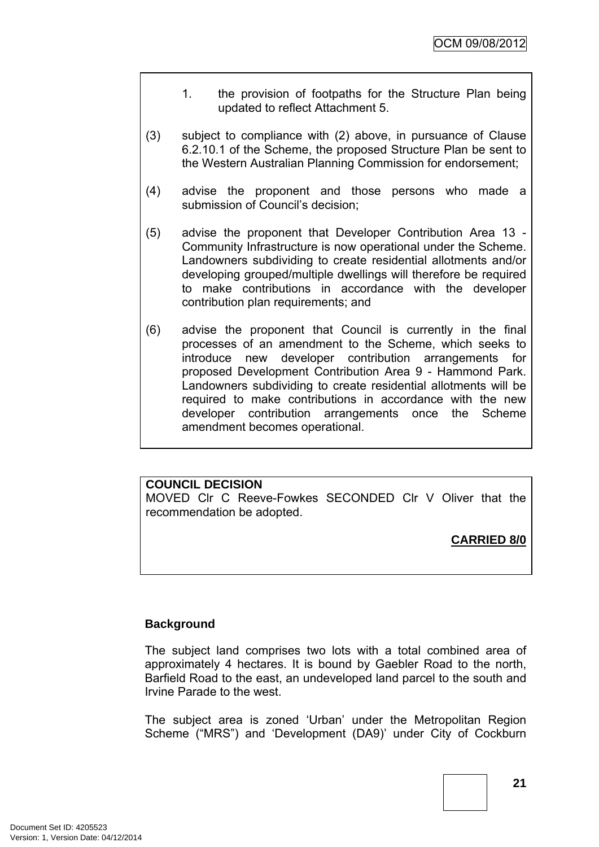- 1. the provision of footpaths for the Structure Plan being updated to reflect Attachment 5.
- (3) subject to compliance with (2) above, in pursuance of Clause 6.2.10.1 of the Scheme, the proposed Structure Plan be sent to the Western Australian Planning Commission for endorsement;
- (4) advise the proponent and those persons who made a submission of Council's decision;
- (5) advise the proponent that Developer Contribution Area 13 Community Infrastructure is now operational under the Scheme. Landowners subdividing to create residential allotments and/or developing grouped/multiple dwellings will therefore be required to make contributions in accordance with the developer contribution plan requirements; and
- (6) advise the proponent that Council is currently in the final processes of an amendment to the Scheme, which seeks to introduce new developer contribution arrangements for proposed Development Contribution Area 9 - Hammond Park. Landowners subdividing to create residential allotments will be required to make contributions in accordance with the new developer contribution arrangements once the Scheme amendment becomes operational.

## **COUNCIL DECISION**

MOVED Clr C Reeve-Fowkes SECONDED Clr V Oliver that the recommendation be adopted.

**CARRIED 8/0**

## **Background**

The subject land comprises two lots with a total combined area of approximately 4 hectares. It is bound by Gaebler Road to the north, Barfield Road to the east, an undeveloped land parcel to the south and Irvine Parade to the west.

The subject area is zoned 'Urban' under the Metropolitan Region Scheme ("MRS") and 'Development (DA9)' under City of Cockburn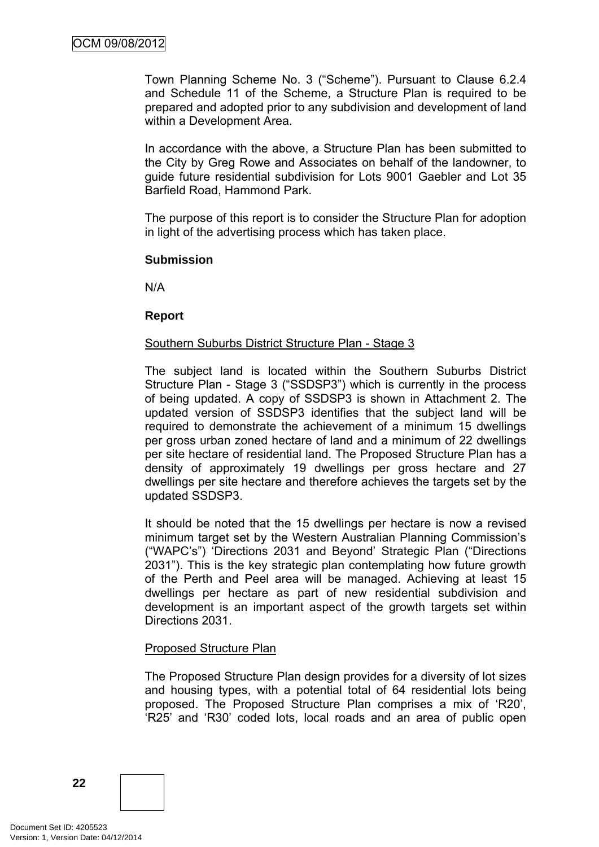Town Planning Scheme No. 3 ("Scheme"). Pursuant to Clause 6.2.4 and Schedule 11 of the Scheme, a Structure Plan is required to be prepared and adopted prior to any subdivision and development of land within a Development Area.

In accordance with the above, a Structure Plan has been submitted to the City by Greg Rowe and Associates on behalf of the landowner, to guide future residential subdivision for Lots 9001 Gaebler and Lot 35 Barfield Road, Hammond Park.

The purpose of this report is to consider the Structure Plan for adoption in light of the advertising process which has taken place.

#### **Submission**

N/A

## **Report**

## Southern Suburbs District Structure Plan - Stage 3

The subject land is located within the Southern Suburbs District Structure Plan - Stage 3 ("SSDSP3") which is currently in the process of being updated. A copy of SSDSP3 is shown in Attachment 2. The updated version of SSDSP3 identifies that the subject land will be required to demonstrate the achievement of a minimum 15 dwellings per gross urban zoned hectare of land and a minimum of 22 dwellings per site hectare of residential land. The Proposed Structure Plan has a density of approximately 19 dwellings per gross hectare and 27 dwellings per site hectare and therefore achieves the targets set by the updated SSDSP3.

It should be noted that the 15 dwellings per hectare is now a revised minimum target set by the Western Australian Planning Commission's ("WAPC's") 'Directions 2031 and Beyond' Strategic Plan ("Directions 2031"). This is the key strategic plan contemplating how future growth of the Perth and Peel area will be managed. Achieving at least 15 dwellings per hectare as part of new residential subdivision and development is an important aspect of the growth targets set within Directions 2031.

## Proposed Structure Plan

The Proposed Structure Plan design provides for a diversity of lot sizes and housing types, with a potential total of 64 residential lots being proposed. The Proposed Structure Plan comprises a mix of 'R20', 'R25' and 'R30' coded lots, local roads and an area of public open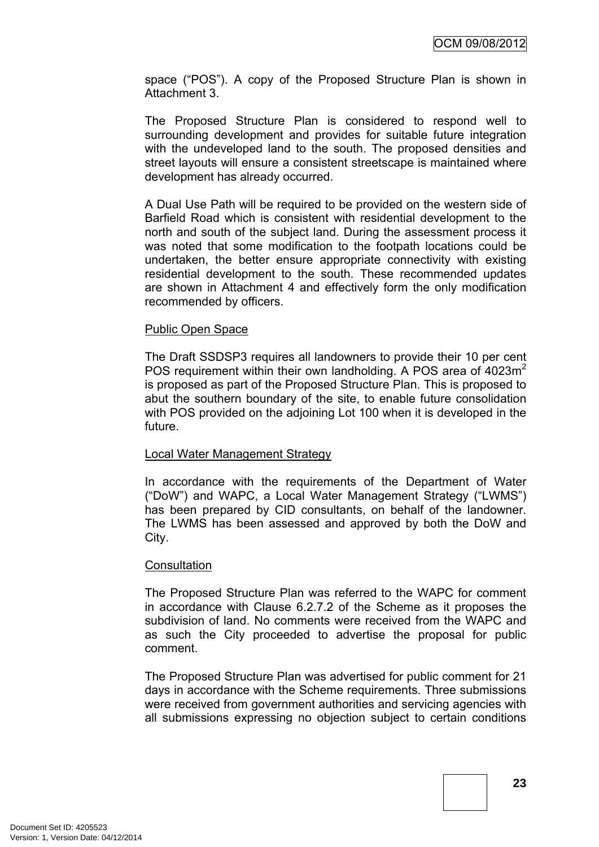space ("POS"). A copy of the Proposed Structure Plan is shown in Attachment 3.

The Proposed Structure Plan is considered to respond well to surrounding development and provides for suitable future integration with the undeveloped land to the south. The proposed densities and street layouts will ensure a consistent streetscape is maintained where development has already occurred.

A Dual Use Path will be required to be provided on the western side of Barfield Road which is consistent with residential development to the north and south of the subject land. During the assessment process it was noted that some modification to the footpath locations could be undertaken, the better ensure appropriate connectivity with existing residential development to the south. These recommended updates are shown in Attachment 4 and effectively form the only modification recommended by officers.

#### Public Open Space

The Draft SSDSP3 requires all landowners to provide their 10 per cent POS requirement within their own landholding. A POS area of 4023m<sup>2</sup> is proposed as part of the Proposed Structure Plan. This is proposed to abut the southern boundary of the site, to enable future consolidation with POS provided on the adjoining Lot 100 when it is developed in the future.

#### Local Water Management Strategy

In accordance with the requirements of the Department of Water ("DoW") and WAPC, a Local Water Management Strategy ("LWMS") has been prepared by CID consultants, on behalf of the landowner. The LWMS has been assessed and approved by both the DoW and City.

#### **Consultation**

The Proposed Structure Plan was referred to the WAPC for comment in accordance with Clause 6.2.7.2 of the Scheme as it proposes the subdivision of land. No comments were received from the WAPC and as such the City proceeded to advertise the proposal for public comment.

The Proposed Structure Plan was advertised for public comment for 21 days in accordance with the Scheme requirements. Three submissions were received from government authorities and servicing agencies with all submissions expressing no objection subject to certain conditions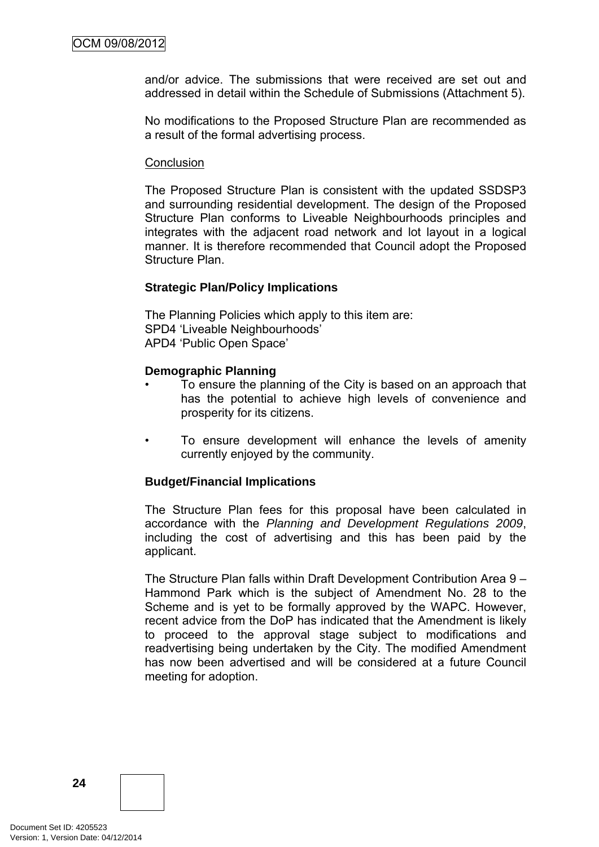and/or advice. The submissions that were received are set out and addressed in detail within the Schedule of Submissions (Attachment 5).

No modifications to the Proposed Structure Plan are recommended as a result of the formal advertising process.

#### **Conclusion**

The Proposed Structure Plan is consistent with the updated SSDSP3 and surrounding residential development. The design of the Proposed Structure Plan conforms to Liveable Neighbourhoods principles and integrates with the adjacent road network and lot layout in a logical manner. It is therefore recommended that Council adopt the Proposed Structure Plan.

#### **Strategic Plan/Policy Implications**

The Planning Policies which apply to this item are: SPD4 'Liveable Neighbourhoods' APD4 'Public Open Space'

#### **Demographic Planning**

- To ensure the planning of the City is based on an approach that has the potential to achieve high levels of convenience and prosperity for its citizens.
- To ensure development will enhance the levels of amenity currently enjoyed by the community.

#### **Budget/Financial Implications**

The Structure Plan fees for this proposal have been calculated in accordance with the *Planning and Development Regulations 2009*, including the cost of advertising and this has been paid by the applicant.

The Structure Plan falls within Draft Development Contribution Area 9 – Hammond Park which is the subject of Amendment No. 28 to the Scheme and is yet to be formally approved by the WAPC. However, recent advice from the DoP has indicated that the Amendment is likely to proceed to the approval stage subject to modifications and readvertising being undertaken by the City. The modified Amendment has now been advertised and will be considered at a future Council meeting for adoption.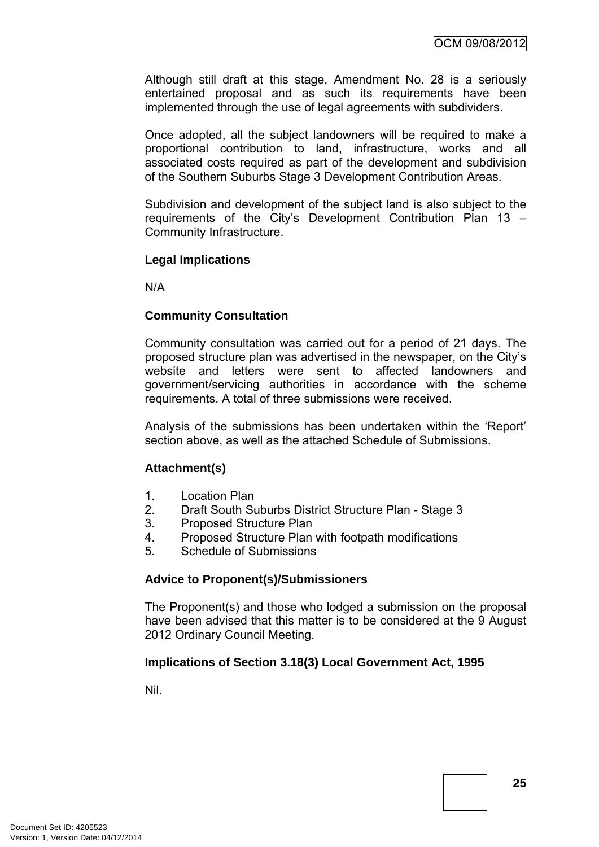Although still draft at this stage, Amendment No. 28 is a seriously entertained proposal and as such its requirements have been implemented through the use of legal agreements with subdividers.

Once adopted, all the subject landowners will be required to make a proportional contribution to land, infrastructure, works and all associated costs required as part of the development and subdivision of the Southern Suburbs Stage 3 Development Contribution Areas.

Subdivision and development of the subject land is also subject to the requirements of the City's Development Contribution Plan 13 – Community Infrastructure.

#### **Legal Implications**

N/A

## **Community Consultation**

Community consultation was carried out for a period of 21 days. The proposed structure plan was advertised in the newspaper, on the City's website and letters were sent to affected landowners and government/servicing authorities in accordance with the scheme requirements. A total of three submissions were received.

Analysis of the submissions has been undertaken within the 'Report' section above, as well as the attached Schedule of Submissions.

#### **Attachment(s)**

- 1. Location Plan
- 2. Draft South Suburbs District Structure Plan Stage 3
- 3. Proposed Structure Plan
- 4. Proposed Structure Plan with footpath modifications
- 5. Schedule of Submissions

#### **Advice to Proponent(s)/Submissioners**

The Proponent(s) and those who lodged a submission on the proposal have been advised that this matter is to be considered at the 9 August 2012 Ordinary Council Meeting.

## **Implications of Section 3.18(3) Local Government Act, 1995**

Nil.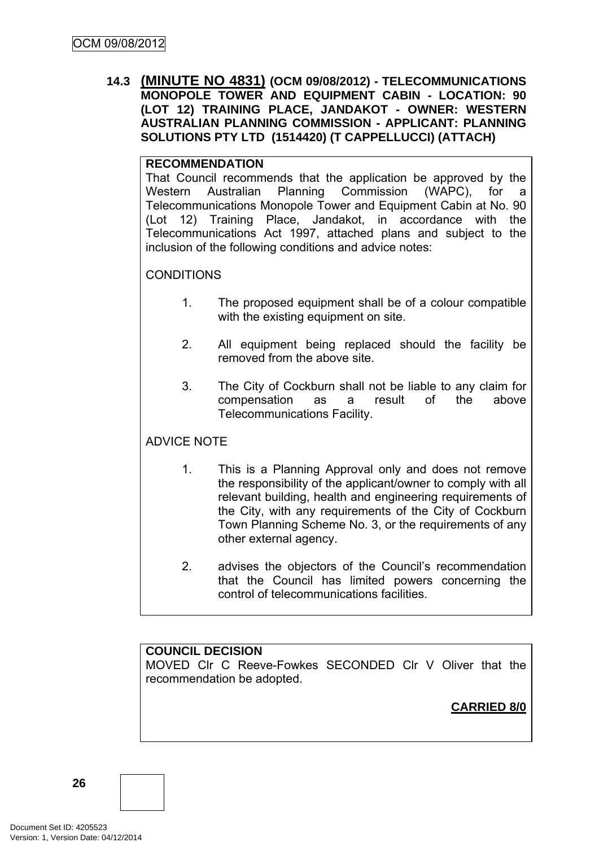**14.3 (MINUTE NO 4831) (OCM 09/08/2012) - TELECOMMUNICATIONS MONOPOLE TOWER AND EQUIPMENT CABIN - LOCATION: 90 (LOT 12) TRAINING PLACE, JANDAKOT - OWNER: WESTERN AUSTRALIAN PLANNING COMMISSION - APPLICANT: PLANNING SOLUTIONS PTY LTD (1514420) (T CAPPELLUCCI) (ATTACH)** 

#### **RECOMMENDATION**

That Council recommends that the application be approved by the Western Australian Planning Commission (WAPC), for a Telecommunications Monopole Tower and Equipment Cabin at No. 90 (Lot 12) Training Place, Jandakot, in accordance with the Telecommunications Act 1997, attached plans and subject to the inclusion of the following conditions and advice notes:

## **CONDITIONS**

- 1. The proposed equipment shall be of a colour compatible with the existing equipment on site.
- 2. All equipment being replaced should the facility be removed from the above site.
- 3. The City of Cockburn shall not be liable to any claim for compensation as a result of the above Telecommunications Facility.

## ADVICE NOTE

- 1. This is a Planning Approval only and does not remove the responsibility of the applicant/owner to comply with all relevant building, health and engineering requirements of the City, with any requirements of the City of Cockburn Town Planning Scheme No. 3, or the requirements of any other external agency.
- 2. advises the objectors of the Council's recommendation that the Council has limited powers concerning the control of telecommunications facilities.

## **COUNCIL DECISION**

MOVED Clr C Reeve-Fowkes SECONDED Clr V Oliver that the recommendation be adopted.

**CARRIED 8/0**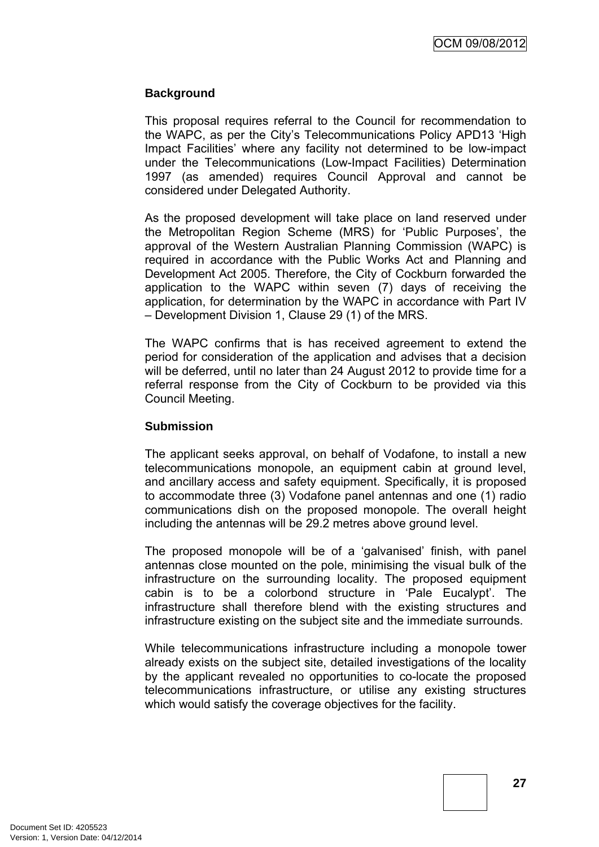#### **Background**

This proposal requires referral to the Council for recommendation to the WAPC, as per the City's Telecommunications Policy APD13 'High Impact Facilities' where any facility not determined to be low-impact under the Telecommunications (Low-Impact Facilities) Determination 1997 (as amended) requires Council Approval and cannot be considered under Delegated Authority.

As the proposed development will take place on land reserved under the Metropolitan Region Scheme (MRS) for 'Public Purposes', the approval of the Western Australian Planning Commission (WAPC) is required in accordance with the Public Works Act and Planning and Development Act 2005. Therefore, the City of Cockburn forwarded the application to the WAPC within seven (7) days of receiving the application, for determination by the WAPC in accordance with Part IV – Development Division 1, Clause 29 (1) of the MRS.

The WAPC confirms that is has received agreement to extend the period for consideration of the application and advises that a decision will be deferred, until no later than 24 August 2012 to provide time for a referral response from the City of Cockburn to be provided via this Council Meeting.

#### **Submission**

The applicant seeks approval, on behalf of Vodafone, to install a new telecommunications monopole, an equipment cabin at ground level, and ancillary access and safety equipment. Specifically, it is proposed to accommodate three (3) Vodafone panel antennas and one (1) radio communications dish on the proposed monopole. The overall height including the antennas will be 29.2 metres above ground level.

The proposed monopole will be of a 'galvanised' finish, with panel antennas close mounted on the pole, minimising the visual bulk of the infrastructure on the surrounding locality. The proposed equipment cabin is to be a colorbond structure in 'Pale Eucalypt'. The infrastructure shall therefore blend with the existing structures and infrastructure existing on the subject site and the immediate surrounds.

While telecommunications infrastructure including a monopole tower already exists on the subject site, detailed investigations of the locality by the applicant revealed no opportunities to co-locate the proposed telecommunications infrastructure, or utilise any existing structures which would satisfy the coverage objectives for the facility.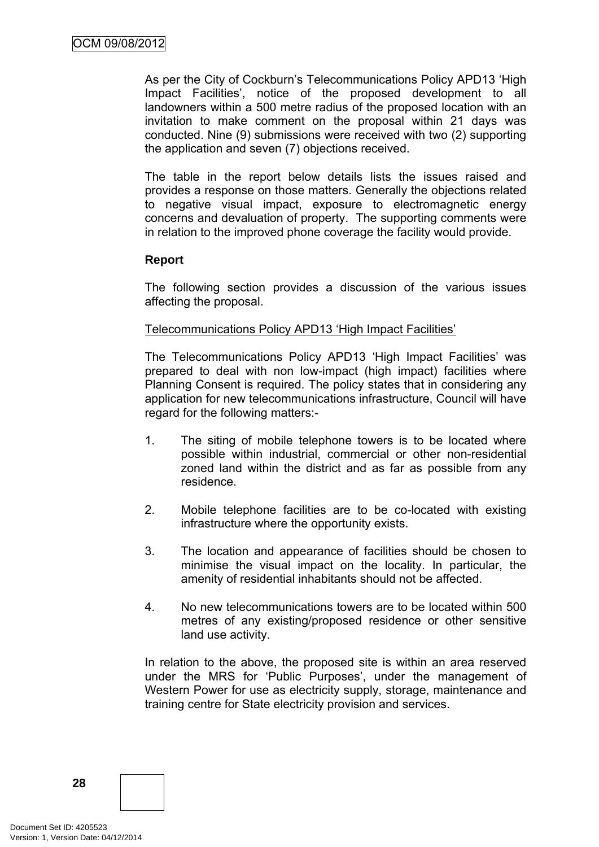As per the City of Cockburn's Telecommunications Policy APD13 'High Impact Facilities', notice of the proposed development to all landowners within a 500 metre radius of the proposed location with an invitation to make comment on the proposal within 21 days was conducted. Nine (9) submissions were received with two (2) supporting the application and seven (7) objections received.

The table in the report below details lists the issues raised and provides a response on those matters. Generally the objections related to negative visual impact, exposure to electromagnetic energy concerns and devaluation of property. The supporting comments were in relation to the improved phone coverage the facility would provide.

#### **Report**

The following section provides a discussion of the various issues affecting the proposal.

#### Telecommunications Policy APD13 'High Impact Facilities'

The Telecommunications Policy APD13 'High Impact Facilities' was prepared to deal with non low-impact (high impact) facilities where Planning Consent is required. The policy states that in considering any application for new telecommunications infrastructure, Council will have regard for the following matters:-

- 1. The siting of mobile telephone towers is to be located where possible within industrial, commercial or other non-residential zoned land within the district and as far as possible from any residence.
- 2. Mobile telephone facilities are to be co-located with existing infrastructure where the opportunity exists.
- 3. The location and appearance of facilities should be chosen to minimise the visual impact on the locality. In particular, the amenity of residential inhabitants should not be affected.
- 4. No new telecommunications towers are to be located within 500 metres of any existing/proposed residence or other sensitive land use activity.

In relation to the above, the proposed site is within an area reserved under the MRS for 'Public Purposes', under the management of Western Power for use as electricity supply, storage, maintenance and training centre for State electricity provision and services.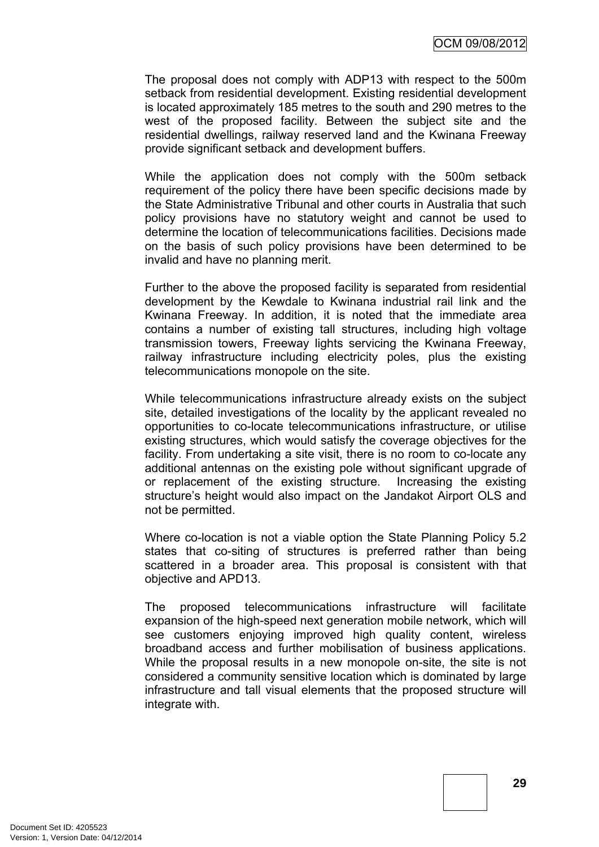The proposal does not comply with ADP13 with respect to the 500m setback from residential development. Existing residential development is located approximately 185 metres to the south and 290 metres to the west of the proposed facility. Between the subject site and the residential dwellings, railway reserved land and the Kwinana Freeway provide significant setback and development buffers.

While the application does not comply with the 500m setback requirement of the policy there have been specific decisions made by the State Administrative Tribunal and other courts in Australia that such policy provisions have no statutory weight and cannot be used to determine the location of telecommunications facilities. Decisions made on the basis of such policy provisions have been determined to be invalid and have no planning merit.

Further to the above the proposed facility is separated from residential development by the Kewdale to Kwinana industrial rail link and the Kwinana Freeway. In addition, it is noted that the immediate area contains a number of existing tall structures, including high voltage transmission towers, Freeway lights servicing the Kwinana Freeway, railway infrastructure including electricity poles, plus the existing telecommunications monopole on the site.

While telecommunications infrastructure already exists on the subject site, detailed investigations of the locality by the applicant revealed no opportunities to co-locate telecommunications infrastructure, or utilise existing structures, which would satisfy the coverage objectives for the facility. From undertaking a site visit, there is no room to co-locate any additional antennas on the existing pole without significant upgrade of or replacement of the existing structure. Increasing the existing structure's height would also impact on the Jandakot Airport OLS and not be permitted.

Where co-location is not a viable option the State Planning Policy 5.2 states that co-siting of structures is preferred rather than being scattered in a broader area. This proposal is consistent with that objective and APD13.

The proposed telecommunications infrastructure will facilitate expansion of the high-speed next generation mobile network, which will see customers enjoying improved high quality content, wireless broadband access and further mobilisation of business applications. While the proposal results in a new monopole on-site, the site is not considered a community sensitive location which is dominated by large infrastructure and tall visual elements that the proposed structure will integrate with.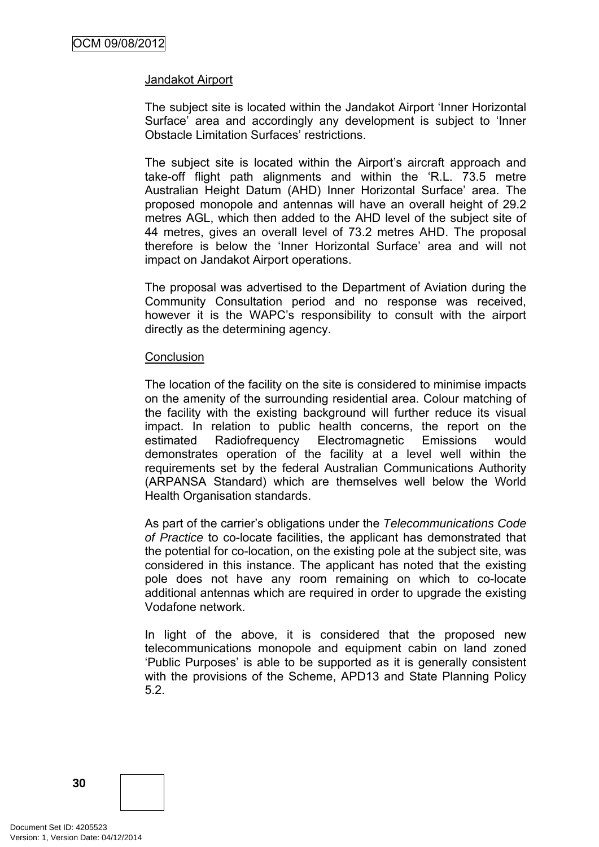## Jandakot Airport

The subject site is located within the Jandakot Airport 'Inner Horizontal Surface' area and accordingly any development is subject to 'Inner Obstacle Limitation Surfaces' restrictions.

The subject site is located within the Airport's aircraft approach and take-off flight path alignments and within the 'R.L. 73.5 metre Australian Height Datum (AHD) Inner Horizontal Surface' area. The proposed monopole and antennas will have an overall height of 29.2 metres AGL, which then added to the AHD level of the subject site of 44 metres, gives an overall level of 73.2 metres AHD. The proposal therefore is below the 'Inner Horizontal Surface' area and will not impact on Jandakot Airport operations.

The proposal was advertised to the Department of Aviation during the Community Consultation period and no response was received, however it is the WAPC's responsibility to consult with the airport directly as the determining agency.

#### **Conclusion**

The location of the facility on the site is considered to minimise impacts on the amenity of the surrounding residential area. Colour matching of the facility with the existing background will further reduce its visual impact. In relation to public health concerns, the report on the estimated Radiofrequency Electromagnetic Emissions would demonstrates operation of the facility at a level well within the requirements set by the federal Australian Communications Authority (ARPANSA Standard) which are themselves well below the World Health Organisation standards.

As part of the carrier's obligations under the *Telecommunications Code of Practice* to co-locate facilities, the applicant has demonstrated that the potential for co-location, on the existing pole at the subject site, was considered in this instance. The applicant has noted that the existing pole does not have any room remaining on which to co-locate additional antennas which are required in order to upgrade the existing Vodafone network.

In light of the above, it is considered that the proposed new telecommunications monopole and equipment cabin on land zoned 'Public Purposes' is able to be supported as it is generally consistent with the provisions of the Scheme, APD13 and State Planning Policy 5.2.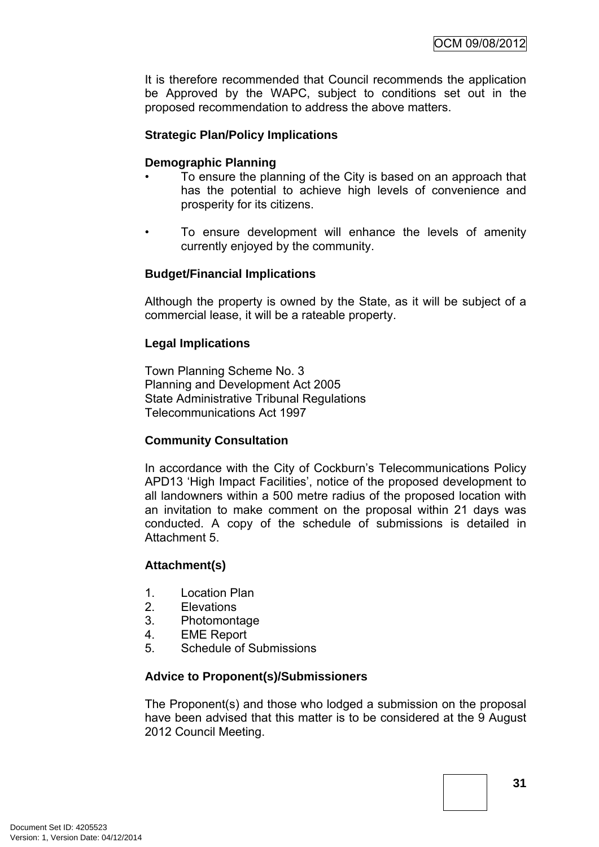It is therefore recommended that Council recommends the application be Approved by the WAPC, subject to conditions set out in the proposed recommendation to address the above matters.

### **Strategic Plan/Policy Implications**

#### **Demographic Planning**

- To ensure the planning of the City is based on an approach that has the potential to achieve high levels of convenience and prosperity for its citizens.
- To ensure development will enhance the levels of amenity currently enjoyed by the community.

#### **Budget/Financial Implications**

Although the property is owned by the State, as it will be subject of a commercial lease, it will be a rateable property.

#### **Legal Implications**

Town Planning Scheme No. 3 Planning and Development Act 2005 State Administrative Tribunal Regulations Telecommunications Act 1997

#### **Community Consultation**

In accordance with the City of Cockburn's Telecommunications Policy APD13 'High Impact Facilities', notice of the proposed development to all landowners within a 500 metre radius of the proposed location with an invitation to make comment on the proposal within 21 days was conducted. A copy of the schedule of submissions is detailed in Attachment 5.

#### **Attachment(s)**

- 1. Location Plan
- 2. Elevations
- 3. Photomontage
- 4. EME Report
- 5. Schedule of Submissions

#### **Advice to Proponent(s)/Submissioners**

The Proponent(s) and those who lodged a submission on the proposal have been advised that this matter is to be considered at the 9 August 2012 Council Meeting.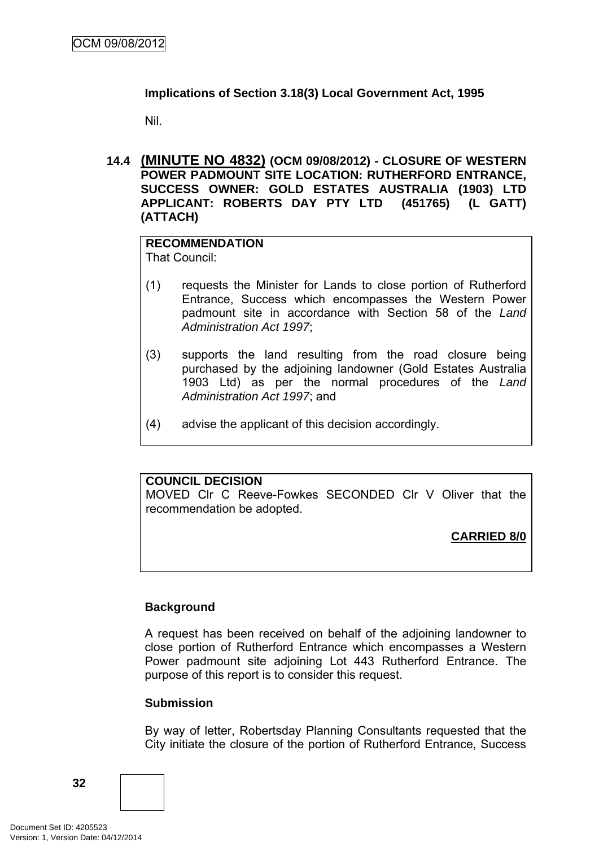## **Implications of Section 3.18(3) Local Government Act, 1995**

Nil.

**14.4 (MINUTE NO 4832) (OCM 09/08/2012) - CLOSURE OF WESTERN POWER PADMOUNT SITE LOCATION: RUTHERFORD ENTRANCE, SUCCESS OWNER: GOLD ESTATES AUSTRALIA (1903) LTD APPLICANT: ROBERTS DAY PTY LTD (451765) (L GATT) (ATTACH)** 

#### **RECOMMENDATION** That Council:

- (1) requests the Minister for Lands to close portion of Rutherford Entrance, Success which encompasses the Western Power padmount site in accordance with Section 58 of the *Land Administration Act 1997*;
- (3) supports the land resulting from the road closure being purchased by the adjoining landowner (Gold Estates Australia 1903 Ltd) as per the normal procedures of the *Land Administration Act 1997*; and
- (4) advise the applicant of this decision accordingly.

## **COUNCIL DECISION**

MOVED Clr C Reeve-Fowkes SECONDED Clr V Oliver that the recommendation be adopted.

**CARRIED 8/0**

## **Background**

A request has been received on behalf of the adjoining landowner to close portion of Rutherford Entrance which encompasses a Western Power padmount site adjoining Lot 443 Rutherford Entrance. The purpose of this report is to consider this request.

#### **Submission**

By way of letter, Robertsday Planning Consultants requested that the City initiate the closure of the portion of Rutherford Entrance, Success

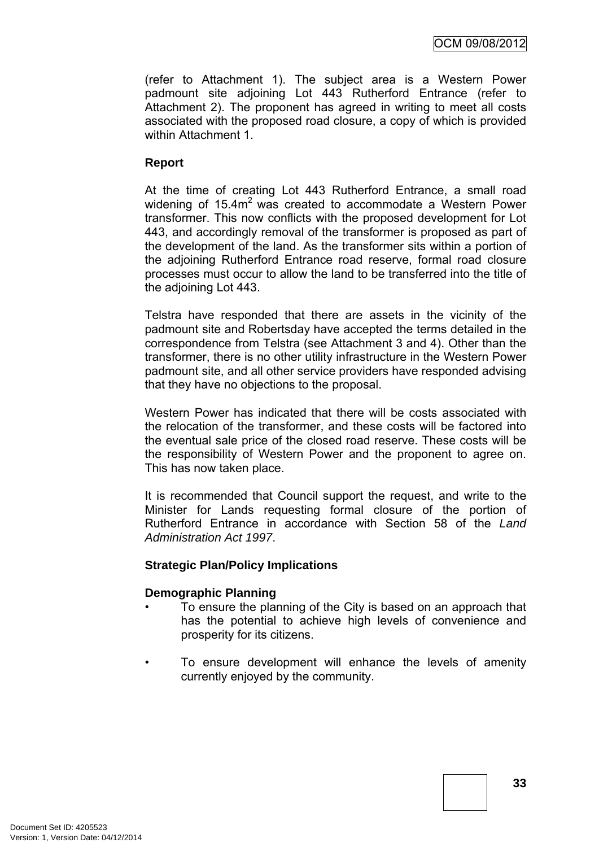(refer to Attachment 1). The subject area is a Western Power padmount site adjoining Lot 443 Rutherford Entrance (refer to Attachment 2). The proponent has agreed in writing to meet all costs associated with the proposed road closure, a copy of which is provided within Attachment 1.

### **Report**

At the time of creating Lot 443 Rutherford Entrance, a small road widening of  $15.4m<sup>2</sup>$  was created to accommodate a Western Power transformer. This now conflicts with the proposed development for Lot 443, and accordingly removal of the transformer is proposed as part of the development of the land. As the transformer sits within a portion of the adjoining Rutherford Entrance road reserve, formal road closure processes must occur to allow the land to be transferred into the title of the adjoining Lot 443.

Telstra have responded that there are assets in the vicinity of the padmount site and Robertsday have accepted the terms detailed in the correspondence from Telstra (see Attachment 3 and 4). Other than the transformer, there is no other utility infrastructure in the Western Power padmount site, and all other service providers have responded advising that they have no objections to the proposal.

Western Power has indicated that there will be costs associated with the relocation of the transformer, and these costs will be factored into the eventual sale price of the closed road reserve. These costs will be the responsibility of Western Power and the proponent to agree on. This has now taken place.

It is recommended that Council support the request, and write to the Minister for Lands requesting formal closure of the portion of Rutherford Entrance in accordance with Section 58 of the *Land Administration Act 1997*.

### **Strategic Plan/Policy Implications**

### **Demographic Planning**

- To ensure the planning of the City is based on an approach that has the potential to achieve high levels of convenience and prosperity for its citizens.
- To ensure development will enhance the levels of amenity currently enjoyed by the community.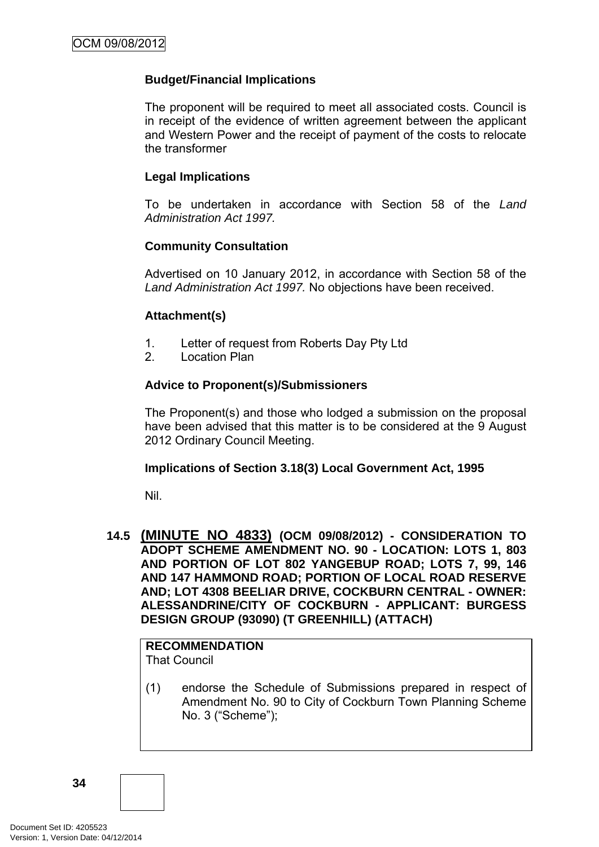### **Budget/Financial Implications**

The proponent will be required to meet all associated costs. Council is in receipt of the evidence of written agreement between the applicant and Western Power and the receipt of payment of the costs to relocate the transformer

### **Legal Implications**

To be undertaken in accordance with Section 58 of the *Land Administration Act 1997.*

### **Community Consultation**

Advertised on 10 January 2012, in accordance with Section 58 of the *Land Administration Act 1997.* No objections have been received.

### **Attachment(s)**

- 1. Letter of request from Roberts Day Pty Ltd
- 2. Location Plan

#### **Advice to Proponent(s)/Submissioners**

The Proponent(s) and those who lodged a submission on the proposal have been advised that this matter is to be considered at the 9 August 2012 Ordinary Council Meeting.

#### **Implications of Section 3.18(3) Local Government Act, 1995**

Nil.

**14.5 (MINUTE NO 4833) (OCM 09/08/2012) - CONSIDERATION TO ADOPT SCHEME AMENDMENT NO. 90 - LOCATION: LOTS 1, 803 AND PORTION OF LOT 802 YANGEBUP ROAD; LOTS 7, 99, 146 AND 147 HAMMOND ROAD; PORTION OF LOCAL ROAD RESERVE AND; LOT 4308 BEELIAR DRIVE, COCKBURN CENTRAL - OWNER: ALESSANDRINE/CITY OF COCKBURN - APPLICANT: BURGESS DESIGN GROUP (93090) (T GREENHILL) (ATTACH)** 

# **RECOMMENDATION**

That Council

(1) endorse the Schedule of Submissions prepared in respect of Amendment No. 90 to City of Cockburn Town Planning Scheme No. 3 ("Scheme");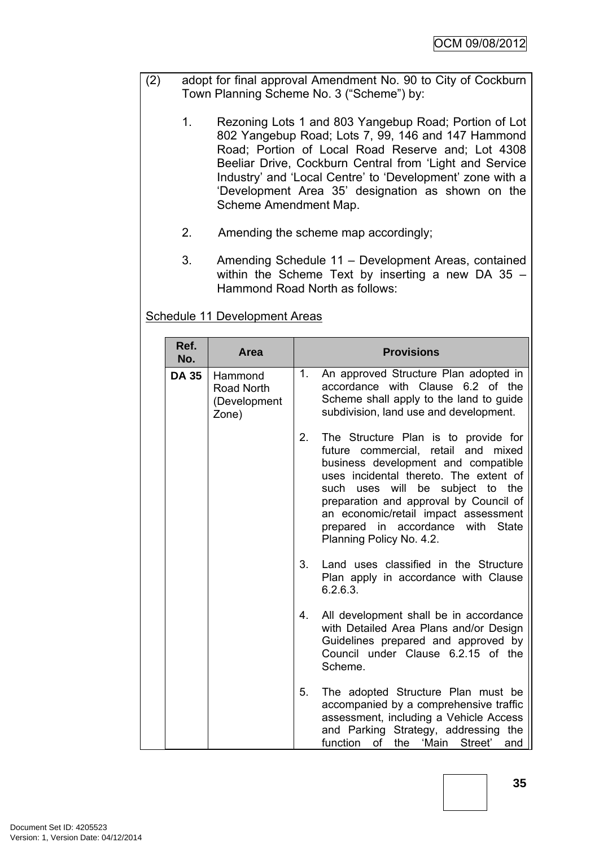- (2) adopt for final approval Amendment No. 90 to City of Cockburn Town Planning Scheme No. 3 ("Scheme") by:
	- 1. Rezoning Lots 1 and 803 Yangebup Road; Portion of Lot 802 Yangebup Road; Lots 7, 99, 146 and 147 Hammond Road; Portion of Local Road Reserve and; Lot 4308 Beeliar Drive, Cockburn Central from 'Light and Service Industry' and 'Local Centre' to 'Development' zone with a 'Development Area 35' designation as shown on the Scheme Amendment Map.
	- 2. Amending the scheme map accordingly;
	- 3. Amending Schedule 11 Development Areas, contained within the Scheme Text by inserting a new DA 35 – Hammond Road North as follows:

### Schedule 11 Development Areas

| Ref.<br>No.  | Area                                           |    | <b>Provisions</b>                                                                                                                                                                                                                                                                                                                                   |
|--------------|------------------------------------------------|----|-----------------------------------------------------------------------------------------------------------------------------------------------------------------------------------------------------------------------------------------------------------------------------------------------------------------------------------------------------|
| <b>DA 35</b> | Hammond<br>Road North<br>(Development<br>Zone) | 1. | An approved Structure Plan adopted in<br>accordance with Clause 6.2 of the<br>Scheme shall apply to the land to guide<br>subdivision, land use and development.                                                                                                                                                                                     |
|              |                                                | 2. | The Structure Plan is to provide for<br>future commercial, retail and mixed<br>business development and compatible<br>uses incidental thereto. The extent of<br>such uses will be subject to the<br>preparation and approval by Council of<br>an economic/retail impact assessment<br>prepared in accordance with State<br>Planning Policy No. 4.2. |
|              |                                                | 3. | Land uses classified in the Structure<br>Plan apply in accordance with Clause<br>6.2.6.3.                                                                                                                                                                                                                                                           |
|              |                                                | 4. | All development shall be in accordance<br>with Detailed Area Plans and/or Design<br>Guidelines prepared and approved by<br>Council under Clause 6.2.15 of the<br>Scheme.                                                                                                                                                                            |
|              |                                                | 5. | The adopted Structure Plan must be<br>accompanied by a comprehensive traffic<br>assessment, including a Vehicle Access<br>and Parking Strategy, addressing the<br>function of the 'Main Street'<br>and                                                                                                                                              |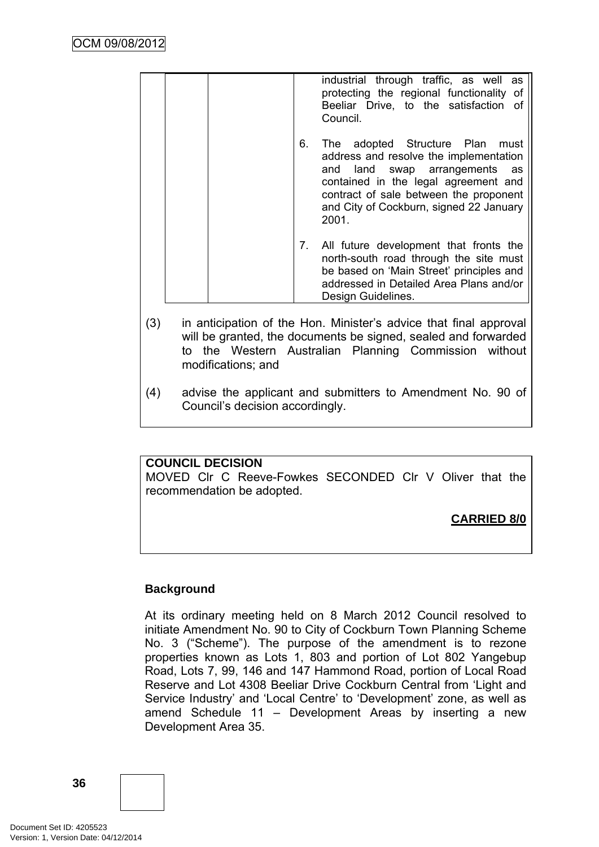|     |    | industrial through traffic, as well<br>as<br>protecting the regional functionality of<br>Beeliar Drive, to the satisfaction<br>of<br>Council.                                                                                                             |
|-----|----|-----------------------------------------------------------------------------------------------------------------------------------------------------------------------------------------------------------------------------------------------------------|
|     | 6. | The adopted Structure Plan<br>must<br>address and resolve the implementation<br>land swap arrangements<br>and<br>as<br>contained in the legal agreement and<br>contract of sale between the proponent<br>and City of Cockburn, signed 22 January<br>2001. |
|     | 7. | All future development that fronts the<br>north-south road through the site must<br>be based on 'Main Street' principles and<br>addressed in Detailed Area Plans and/or<br>Design Guidelines.                                                             |
| (3) |    | in anticipation of the Hon. Minister's advice that final approval<br>will be granted, the documents be signed, sealed and forwarded                                                                                                                       |

- will be granted, the documents be signed, sealed and forwarded to the Western Australian Planning Commission without modifications; and
- (4) advise the applicant and submitters to Amendment No. 90 of Council's decision accordingly.

### **COUNCIL DECISION**

MOVED Clr C Reeve-Fowkes SECONDED Clr V Oliver that the recommendation be adopted.

### **CARRIED 8/0**

### **Background**

At its ordinary meeting held on 8 March 2012 Council resolved to initiate Amendment No. 90 to City of Cockburn Town Planning Scheme No. 3 ("Scheme"). The purpose of the amendment is to rezone properties known as Lots 1, 803 and portion of Lot 802 Yangebup Road, Lots 7, 99, 146 and 147 Hammond Road, portion of Local Road Reserve and Lot 4308 Beeliar Drive Cockburn Central from 'Light and Service Industry' and 'Local Centre' to 'Development' zone, as well as amend Schedule 11 – Development Areas by inserting a new Development Area 35.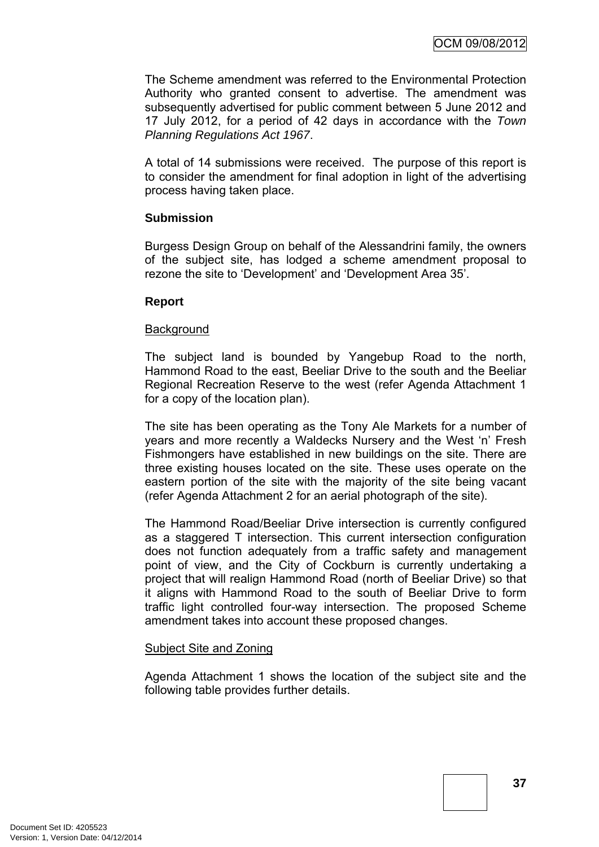The Scheme amendment was referred to the Environmental Protection Authority who granted consent to advertise. The amendment was subsequently advertised for public comment between 5 June 2012 and 17 July 2012, for a period of 42 days in accordance with the *Town Planning Regulations Act 1967*.

A total of 14 submissions were received. The purpose of this report is to consider the amendment for final adoption in light of the advertising process having taken place.

### **Submission**

Burgess Design Group on behalf of the Alessandrini family, the owners of the subject site, has lodged a scheme amendment proposal to rezone the site to 'Development' and 'Development Area 35'.

#### **Report**

#### **Background**

The subject land is bounded by Yangebup Road to the north, Hammond Road to the east, Beeliar Drive to the south and the Beeliar Regional Recreation Reserve to the west (refer Agenda Attachment 1 for a copy of the location plan).

The site has been operating as the Tony Ale Markets for a number of years and more recently a Waldecks Nursery and the West 'n' Fresh Fishmongers have established in new buildings on the site. There are three existing houses located on the site. These uses operate on the eastern portion of the site with the majority of the site being vacant (refer Agenda Attachment 2 for an aerial photograph of the site).

The Hammond Road/Beeliar Drive intersection is currently configured as a staggered T intersection. This current intersection configuration does not function adequately from a traffic safety and management point of view, and the City of Cockburn is currently undertaking a project that will realign Hammond Road (north of Beeliar Drive) so that it aligns with Hammond Road to the south of Beeliar Drive to form traffic light controlled four-way intersection. The proposed Scheme amendment takes into account these proposed changes.

### Subject Site and Zoning

Agenda Attachment 1 shows the location of the subject site and the following table provides further details.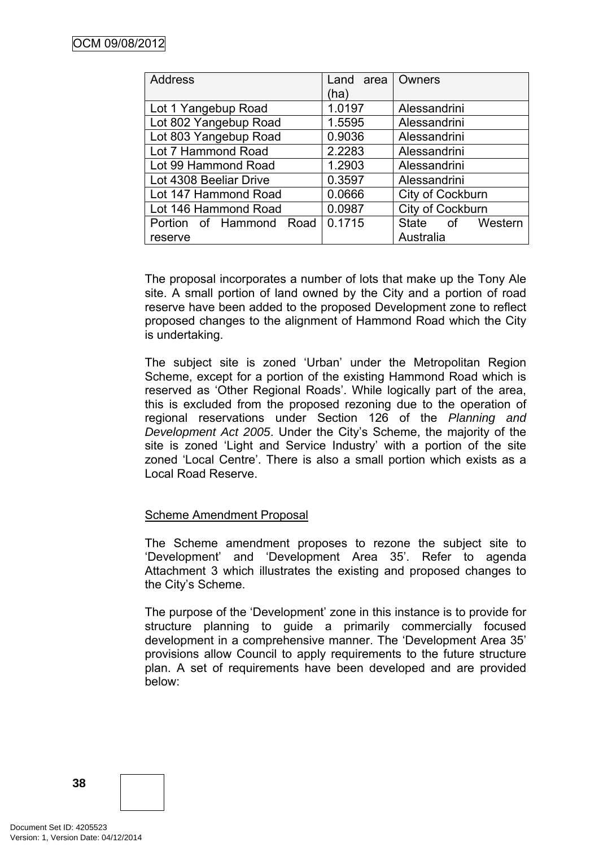| Address                 | Land area | Owners              |  |
|-------------------------|-----------|---------------------|--|
|                         | (ha)      |                     |  |
| Lot 1 Yangebup Road     | 1.0197    | Alessandrini        |  |
| Lot 802 Yangebup Road   | 1.5595    | Alessandrini        |  |
| Lot 803 Yangebup Road   | 0.9036    | Alessandrini        |  |
| Lot 7 Hammond Road      | 2.2283    | Alessandrini        |  |
| Lot 99 Hammond Road     | 1.2903    | Alessandrini        |  |
| Lot 4308 Beeliar Drive  | 0.3597    | Alessandrini        |  |
| Lot 147 Hammond Road    | 0.0666    | City of Cockburn    |  |
| Lot 146 Hammond Road    | 0.0987    | City of Cockburn    |  |
| Portion of Hammond Road | 0.1715    | Western<br>State of |  |
| reserve                 |           | Australia           |  |

The proposal incorporates a number of lots that make up the Tony Ale site. A small portion of land owned by the City and a portion of road reserve have been added to the proposed Development zone to reflect proposed changes to the alignment of Hammond Road which the City is undertaking.

The subject site is zoned 'Urban' under the Metropolitan Region Scheme, except for a portion of the existing Hammond Road which is reserved as 'Other Regional Roads'. While logically part of the area, this is excluded from the proposed rezoning due to the operation of regional reservations under Section 126 of the *Planning and Development Act 2005*. Under the City's Scheme, the majority of the site is zoned 'Light and Service Industry' with a portion of the site zoned 'Local Centre'. There is also a small portion which exists as a Local Road Reserve.

### Scheme Amendment Proposal

The Scheme amendment proposes to rezone the subject site to 'Development' and 'Development Area 35'. Refer to agenda Attachment 3 which illustrates the existing and proposed changes to the City's Scheme.

The purpose of the 'Development' zone in this instance is to provide for structure planning to guide a primarily commercially focused development in a comprehensive manner. The 'Development Area 35' provisions allow Council to apply requirements to the future structure plan. A set of requirements have been developed and are provided below: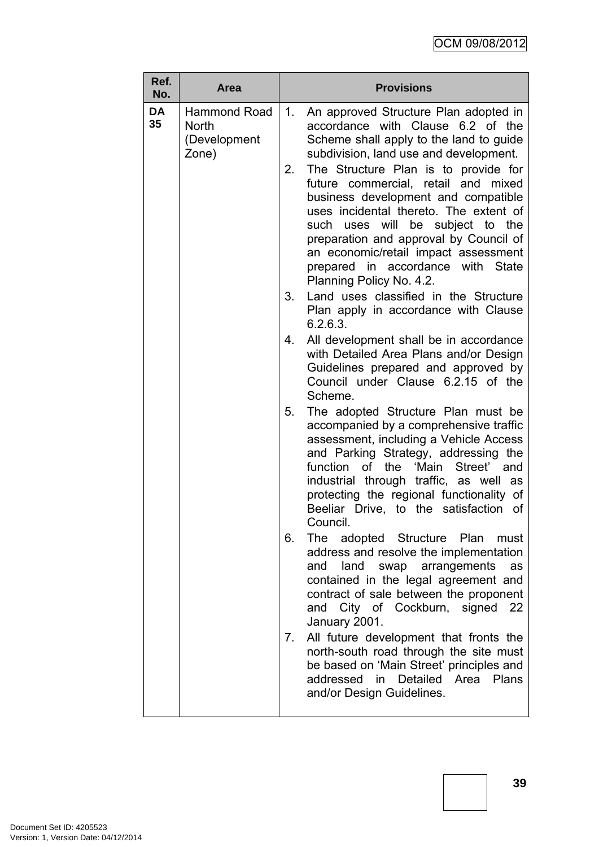| Ref.<br>No.     | Area                                                  | <b>Provisions</b>                                                                                                                                                                                                                                                                                                                                         |
|-----------------|-------------------------------------------------------|-----------------------------------------------------------------------------------------------------------------------------------------------------------------------------------------------------------------------------------------------------------------------------------------------------------------------------------------------------------|
| <b>DA</b><br>35 | Hammond Road<br><b>North</b><br>(Development<br>Zone) | An approved Structure Plan adopted in<br>$1_{-}$<br>accordance with Clause 6.2 of the<br>Scheme shall apply to the land to guide<br>subdivision, land use and development.                                                                                                                                                                                |
|                 |                                                       | 2.<br>The Structure Plan is to provide for<br>future commercial, retail and mixed<br>business development and compatible<br>uses incidental thereto. The extent of<br>such uses will be subject to the<br>preparation and approval by Council of<br>an economic/retail impact assessment<br>prepared in accordance with State<br>Planning Policy No. 4.2. |
|                 |                                                       | Land uses classified in the Structure<br>3.<br>Plan apply in accordance with Clause<br>6.2.6.3.                                                                                                                                                                                                                                                           |
|                 |                                                       | All development shall be in accordance<br>4.<br>with Detailed Area Plans and/or Design<br>Guidelines prepared and approved by<br>Council under Clause 6.2.15 of the<br>Scheme.                                                                                                                                                                            |
|                 |                                                       | 5.<br>The adopted Structure Plan must be<br>accompanied by a comprehensive traffic<br>assessment, including a Vehicle Access<br>and Parking Strategy, addressing the<br>function of the 'Main Street' and<br>industrial through traffic, as well as<br>protecting the regional functionality of<br>Beeliar Drive, to the satisfaction of<br>Council.      |
|                 |                                                       | The<br>adopted Structure Plan<br>6.<br>must<br>address and resolve the implementation<br>land<br>swap arrangements<br>and<br>as<br>contained in the legal agreement and<br>contract of sale between the proponent<br>City of Cockburn, signed<br>and<br>22<br>January 2001.                                                                               |
|                 |                                                       | All future development that fronts the<br>7.<br>north-south road through the site must<br>be based on 'Main Street' principles and<br>addressed in Detailed Area Plans<br>and/or Design Guidelines.                                                                                                                                                       |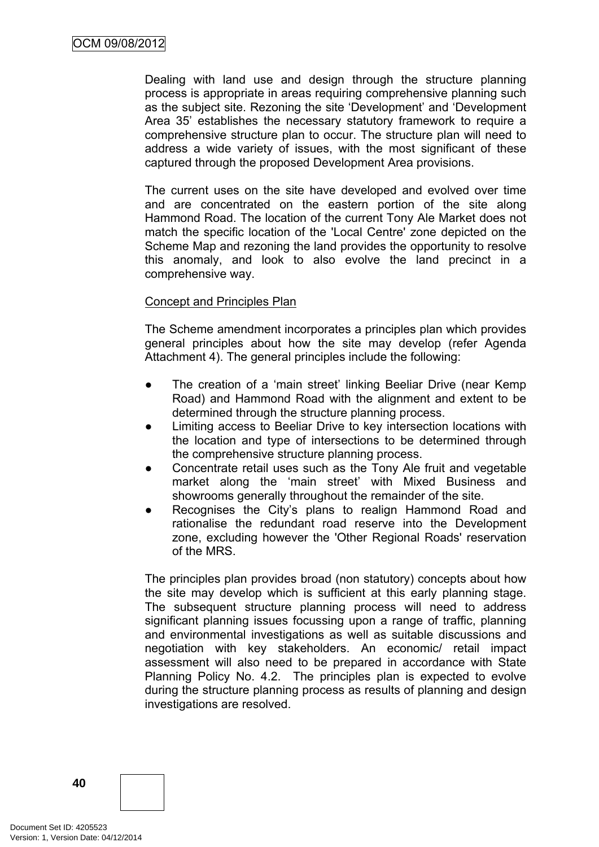Dealing with land use and design through the structure planning process is appropriate in areas requiring comprehensive planning such as the subject site. Rezoning the site 'Development' and 'Development Area 35' establishes the necessary statutory framework to require a comprehensive structure plan to occur. The structure plan will need to address a wide variety of issues, with the most significant of these captured through the proposed Development Area provisions.

The current uses on the site have developed and evolved over time and are concentrated on the eastern portion of the site along Hammond Road. The location of the current Tony Ale Market does not match the specific location of the 'Local Centre' zone depicted on the Scheme Map and rezoning the land provides the opportunity to resolve this anomaly, and look to also evolve the land precinct in a comprehensive way.

### Concept and Principles Plan

The Scheme amendment incorporates a principles plan which provides general principles about how the site may develop (refer Agenda Attachment 4). The general principles include the following:

- The creation of a 'main street' linking Beeliar Drive (near Kemp Road) and Hammond Road with the alignment and extent to be determined through the structure planning process.
- Limiting access to Beeliar Drive to key intersection locations with the location and type of intersections to be determined through the comprehensive structure planning process.
- Concentrate retail uses such as the Tony Ale fruit and vegetable market along the 'main street' with Mixed Business and showrooms generally throughout the remainder of the site.
- Recognises the City's plans to realign Hammond Road and rationalise the redundant road reserve into the Development zone, excluding however the 'Other Regional Roads' reservation of the MRS.

The principles plan provides broad (non statutory) concepts about how the site may develop which is sufficient at this early planning stage. The subsequent structure planning process will need to address significant planning issues focussing upon a range of traffic, planning and environmental investigations as well as suitable discussions and negotiation with key stakeholders. An economic/ retail impact assessment will also need to be prepared in accordance with State Planning Policy No. 4.2. The principles plan is expected to evolve during the structure planning process as results of planning and design investigations are resolved.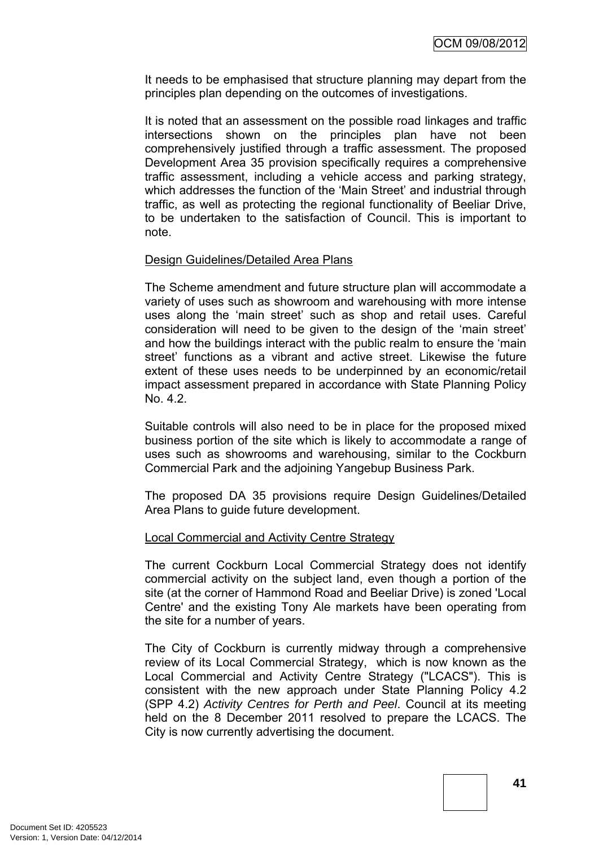It needs to be emphasised that structure planning may depart from the principles plan depending on the outcomes of investigations.

It is noted that an assessment on the possible road linkages and traffic intersections shown on the principles plan have not been comprehensively justified through a traffic assessment. The proposed Development Area 35 provision specifically requires a comprehensive traffic assessment, including a vehicle access and parking strategy, which addresses the function of the 'Main Street' and industrial through traffic, as well as protecting the regional functionality of Beeliar Drive, to be undertaken to the satisfaction of Council. This is important to note.

### Design Guidelines/Detailed Area Plans

The Scheme amendment and future structure plan will accommodate a variety of uses such as showroom and warehousing with more intense uses along the 'main street' such as shop and retail uses. Careful consideration will need to be given to the design of the 'main street' and how the buildings interact with the public realm to ensure the 'main street' functions as a vibrant and active street. Likewise the future extent of these uses needs to be underpinned by an economic/retail impact assessment prepared in accordance with State Planning Policy  $No. 4.2.$ 

Suitable controls will also need to be in place for the proposed mixed business portion of the site which is likely to accommodate a range of uses such as showrooms and warehousing, similar to the Cockburn Commercial Park and the adjoining Yangebup Business Park.

The proposed DA 35 provisions require Design Guidelines/Detailed Area Plans to guide future development.

#### Local Commercial and Activity Centre Strategy

The current Cockburn Local Commercial Strategy does not identify commercial activity on the subject land, even though a portion of the site (at the corner of Hammond Road and Beeliar Drive) is zoned 'Local Centre' and the existing Tony Ale markets have been operating from the site for a number of years.

The City of Cockburn is currently midway through a comprehensive review of its Local Commercial Strategy, which is now known as the Local Commercial and Activity Centre Strategy ("LCACS"). This is consistent with the new approach under State Planning Policy 4.2 (SPP 4.2) *Activity Centres for Perth and Peel*. Council at its meeting held on the 8 December 2011 resolved to prepare the LCACS. The City is now currently advertising the document.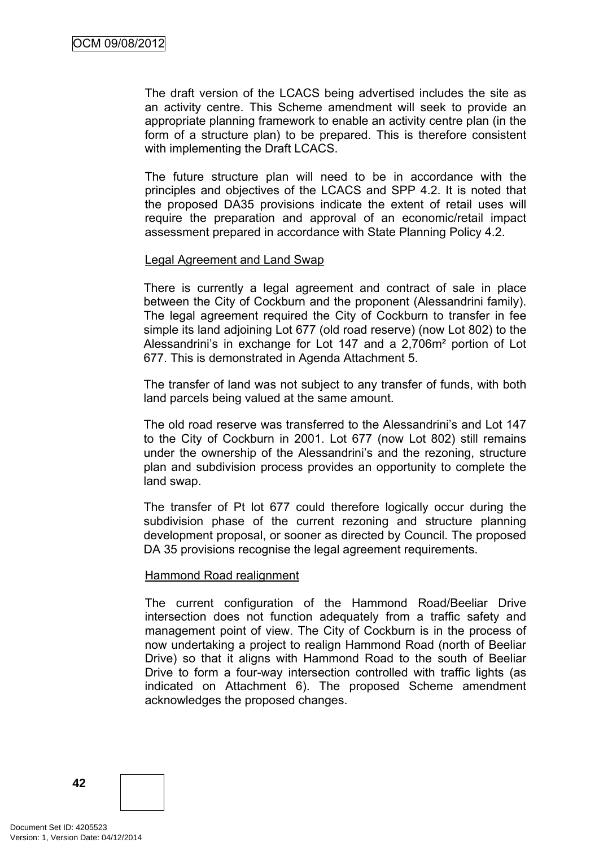The draft version of the LCACS being advertised includes the site as an activity centre. This Scheme amendment will seek to provide an appropriate planning framework to enable an activity centre plan (in the form of a structure plan) to be prepared. This is therefore consistent with implementing the Draft LCACS.

The future structure plan will need to be in accordance with the principles and objectives of the LCACS and SPP 4.2. It is noted that the proposed DA35 provisions indicate the extent of retail uses will require the preparation and approval of an economic/retail impact assessment prepared in accordance with State Planning Policy 4.2.

#### Legal Agreement and Land Swap

There is currently a legal agreement and contract of sale in place between the City of Cockburn and the proponent (Alessandrini family). The legal agreement required the City of Cockburn to transfer in fee simple its land adjoining Lot 677 (old road reserve) (now Lot 802) to the Alessandrini's in exchange for Lot 147 and a 2,706m² portion of Lot 677. This is demonstrated in Agenda Attachment 5.

The transfer of land was not subject to any transfer of funds, with both land parcels being valued at the same amount.

The old road reserve was transferred to the Alessandrini's and Lot 147 to the City of Cockburn in 2001. Lot 677 (now Lot 802) still remains under the ownership of the Alessandrini's and the rezoning, structure plan and subdivision process provides an opportunity to complete the land swap.

The transfer of Pt lot 677 could therefore logically occur during the subdivision phase of the current rezoning and structure planning development proposal, or sooner as directed by Council. The proposed DA 35 provisions recognise the legal agreement requirements.

#### Hammond Road realignment

The current configuration of the Hammond Road/Beeliar Drive intersection does not function adequately from a traffic safety and management point of view. The City of Cockburn is in the process of now undertaking a project to realign Hammond Road (north of Beeliar Drive) so that it aligns with Hammond Road to the south of Beeliar Drive to form a four-way intersection controlled with traffic lights (as indicated on Attachment 6). The proposed Scheme amendment acknowledges the proposed changes.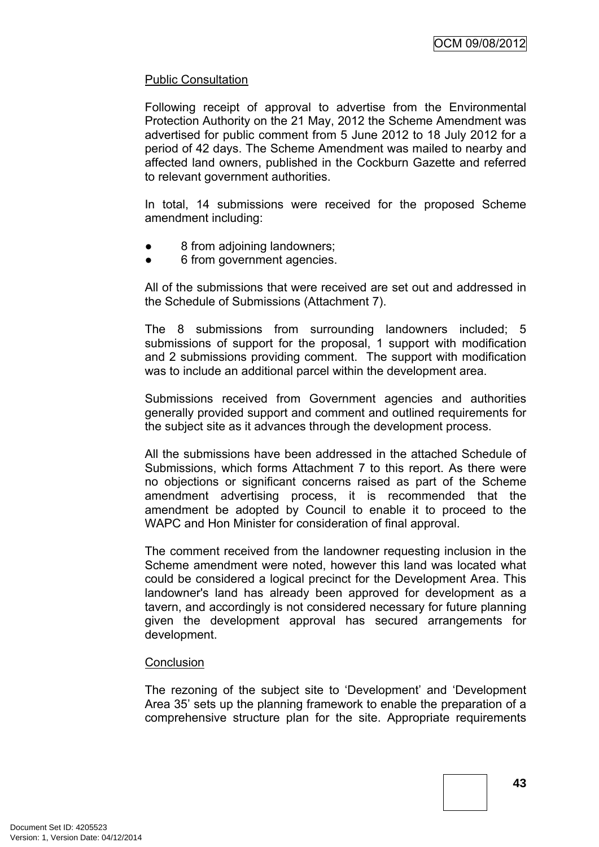### Public Consultation

Following receipt of approval to advertise from the Environmental Protection Authority on the 21 May, 2012 the Scheme Amendment was advertised for public comment from 5 June 2012 to 18 July 2012 for a period of 42 days. The Scheme Amendment was mailed to nearby and affected land owners, published in the Cockburn Gazette and referred to relevant government authorities.

In total, 14 submissions were received for the proposed Scheme amendment including:

- 8 from adjoining landowners;
- 6 from government agencies.

All of the submissions that were received are set out and addressed in the Schedule of Submissions (Attachment 7).

The 8 submissions from surrounding landowners included; 5 submissions of support for the proposal, 1 support with modification and 2 submissions providing comment. The support with modification was to include an additional parcel within the development area.

Submissions received from Government agencies and authorities generally provided support and comment and outlined requirements for the subject site as it advances through the development process.

All the submissions have been addressed in the attached Schedule of Submissions, which forms Attachment 7 to this report. As there were no objections or significant concerns raised as part of the Scheme amendment advertising process, it is recommended that the amendment be adopted by Council to enable it to proceed to the WAPC and Hon Minister for consideration of final approval.

The comment received from the landowner requesting inclusion in the Scheme amendment were noted, however this land was located what could be considered a logical precinct for the Development Area. This landowner's land has already been approved for development as a tavern, and accordingly is not considered necessary for future planning given the development approval has secured arrangements for development.

### **Conclusion**

The rezoning of the subject site to 'Development' and 'Development Area 35' sets up the planning framework to enable the preparation of a comprehensive structure plan for the site. Appropriate requirements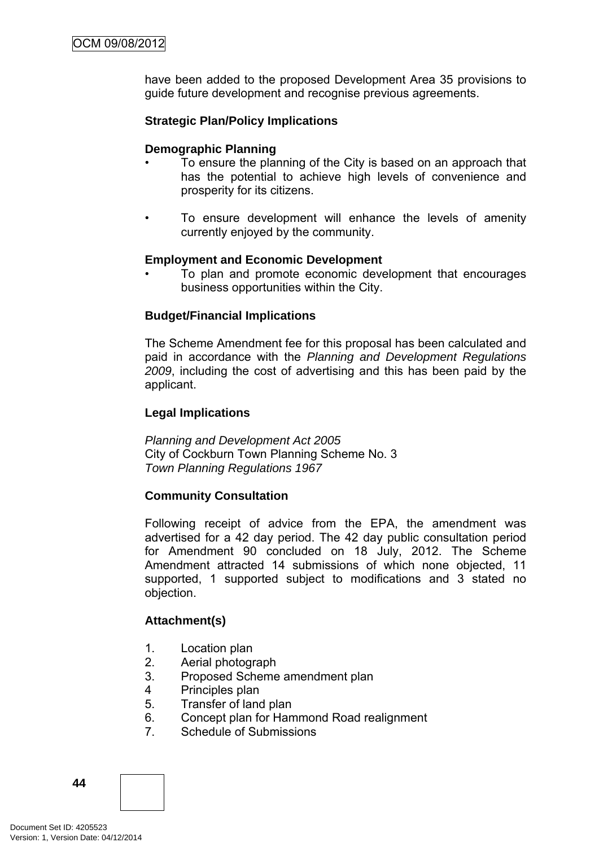have been added to the proposed Development Area 35 provisions to guide future development and recognise previous agreements.

### **Strategic Plan/Policy Implications**

### **Demographic Planning**

- To ensure the planning of the City is based on an approach that has the potential to achieve high levels of convenience and prosperity for its citizens.
- To ensure development will enhance the levels of amenity currently enjoyed by the community.

### **Employment and Economic Development**

• To plan and promote economic development that encourages business opportunities within the City.

### **Budget/Financial Implications**

The Scheme Amendment fee for this proposal has been calculated and paid in accordance with the *Planning and Development Regulations 2009*, including the cost of advertising and this has been paid by the applicant.

### **Legal Implications**

*Planning and Development Act 2005*  City of Cockburn Town Planning Scheme No. 3 *Town Planning Regulations 1967* 

### **Community Consultation**

Following receipt of advice from the EPA, the amendment was advertised for a 42 day period. The 42 day public consultation period for Amendment 90 concluded on 18 July, 2012. The Scheme Amendment attracted 14 submissions of which none objected, 11 supported, 1 supported subject to modifications and 3 stated no objection.

### **Attachment(s)**

- 1. Location plan
- 2. Aerial photograph
- 3. Proposed Scheme amendment plan
- 4 Principles plan
- 5. Transfer of land plan
- 6. Concept plan for Hammond Road realignment
- 7. Schedule of Submissions

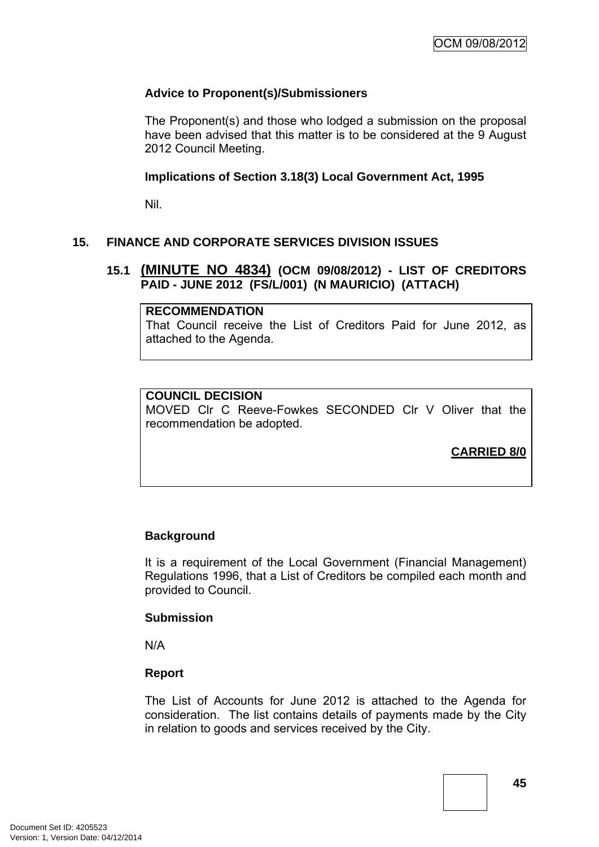### **Advice to Proponent(s)/Submissioners**

The Proponent(s) and those who lodged a submission on the proposal have been advised that this matter is to be considered at the 9 August 2012 Council Meeting.

### **Implications of Section 3.18(3) Local Government Act, 1995**

Nil.

### **15. FINANCE AND CORPORATE SERVICES DIVISION ISSUES**

### **15.1 (MINUTE NO 4834) (OCM 09/08/2012) - LIST OF CREDITORS PAID - JUNE 2012 (FS/L/001) (N MAURICIO) (ATTACH)**

### **RECOMMENDATION**

That Council receive the List of Creditors Paid for June 2012, as attached to the Agenda.

### **COUNCIL DECISION**

MOVED Clr C Reeve-Fowkes SECONDED Clr V Oliver that the recommendation be adopted.

**CARRIED 8/0**

### **Background**

It is a requirement of the Local Government (Financial Management) Regulations 1996, that a List of Creditors be compiled each month and provided to Council.

### **Submission**

N/A

### **Report**

The List of Accounts for June 2012 is attached to the Agenda for consideration. The list contains details of payments made by the City in relation to goods and services received by the City.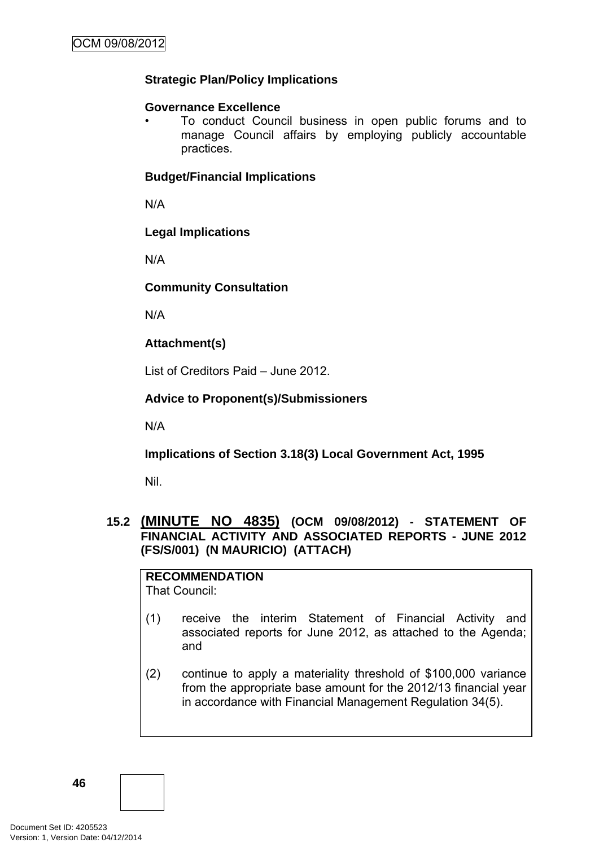### **Strategic Plan/Policy Implications**

#### **Governance Excellence**

• To conduct Council business in open public forums and to manage Council affairs by employing publicly accountable practices.

### **Budget/Financial Implications**

N/A

### **Legal Implications**

N/A

### **Community Consultation**

N/A

### **Attachment(s)**

List of Creditors Paid – June 2012.

### **Advice to Proponent(s)/Submissioners**

N/A

### **Implications of Section 3.18(3) Local Government Act, 1995**

Nil.

### **15.2 (MINUTE NO 4835) (OCM 09/08/2012) - STATEMENT OF FINANCIAL ACTIVITY AND ASSOCIATED REPORTS - JUNE 2012 (FS/S/001) (N MAURICIO) (ATTACH)**

**RECOMMENDATION** That Council:

- (1) receive the interim Statement of Financial Activity and associated reports for June 2012, as attached to the Agenda; and
- (2) continue to apply a materiality threshold of \$100,000 variance from the appropriate base amount for the 2012/13 financial year in accordance with Financial Management Regulation 34(5).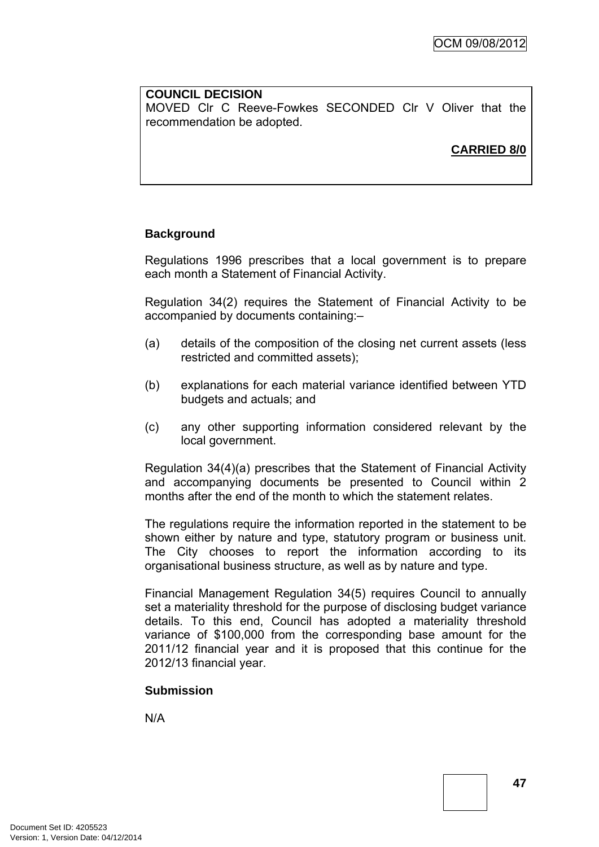### **COUNCIL DECISION**  MOVED Clr C Reeve-Fowkes SECONDED Clr V Oliver that the recommendation be adopted.

### **CARRIED 8/0**

### **Background**

Regulations 1996 prescribes that a local government is to prepare each month a Statement of Financial Activity.

Regulation 34(2) requires the Statement of Financial Activity to be accompanied by documents containing:–

- (a) details of the composition of the closing net current assets (less restricted and committed assets);
- (b) explanations for each material variance identified between YTD budgets and actuals; and
- (c) any other supporting information considered relevant by the local government.

Regulation 34(4)(a) prescribes that the Statement of Financial Activity and accompanying documents be presented to Council within 2 months after the end of the month to which the statement relates.

The regulations require the information reported in the statement to be shown either by nature and type, statutory program or business unit. The City chooses to report the information according to its organisational business structure, as well as by nature and type.

Financial Management Regulation 34(5) requires Council to annually set a materiality threshold for the purpose of disclosing budget variance details. To this end, Council has adopted a materiality threshold variance of \$100,000 from the corresponding base amount for the 2011/12 financial year and it is proposed that this continue for the 2012/13 financial year.

### **Submission**

N/A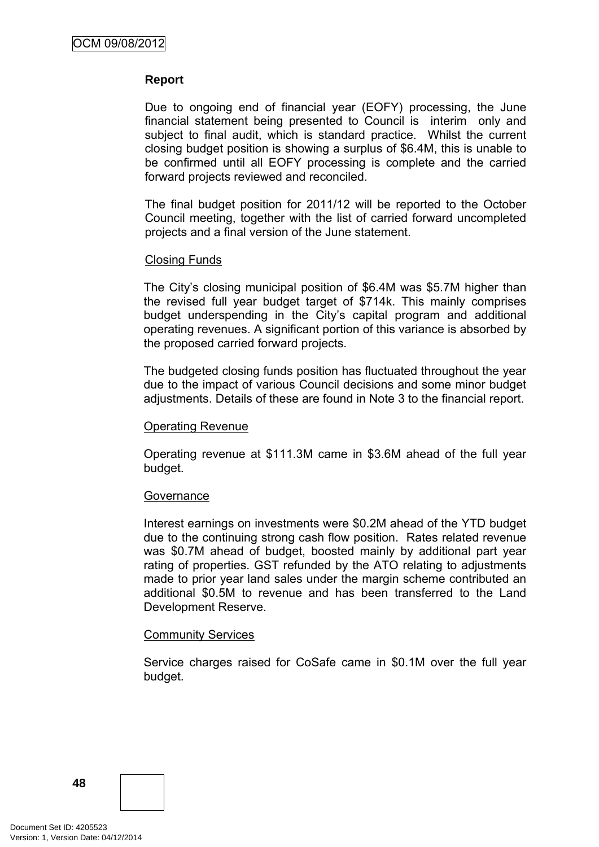### **Report**

Due to ongoing end of financial year (EOFY) processing, the June financial statement being presented to Council is interim only and subject to final audit, which is standard practice. Whilst the current closing budget position is showing a surplus of \$6.4M, this is unable to be confirmed until all EOFY processing is complete and the carried forward projects reviewed and reconciled.

The final budget position for 2011/12 will be reported to the October Council meeting, together with the list of carried forward uncompleted projects and a final version of the June statement.

#### Closing Funds

The City's closing municipal position of \$6.4M was \$5.7M higher than the revised full year budget target of \$714k. This mainly comprises budget underspending in the City's capital program and additional operating revenues. A significant portion of this variance is absorbed by the proposed carried forward projects.

The budgeted closing funds position has fluctuated throughout the year due to the impact of various Council decisions and some minor budget adjustments. Details of these are found in Note 3 to the financial report.

#### Operating Revenue

Operating revenue at \$111.3M came in \$3.6M ahead of the full year budget.

#### **Governance**

Interest earnings on investments were \$0.2M ahead of the YTD budget due to the continuing strong cash flow position. Rates related revenue was \$0.7M ahead of budget, boosted mainly by additional part year rating of properties. GST refunded by the ATO relating to adjustments made to prior year land sales under the margin scheme contributed an additional \$0.5M to revenue and has been transferred to the Land Development Reserve.

#### Community Services

Service charges raised for CoSafe came in \$0.1M over the full year budget.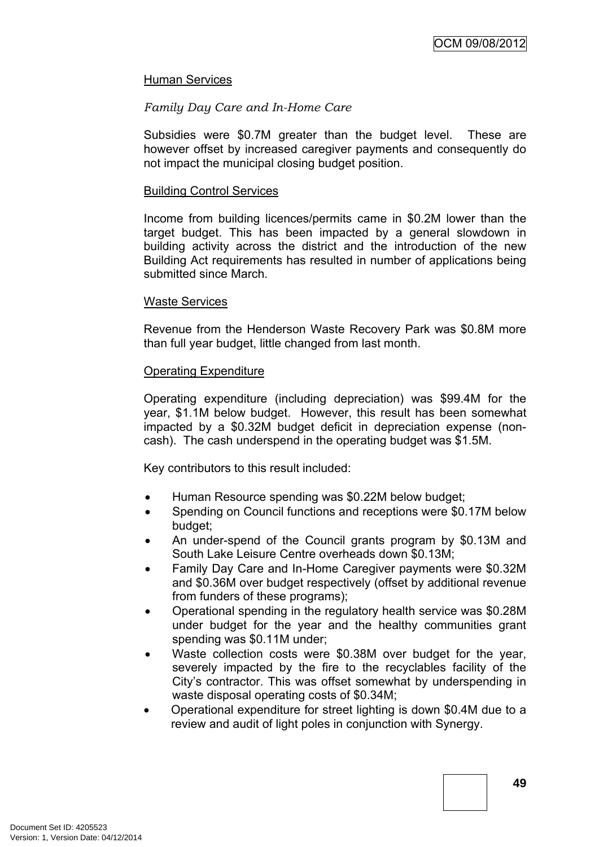### Human Services

### *Family Day Care and In-Home Care*

Subsidies were \$0.7M greater than the budget level. These are however offset by increased caregiver payments and consequently do not impact the municipal closing budget position.

### Building Control Services

Income from building licences/permits came in \$0.2M lower than the target budget. This has been impacted by a general slowdown in building activity across the district and the introduction of the new Building Act requirements has resulted in number of applications being submitted since March.

#### Waste Services

Revenue from the Henderson Waste Recovery Park was \$0.8M more than full year budget, little changed from last month.

#### Operating Expenditure

Operating expenditure (including depreciation) was \$99.4M for the year, \$1.1M below budget. However, this result has been somewhat impacted by a \$0.32M budget deficit in depreciation expense (noncash). The cash underspend in the operating budget was \$1.5M.

Key contributors to this result included:

- Human Resource spending was \$0.22M below budget;
- Spending on Council functions and receptions were \$0.17M below budget;
- An under-spend of the Council grants program by \$0.13M and South Lake Leisure Centre overheads down \$0.13M;
- Family Day Care and In-Home Caregiver payments were \$0.32M and \$0.36M over budget respectively (offset by additional revenue from funders of these programs);
- Operational spending in the regulatory health service was \$0.28M under budget for the year and the healthy communities grant spending was \$0.11M under;
- Waste collection costs were \$0.38M over budget for the year, severely impacted by the fire to the recyclables facility of the City's contractor. This was offset somewhat by underspending in waste disposal operating costs of \$0.34M;
- Operational expenditure for street lighting is down \$0.4M due to a review and audit of light poles in conjunction with Synergy.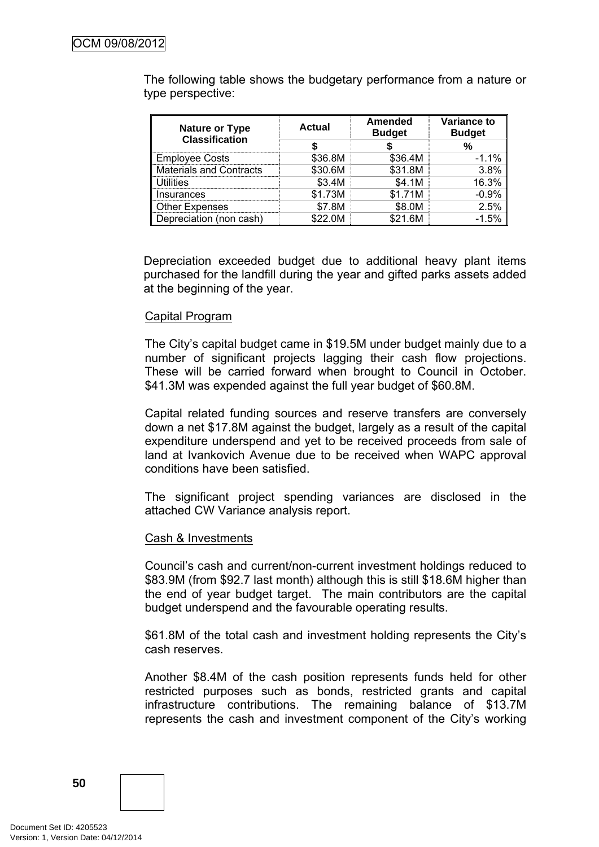| <b>Nature or Type</b>          | Actual  | Amended<br><b>Budget</b> | <b>Variance to</b><br><b>Budget</b> |  |
|--------------------------------|---------|--------------------------|-------------------------------------|--|
| <b>Classification</b>          |         |                          | %                                   |  |
| <b>Employee Costs</b>          | \$36.8M | \$36.4M                  | $-1.1%$                             |  |
| <b>Materials and Contracts</b> | \$30.6M | \$31.8M                  | 3.8%                                |  |
| Utilities                      | \$3.4M  | \$4.1M                   | 16.3%                               |  |
| Insurances                     | \$1.73M | \$1.71M                  | $-0.9%$                             |  |
| <b>Other Expenses</b>          | \$7.8M  | \$8.0M                   | 2.5%                                |  |
| Depreciation (non cash)        | \$22.0M | \$21.6M                  | $-1.5%$                             |  |

The following table shows the budgetary performance from a nature or type perspective:

Depreciation exceeded budget due to additional heavy plant items purchased for the landfill during the year and gifted parks assets added at the beginning of the year.

#### Capital Program

The City's capital budget came in \$19.5M under budget mainly due to a number of significant projects lagging their cash flow projections. These will be carried forward when brought to Council in October. \$41.3M was expended against the full year budget of \$60.8M.

Capital related funding sources and reserve transfers are conversely down a net \$17.8M against the budget, largely as a result of the capital expenditure underspend and yet to be received proceeds from sale of land at Ivankovich Avenue due to be received when WAPC approval conditions have been satisfied.

The significant project spending variances are disclosed in the attached CW Variance analysis report.

### Cash & Investments

Council's cash and current/non-current investment holdings reduced to \$83.9M (from \$92.7 last month) although this is still \$18.6M higher than the end of year budget target. The main contributors are the capital budget underspend and the favourable operating results.

\$61.8M of the total cash and investment holding represents the City's cash reserves.

Another \$8.4M of the cash position represents funds held for other restricted purposes such as bonds, restricted grants and capital infrastructure contributions. The remaining balance of \$13.7M represents the cash and investment component of the City's working

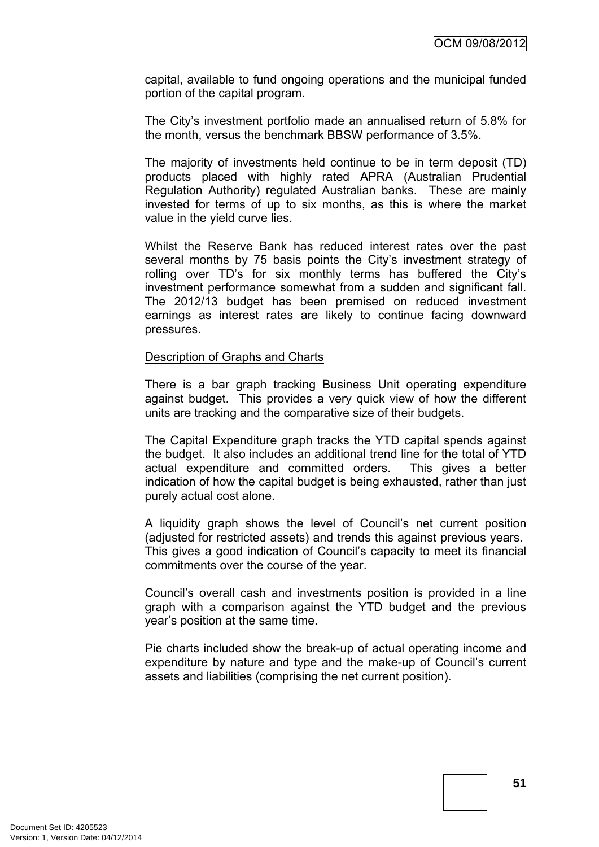capital, available to fund ongoing operations and the municipal funded portion of the capital program.

The City's investment portfolio made an annualised return of 5.8% for the month, versus the benchmark BBSW performance of 3.5%.

The majority of investments held continue to be in term deposit (TD) products placed with highly rated APRA (Australian Prudential Regulation Authority) regulated Australian banks. These are mainly invested for terms of up to six months, as this is where the market value in the yield curve lies.

Whilst the Reserve Bank has reduced interest rates over the past several months by 75 basis points the City's investment strategy of rolling over TD's for six monthly terms has buffered the City's investment performance somewhat from a sudden and significant fall. The 2012/13 budget has been premised on reduced investment earnings as interest rates are likely to continue facing downward pressures.

#### Description of Graphs and Charts

There is a bar graph tracking Business Unit operating expenditure against budget. This provides a very quick view of how the different units are tracking and the comparative size of their budgets.

The Capital Expenditure graph tracks the YTD capital spends against the budget. It also includes an additional trend line for the total of YTD actual expenditure and committed orders. This gives a better indication of how the capital budget is being exhausted, rather than just purely actual cost alone.

A liquidity graph shows the level of Council's net current position (adjusted for restricted assets) and trends this against previous years. This gives a good indication of Council's capacity to meet its financial commitments over the course of the year.

Council's overall cash and investments position is provided in a line graph with a comparison against the YTD budget and the previous year's position at the same time.

Pie charts included show the break-up of actual operating income and expenditure by nature and type and the make-up of Council's current assets and liabilities (comprising the net current position).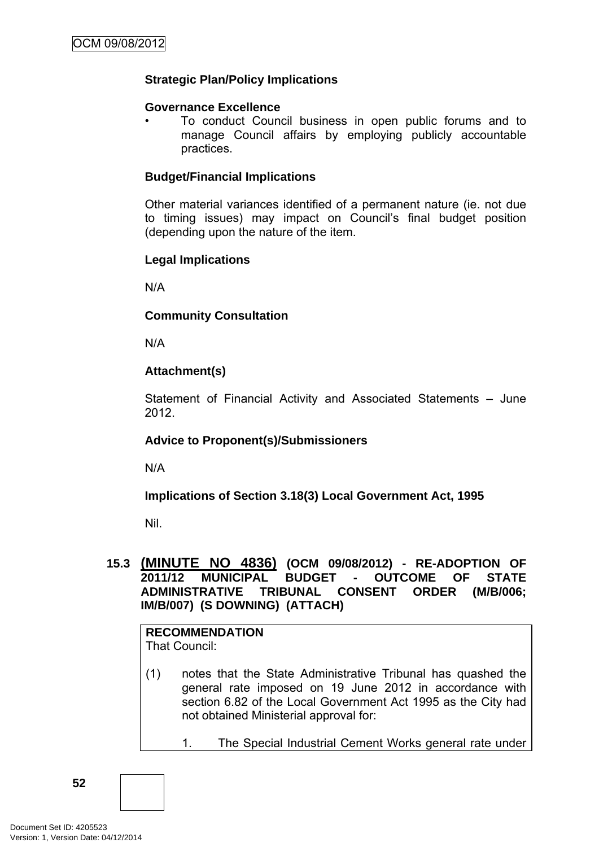### **Strategic Plan/Policy Implications**

### **Governance Excellence**

• To conduct Council business in open public forums and to manage Council affairs by employing publicly accountable practices.

### **Budget/Financial Implications**

Other material variances identified of a permanent nature (ie. not due to timing issues) may impact on Council's final budget position (depending upon the nature of the item.

### **Legal Implications**

N/A

### **Community Consultation**

N/A

### **Attachment(s)**

Statement of Financial Activity and Associated Statements – June 2012.

### **Advice to Proponent(s)/Submissioners**

N/A

**Implications of Section 3.18(3) Local Government Act, 1995**

Nil.

### **15.3 (MINUTE NO 4836) (OCM 09/08/2012) - RE-ADOPTION OF 2011/12 MUNICIPAL BUDGET - OUTCOME OF STATE ADMINISTRATIVE TRIBUNAL CONSENT ORDER (M/B/006; IM/B/007) (S DOWNING) (ATTACH)**

**RECOMMENDATION** That Council:

- (1) notes that the State Administrative Tribunal has quashed the general rate imposed on 19 June 2012 in accordance with section 6.82 of the Local Government Act 1995 as the City had not obtained Ministerial approval for:
	- 1. The Special Industrial Cement Works general rate under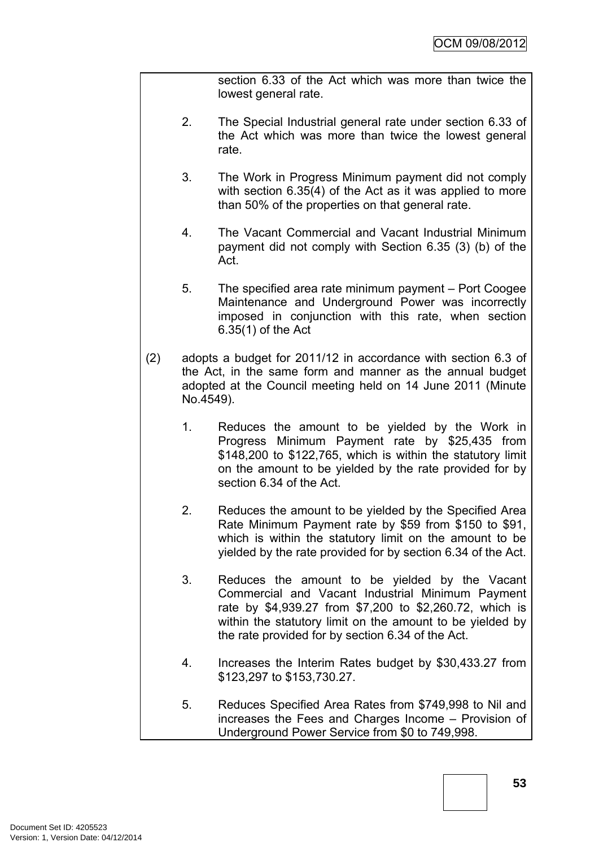section 6.33 of the Act which was more than twice the lowest general rate.

- 2. The Special Industrial general rate under section 6.33 of the Act which was more than twice the lowest general rate.
- 3. The Work in Progress Minimum payment did not comply with section 6.35(4) of the Act as it was applied to more than 50% of the properties on that general rate.
- 4. The Vacant Commercial and Vacant Industrial Minimum payment did not comply with Section 6.35 (3) (b) of the Act.
- 5. The specified area rate minimum payment Port Coogee Maintenance and Underground Power was incorrectly imposed in conjunction with this rate, when section 6.35(1) of the Act
- (2) adopts a budget for 2011/12 in accordance with section 6.3 of the Act, in the same form and manner as the annual budget adopted at the Council meeting held on 14 June 2011 (Minute No.4549).
	- 1. Reduces the amount to be yielded by the Work in Progress Minimum Payment rate by \$25,435 from \$148,200 to \$122,765, which is within the statutory limit on the amount to be yielded by the rate provided for by section 6.34 of the Act.
	- 2. Reduces the amount to be yielded by the Specified Area Rate Minimum Payment rate by \$59 from \$150 to \$91, which is within the statutory limit on the amount to be yielded by the rate provided for by section 6.34 of the Act.
	- 3. Reduces the amount to be yielded by the Vacant Commercial and Vacant Industrial Minimum Payment rate by \$4,939.27 from \$7,200 to \$2,260.72, which is within the statutory limit on the amount to be yielded by the rate provided for by section 6.34 of the Act.
	- 4. Increases the Interim Rates budget by \$30,433.27 from \$123,297 to \$153,730.27.
	- 5. Reduces Specified Area Rates from \$749,998 to Nil and increases the Fees and Charges Income – Provision of Underground Power Service from \$0 to 749,998.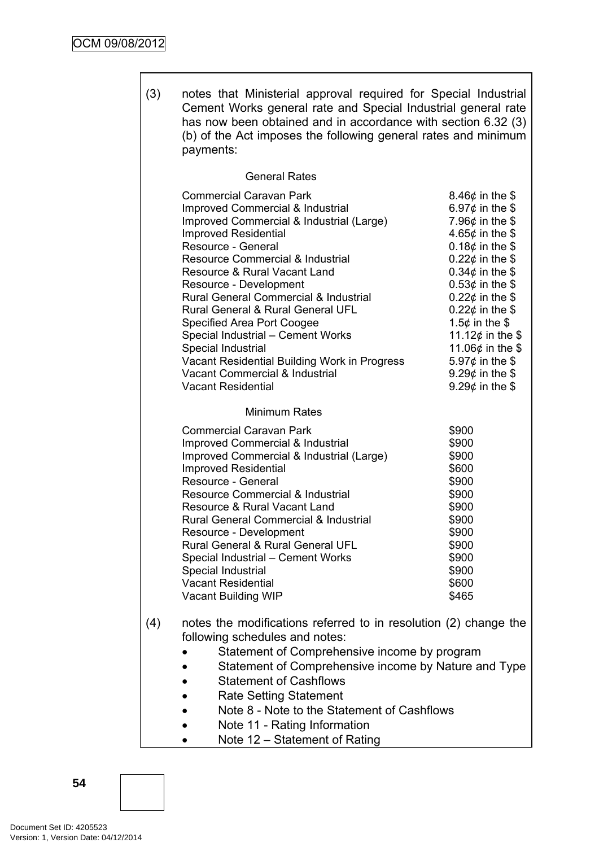| (3) | notes that Ministerial approval required for Special Industrial |
|-----|-----------------------------------------------------------------|
|     | Cement Works general rate and Special Industrial general rate   |
|     | has now been obtained and in accordance with section 6.32 (3)   |
|     | (b) of the Act imposes the following general rates and minimum  |
|     | payments:                                                       |

| <b>General Rates</b>                         |                        |
|----------------------------------------------|------------------------|
| <b>Commercial Caravan Park</b>               | 8.46 $\phi$ in the \$  |
| <b>Improved Commercial &amp; Industrial</b>  | 6.97 $¢$ in the \$     |
| Improved Commercial & Industrial (Large)     | 7.96 $¢$ in the \$     |
| <b>Improved Residential</b>                  | 4.65 $\phi$ in the \$  |
| Resource - General                           | 0.18 $¢$ in the \$     |
| Resource Commercial & Industrial             | 0.22 $\phi$ in the \$  |
| <b>Resource &amp; Rural Vacant Land</b>      | 0.34 $\phi$ in the \$  |
| Resource - Development                       | 0.53 $¢$ in the \$     |
| Rural General Commercial & Industrial        | 0.22 $\phi$ in the \$  |
| <b>Rural General &amp; Rural General UFL</b> | 0.22 $\phi$ in the \$  |
| <b>Specified Area Port Coogee</b>            | 1.5 $¢$ in the \$      |
| Special Industrial - Cement Works            | 11.12 $\phi$ in the \$ |
| Special Industrial                           | 11.06 $\phi$ in the \$ |
| Vacant Residential Building Work in Progress | 5.97 $¢$ in the \$     |
| Vacant Commercial & Industrial               | 9.29 $¢$ in the \$     |
| <b>Vacant Residential</b>                    | 9.29 $¢$ in the \$     |
| <b>Minimum Rates</b>                         |                        |
| <b>Commercial Caravan Park</b>               | \$900                  |
| <b>Improved Commercial &amp; Industrial</b>  | \$900                  |
| Improved Commercial & Industrial (Large)     | \$900                  |
| <b>Improved Residential</b>                  | \$600                  |
| Resource - General                           | \$900                  |
| Resource Commercial & Industrial             | \$900                  |
| Resource & Rural Vacant Land                 | \$900                  |
| Rural General Commercial & Industrial        | \$900                  |
| Resource - Development                       | \$900                  |
| <b>Rural General &amp; Rural General UFL</b> | \$900                  |
| Special Industrial - Cement Works            | \$900                  |
| Special Industrial                           | \$900                  |
| <b>Vacant Residential</b>                    | \$600                  |
| Vacant Building WIP                          | \$465                  |

### (4) notes the modifications referred to in resolution (2) change the following schedules and notes:

- **•** Statement of Comprehensive income by program
- **Statement of Comprehensive income by Nature and Type**
- Statement of Cashflows
- Rate Setting Statement
- Note 8 Note to the Statement of Cashflows
- Note 11 Rating Information
- Note 12 Statement of Rating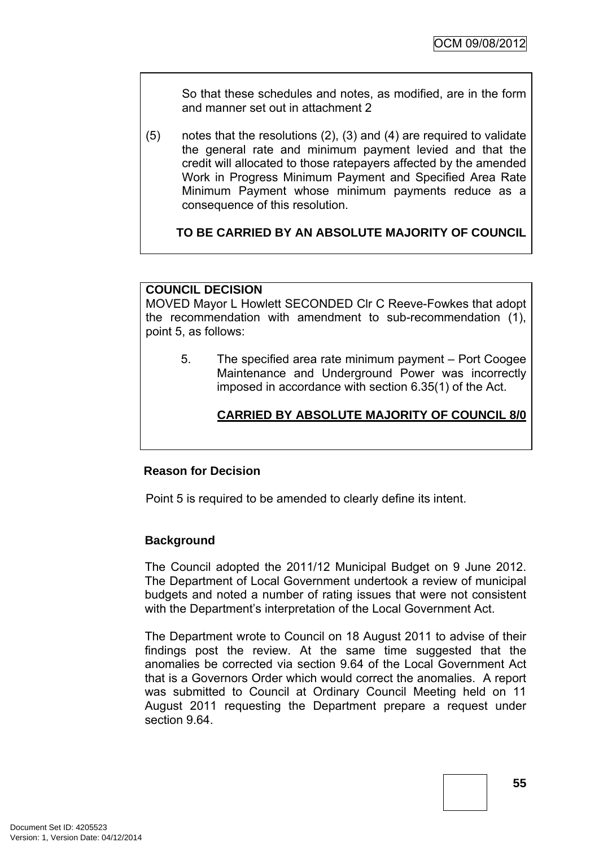So that these schedules and notes, as modified, are in the form and manner set out in attachment 2

(5) notes that the resolutions (2), (3) and (4) are required to validate the general rate and minimum payment levied and that the credit will allocated to those ratepayers affected by the amended Work in Progress Minimum Payment and Specified Area Rate Minimum Payment whose minimum payments reduce as a consequence of this resolution.

### **TO BE CARRIED BY AN ABSOLUTE MAJORITY OF COUNCIL**

### **COUNCIL DECISION**

MOVED Mayor L Howlett SECONDED Clr C Reeve-Fowkes that adopt the recommendation with amendment to sub-recommendation (1), point 5, as follows:

5. The specified area rate minimum payment – Port Coogee Maintenance and Underground Power was incorrectly imposed in accordance with section 6.35(1) of the Act.

### **CARRIED BY ABSOLUTE MAJORITY OF COUNCIL 8/0**

### **Reason for Decision**

Point 5 is required to be amended to clearly define its intent.

### **Background**

The Council adopted the 2011/12 Municipal Budget on 9 June 2012. The Department of Local Government undertook a review of municipal budgets and noted a number of rating issues that were not consistent with the Department's interpretation of the Local Government Act.

The Department wrote to Council on 18 August 2011 to advise of their findings post the review. At the same time suggested that the anomalies be corrected via section 9.64 of the Local Government Act that is a Governors Order which would correct the anomalies. A report was submitted to Council at Ordinary Council Meeting held on 11 August 2011 requesting the Department prepare a request under section 9.64.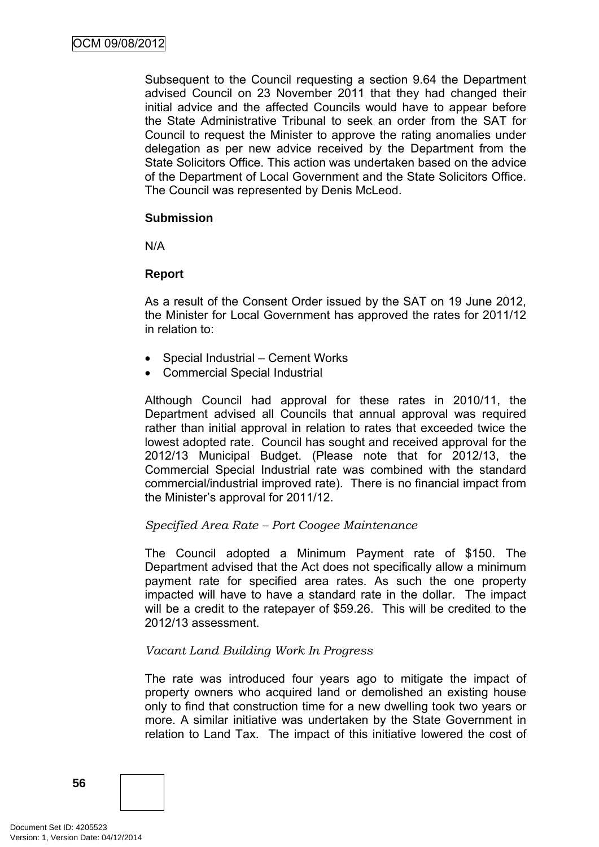Subsequent to the Council requesting a section 9.64 the Department advised Council on 23 November 2011 that they had changed their initial advice and the affected Councils would have to appear before the State Administrative Tribunal to seek an order from the SAT for Council to request the Minister to approve the rating anomalies under delegation as per new advice received by the Department from the State Solicitors Office. This action was undertaken based on the advice of the Department of Local Government and the State Solicitors Office. The Council was represented by Denis McLeod.

### **Submission**

N/A

### **Report**

As a result of the Consent Order issued by the SAT on 19 June 2012, the Minister for Local Government has approved the rates for 2011/12 in relation to:

- Special Industrial Cement Works
- Commercial Special Industrial

Although Council had approval for these rates in 2010/11, the Department advised all Councils that annual approval was required rather than initial approval in relation to rates that exceeded twice the lowest adopted rate. Council has sought and received approval for the 2012/13 Municipal Budget. (Please note that for 2012/13, the Commercial Special Industrial rate was combined with the standard commercial/industrial improved rate). There is no financial impact from the Minister's approval for 2011/12.

### *Specified Area Rate – Port Coogee Maintenance*

The Council adopted a Minimum Payment rate of \$150. The Department advised that the Act does not specifically allow a minimum payment rate for specified area rates. As such the one property impacted will have to have a standard rate in the dollar. The impact will be a credit to the ratepayer of \$59.26. This will be credited to the 2012/13 assessment.

### *Vacant Land Building Work In Progress*

The rate was introduced four years ago to mitigate the impact of property owners who acquired land or demolished an existing house only to find that construction time for a new dwelling took two years or more. A similar initiative was undertaken by the State Government in relation to Land Tax. The impact of this initiative lowered the cost of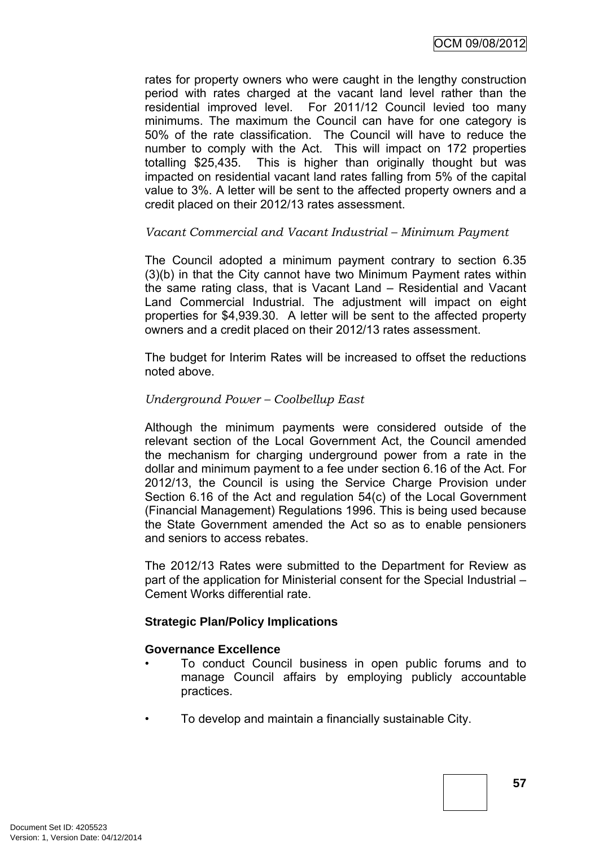rates for property owners who were caught in the lengthy construction period with rates charged at the vacant land level rather than the residential improved level. For 2011/12 Council levied too many minimums. The maximum the Council can have for one category is 50% of the rate classification. The Council will have to reduce the number to comply with the Act. This will impact on 172 properties totalling \$25,435. This is higher than originally thought but was impacted on residential vacant land rates falling from 5% of the capital value to 3%. A letter will be sent to the affected property owners and a credit placed on their 2012/13 rates assessment.

### *Vacant Commercial and Vacant Industrial – Minimum Payment*

The Council adopted a minimum payment contrary to section 6.35 (3)(b) in that the City cannot have two Minimum Payment rates within the same rating class, that is Vacant Land – Residential and Vacant Land Commercial Industrial. The adjustment will impact on eight properties for \$4,939.30. A letter will be sent to the affected property owners and a credit placed on their 2012/13 rates assessment.

The budget for Interim Rates will be increased to offset the reductions noted above.

### *Underground Power – Coolbellup East*

Although the minimum payments were considered outside of the relevant section of the Local Government Act, the Council amended the mechanism for charging underground power from a rate in the dollar and minimum payment to a fee under section 6.16 of the Act. For 2012/13, the Council is using the Service Charge Provision under Section 6.16 of the Act and regulation 54(c) of the Local Government (Financial Management) Regulations 1996. This is being used because the State Government amended the Act so as to enable pensioners and seniors to access rebates.

The 2012/13 Rates were submitted to the Department for Review as part of the application for Ministerial consent for the Special Industrial – Cement Works differential rate.

### **Strategic Plan/Policy Implications**

### **Governance Excellence**

- To conduct Council business in open public forums and to manage Council affairs by employing publicly accountable practices.
- To develop and maintain a financially sustainable City.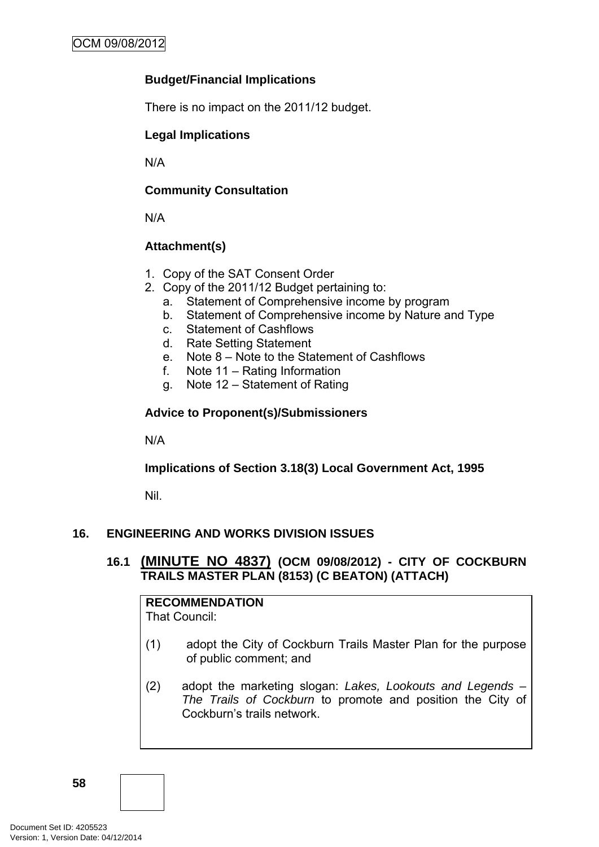### **Budget/Financial Implications**

There is no impact on the 2011/12 budget.

### **Legal Implications**

N/A

### **Community Consultation**

N/A

### **Attachment(s)**

- 1. Copy of the SAT Consent Order
- 2. Copy of the 2011/12 Budget pertaining to:
	- a. Statement of Comprehensive income by program
	- b. Statement of Comprehensive income by Nature and Type
	- c. Statement of Cashflows
	- d. Rate Setting Statement
	- e. Note 8 Note to the Statement of Cashflows
	- f. Note 11 Rating Information
	- g. Note 12 Statement of Rating

### **Advice to Proponent(s)/Submissioners**

N/A

### **Implications of Section 3.18(3) Local Government Act, 1995**

Nil.

### **16. ENGINEERING AND WORKS DIVISION ISSUES**

**16.1 (MINUTE NO 4837) (OCM 09/08/2012) - CITY OF COCKBURN TRAILS MASTER PLAN (8153) (C BEATON) (ATTACH)** 

**RECOMMENDATION** That Council:

- (1) adopt the City of Cockburn Trails Master Plan for the purpose of public comment; and
	- (2) adopt the marketing slogan: *Lakes, Lookouts and Legends The Trails of Cockburn* to promote and position the City of Cockburn's trails network.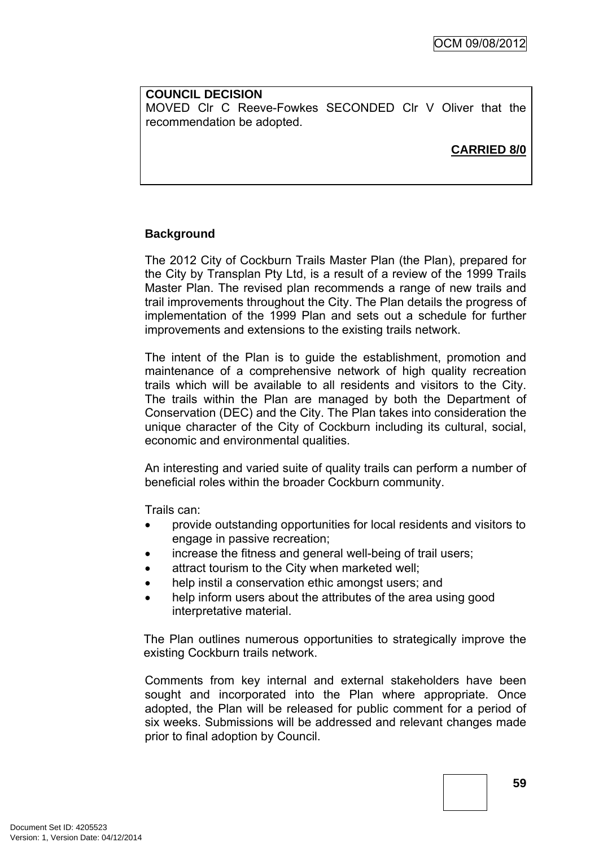**COUNCIL DECISION**  MOVED Clr C Reeve-Fowkes SECONDED Clr V Oliver that the recommendation be adopted.

**CARRIED 8/0**

### **Background**

The 2012 City of Cockburn Trails Master Plan (the Plan), prepared for the City by Transplan Pty Ltd, is a result of a review of the 1999 Trails Master Plan. The revised plan recommends a range of new trails and trail improvements throughout the City. The Plan details the progress of implementation of the 1999 Plan and sets out a schedule for further improvements and extensions to the existing trails network.

The intent of the Plan is to guide the establishment, promotion and maintenance of a comprehensive network of high quality recreation trails which will be available to all residents and visitors to the City. The trails within the Plan are managed by both the Department of Conservation (DEC) and the City. The Plan takes into consideration the unique character of the City of Cockburn including its cultural, social, economic and environmental qualities.

An interesting and varied suite of quality trails can perform a number of beneficial roles within the broader Cockburn community.

Trails can:

- provide outstanding opportunities for local residents and visitors to engage in passive recreation;
- increase the fitness and general well-being of trail users;
- attract tourism to the City when marketed well;
- help instil a conservation ethic amongst users; and
- help inform users about the attributes of the area using good interpretative material.

The Plan outlines numerous opportunities to strategically improve the existing Cockburn trails network.

Comments from key internal and external stakeholders have been sought and incorporated into the Plan where appropriate. Once adopted, the Plan will be released for public comment for a period of six weeks. Submissions will be addressed and relevant changes made prior to final adoption by Council.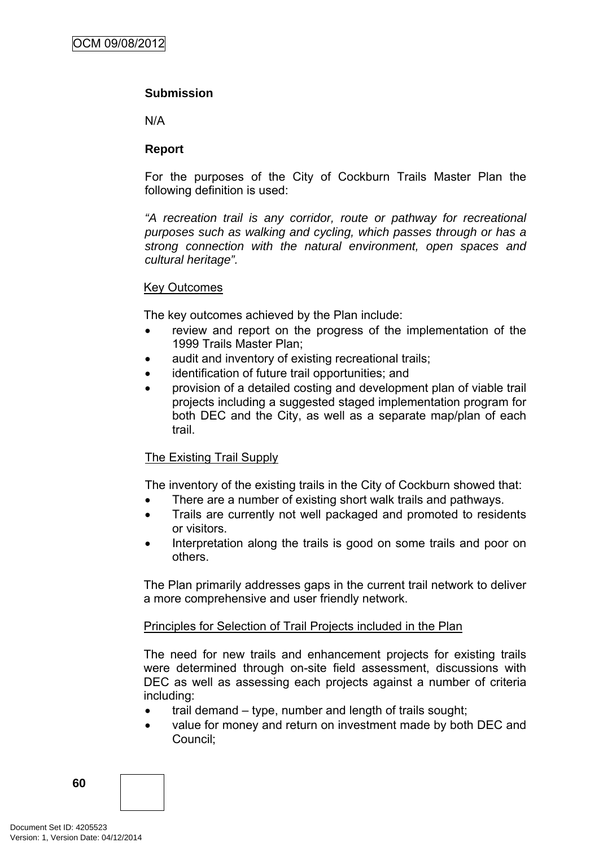### **Submission**

N/A

### **Report**

For the purposes of the City of Cockburn Trails Master Plan the following definition is used:

*"A recreation trail is any corridor, route or pathway for recreational purposes such as walking and cycling, which passes through or has a strong connection with the natural environment, open spaces and cultural heritage".* 

### Key Outcomes

The key outcomes achieved by the Plan include:

- review and report on the progress of the implementation of the 1999 Trails Master Plan;
- audit and inventory of existing recreational trails;
- identification of future trail opportunities; and
- provision of a detailed costing and development plan of viable trail projects including a suggested staged implementation program for both DEC and the City, as well as a separate map/plan of each trail.

### The Existing Trail Supply

The inventory of the existing trails in the City of Cockburn showed that:

- There are a number of existing short walk trails and pathways.
- Trails are currently not well packaged and promoted to residents or visitors.
- Interpretation along the trails is good on some trails and poor on others.

The Plan primarily addresses gaps in the current trail network to deliver a more comprehensive and user friendly network.

### Principles for Selection of Trail Projects included in the Plan

The need for new trails and enhancement projects for existing trails were determined through on-site field assessment, discussions with DEC as well as assessing each projects against a number of criteria including:

- trail demand type, number and length of trails sought;
- value for money and return on investment made by both DEC and Council;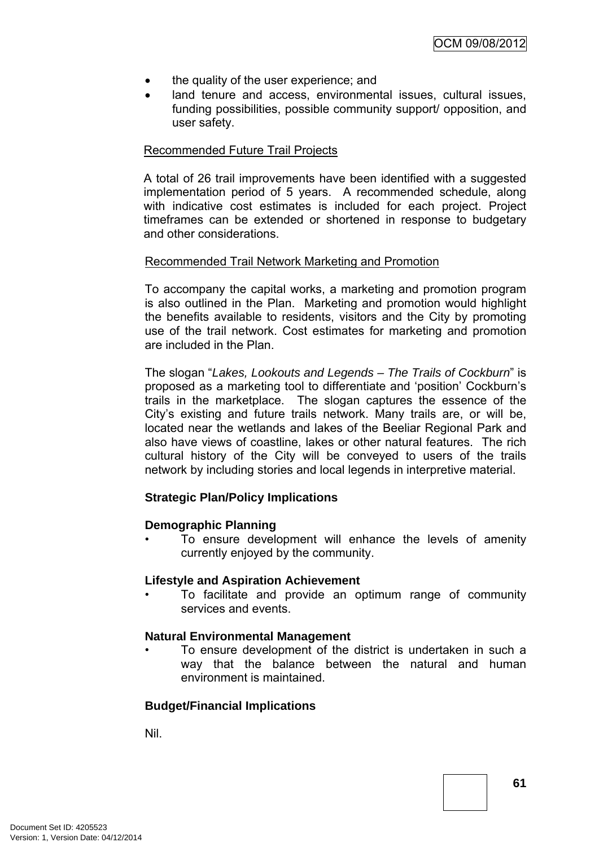- the quality of the user experience; and
- land tenure and access, environmental issues, cultural issues, funding possibilities, possible community support/ opposition, and user safety.

### Recommended Future Trail Projects

A total of 26 trail improvements have been identified with a suggested implementation period of 5 years. A recommended schedule, along with indicative cost estimates is included for each project. Project timeframes can be extended or shortened in response to budgetary and other considerations.

### Recommended Trail Network Marketing and Promotion

To accompany the capital works, a marketing and promotion program is also outlined in the Plan. Marketing and promotion would highlight the benefits available to residents, visitors and the City by promoting use of the trail network. Cost estimates for marketing and promotion are included in the Plan.

The slogan "*Lakes, Lookouts and Legends – The Trails of Cockburn*" is proposed as a marketing tool to differentiate and 'position' Cockburn's trails in the marketplace. The slogan captures the essence of the City's existing and future trails network. Many trails are, or will be, located near the wetlands and lakes of the Beeliar Regional Park and also have views of coastline, lakes or other natural features. The rich cultural history of the City will be conveyed to users of the trails network by including stories and local legends in interpretive material.

### **Strategic Plan/Policy Implications**

### **Demographic Planning**

To ensure development will enhance the levels of amenity currently enjoyed by the community.

### **Lifestyle and Aspiration Achievement**

• To facilitate and provide an optimum range of community services and events.

### **Natural Environmental Management**

• To ensure development of the district is undertaken in such a way that the balance between the natural and human environment is maintained.

### **Budget/Financial Implications**

Nil.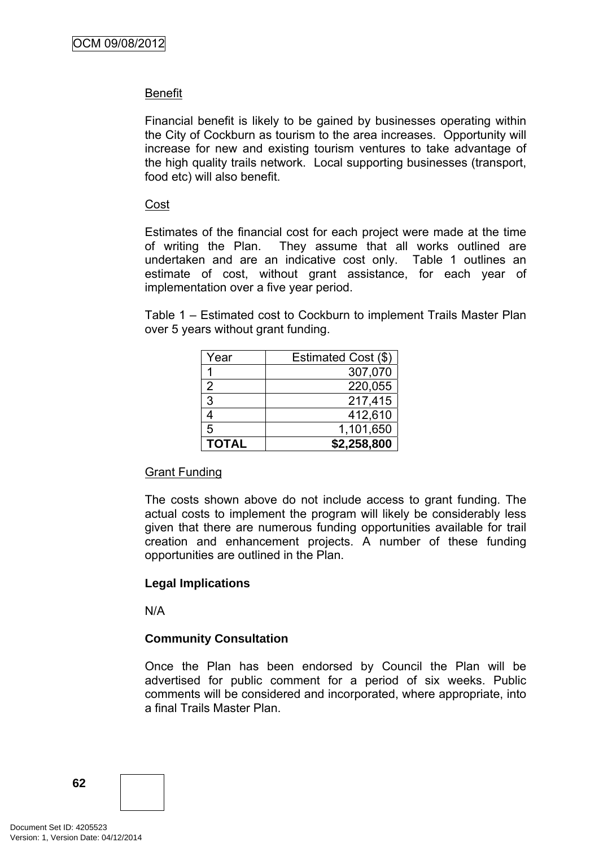### Benefit

Financial benefit is likely to be gained by businesses operating within the City of Cockburn as tourism to the area increases. Opportunity will increase for new and existing tourism ventures to take advantage of the high quality trails network. Local supporting businesses (transport, food etc) will also benefit.

### Cost

Estimates of the financial cost for each project were made at the time of writing the Plan. They assume that all works outlined are undertaken and are an indicative cost only. Table 1 outlines an estimate of cost, without grant assistance, for each year of implementation over a five year period.

Table 1 – Estimated cost to Cockburn to implement Trails Master Plan over 5 years without grant funding.

| Year         | Estimated Cost (\$) |
|--------------|---------------------|
|              | 307,070             |
| 2            | 220,055             |
| 3            | 217,415             |
| 4            | 412,610             |
| 5            | 1,101,650           |
| <b>TOTAL</b> | \$2,258,800         |

### Grant Funding

The costs shown above do not include access to grant funding. The actual costs to implement the program will likely be considerably less given that there are numerous funding opportunities available for trail creation and enhancement projects. A number of these funding opportunities are outlined in the Plan.

### **Legal Implications**

N/A

### **Community Consultation**

Once the Plan has been endorsed by Council the Plan will be advertised for public comment for a period of six weeks. Public comments will be considered and incorporated, where appropriate, into a final Trails Master Plan.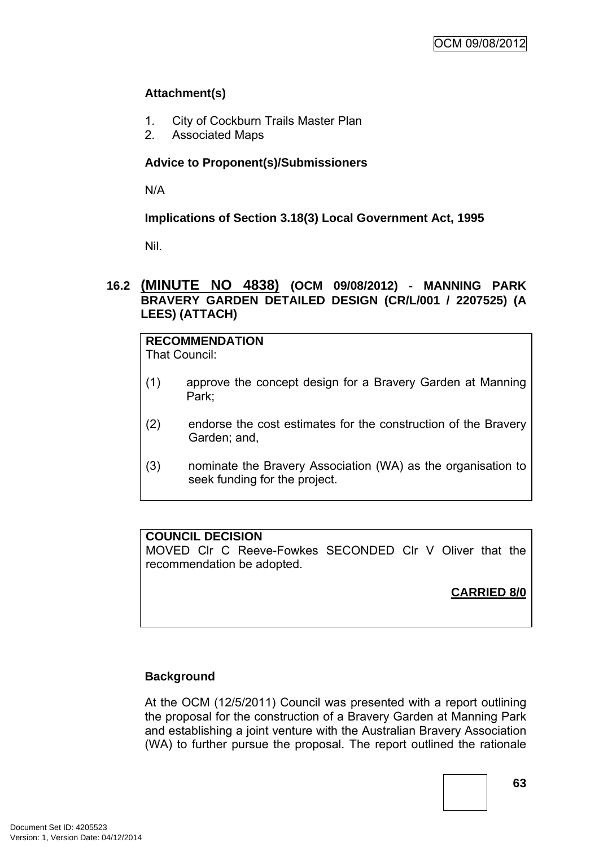### **Attachment(s)**

- 1. City of Cockburn Trails Master Plan
- 2. Associated Maps

### **Advice to Proponent(s)/Submissioners**

N/A

**Implications of Section 3.18(3) Local Government Act, 1995**

Nil.

### **16.2 (MINUTE NO 4838) (OCM 09/08/2012) - MANNING PARK BRAVERY GARDEN DETAILED DESIGN (CR/L/001 / 2207525) (A LEES) (ATTACH)**

#### **RECOMMENDATION** That Council:

- (1) approve the concept design for a Bravery Garden at Manning Park;
- (2) endorse the cost estimates for the construction of the Bravery Garden; and,
- (3) nominate the Bravery Association (WA) as the organisation to seek funding for the project.

### **COUNCIL DECISION**

MOVED Clr C Reeve-Fowkes SECONDED Clr V Oliver that the recommendation be adopted.

### **CARRIED 8/0**

### **Background**

At the OCM (12/5/2011) Council was presented with a report outlining the proposal for the construction of a Bravery Garden at Manning Park and establishing a joint venture with the Australian Bravery Association (WA) to further pursue the proposal. The report outlined the rationale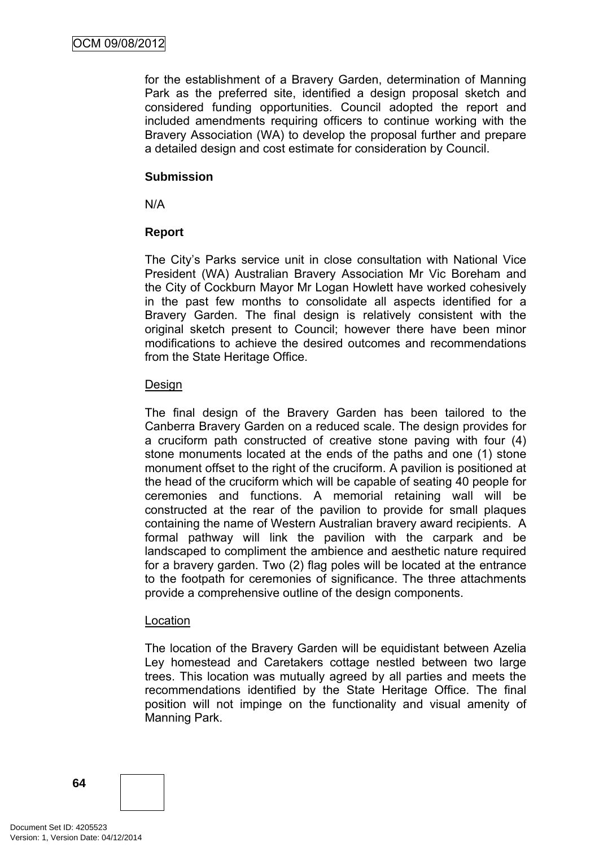for the establishment of a Bravery Garden, determination of Manning Park as the preferred site, identified a design proposal sketch and considered funding opportunities. Council adopted the report and included amendments requiring officers to continue working with the Bravery Association (WA) to develop the proposal further and prepare a detailed design and cost estimate for consideration by Council.

### **Submission**

N/A

### **Report**

The City's Parks service unit in close consultation with National Vice President (WA) Australian Bravery Association Mr Vic Boreham and the City of Cockburn Mayor Mr Logan Howlett have worked cohesively in the past few months to consolidate all aspects identified for a Bravery Garden. The final design is relatively consistent with the original sketch present to Council; however there have been minor modifications to achieve the desired outcomes and recommendations from the State Heritage Office.

#### Design

The final design of the Bravery Garden has been tailored to the Canberra Bravery Garden on a reduced scale. The design provides for a cruciform path constructed of creative stone paving with four (4) stone monuments located at the ends of the paths and one (1) stone monument offset to the right of the cruciform. A pavilion is positioned at the head of the cruciform which will be capable of seating 40 people for ceremonies and functions. A memorial retaining wall will be constructed at the rear of the pavilion to provide for small plaques containing the name of Western Australian bravery award recipients. A formal pathway will link the pavilion with the carpark and be landscaped to compliment the ambience and aesthetic nature required for a bravery garden. Two (2) flag poles will be located at the entrance to the footpath for ceremonies of significance. The three attachments provide a comprehensive outline of the design components.

#### Location

The location of the Bravery Garden will be equidistant between Azelia Ley homestead and Caretakers cottage nestled between two large trees. This location was mutually agreed by all parties and meets the recommendations identified by the State Heritage Office. The final position will not impinge on the functionality and visual amenity of Manning Park.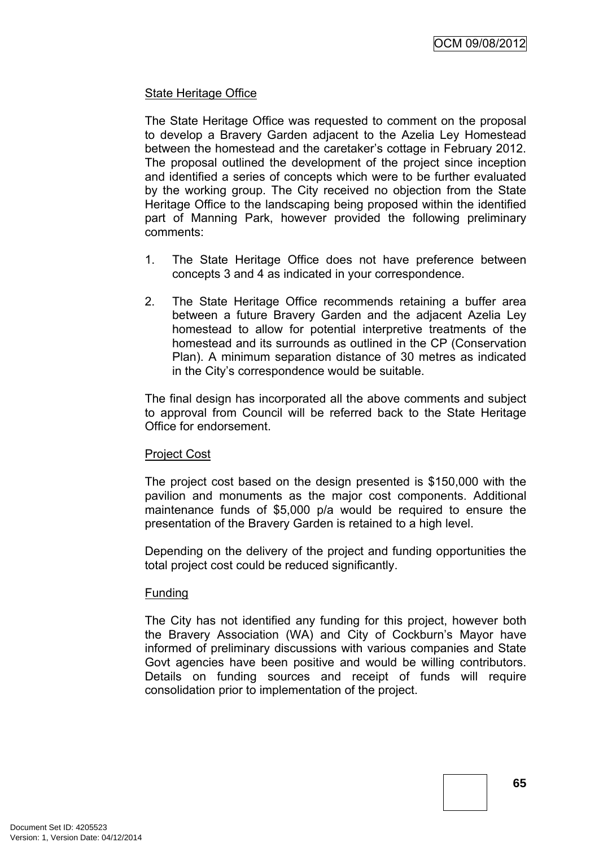### State Heritage Office

The State Heritage Office was requested to comment on the proposal to develop a Bravery Garden adjacent to the Azelia Ley Homestead between the homestead and the caretaker's cottage in February 2012. The proposal outlined the development of the project since inception and identified a series of concepts which were to be further evaluated by the working group. The City received no objection from the State Heritage Office to the landscaping being proposed within the identified part of Manning Park, however provided the following preliminary comments:

- 1. The State Heritage Office does not have preference between concepts 3 and 4 as indicated in your correspondence.
- 2. The State Heritage Office recommends retaining a buffer area between a future Bravery Garden and the adjacent Azelia Ley homestead to allow for potential interpretive treatments of the homestead and its surrounds as outlined in the CP (Conservation Plan). A minimum separation distance of 30 metres as indicated in the City's correspondence would be suitable.

The final design has incorporated all the above comments and subject to approval from Council will be referred back to the State Heritage Office for endorsement.

### Project Cost

The project cost based on the design presented is \$150,000 with the pavilion and monuments as the major cost components. Additional maintenance funds of \$5,000 p/a would be required to ensure the presentation of the Bravery Garden is retained to a high level.

Depending on the delivery of the project and funding opportunities the total project cost could be reduced significantly.

### Funding

The City has not identified any funding for this project, however both the Bravery Association (WA) and City of Cockburn's Mayor have informed of preliminary discussions with various companies and State Govt agencies have been positive and would be willing contributors. Details on funding sources and receipt of funds will require consolidation prior to implementation of the project.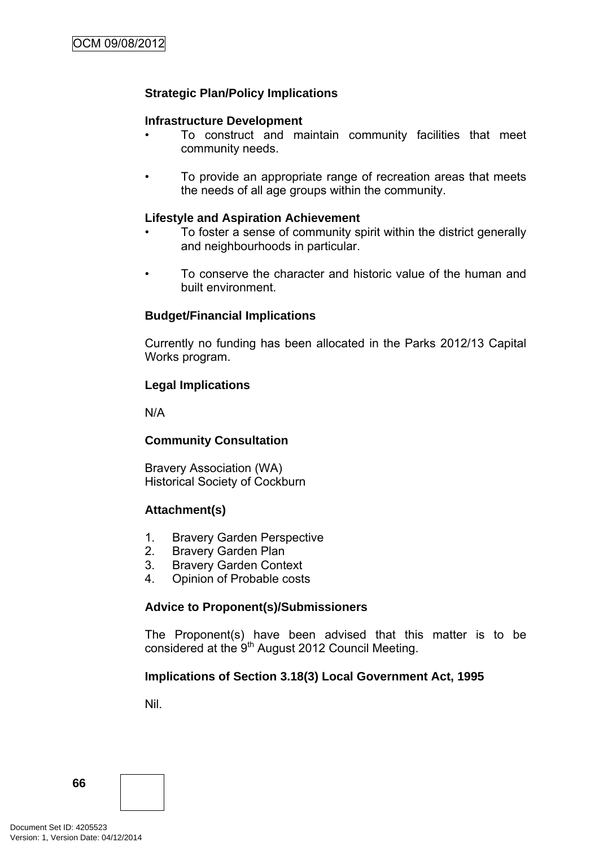### **Strategic Plan/Policy Implications**

### **Infrastructure Development**

- To construct and maintain community facilities that meet community needs.
- To provide an appropriate range of recreation areas that meets the needs of all age groups within the community.

### **Lifestyle and Aspiration Achievement**

- To foster a sense of community spirit within the district generally and neighbourhoods in particular.
- To conserve the character and historic value of the human and built environment.

### **Budget/Financial Implications**

Currently no funding has been allocated in the Parks 2012/13 Capital Works program.

### **Legal Implications**

N/A

### **Community Consultation**

Bravery Association (WA) Historical Society of Cockburn

### **Attachment(s)**

- 1. Bravery Garden Perspective
- 2. Bravery Garden Plan
- 3. Bravery Garden Context
- 4. Opinion of Probable costs

### **Advice to Proponent(s)/Submissioners**

The Proponent(s) have been advised that this matter is to be considered at the 9<sup>th</sup> August 2012 Council Meeting.

### **Implications of Section 3.18(3) Local Government Act, 1995**

Nil.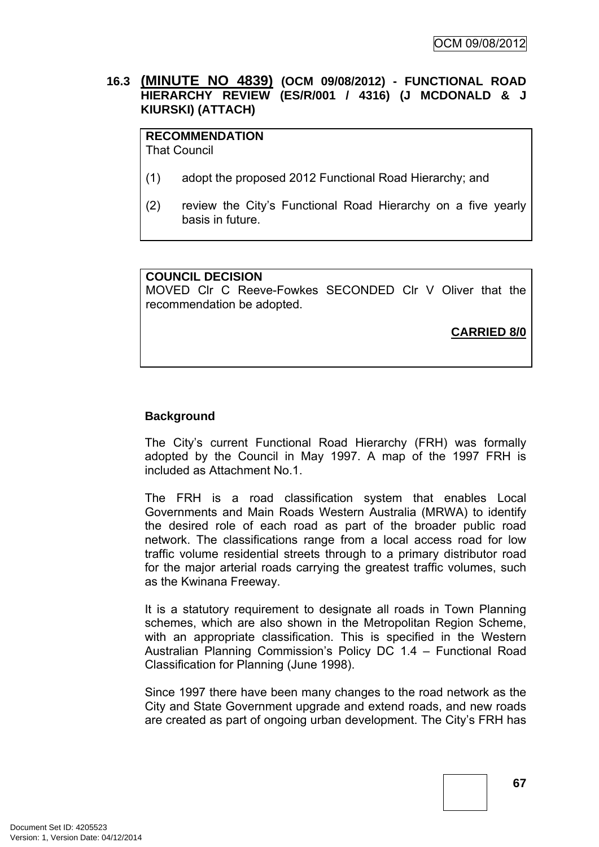### **16.3 (MINUTE NO 4839) (OCM 09/08/2012) - FUNCTIONAL ROAD HIERARCHY REVIEW (ES/R/001 / 4316) (J MCDONALD & J KIURSKI) (ATTACH)**

## **RECOMMENDATION**

That Council

- (1) adopt the proposed 2012 Functional Road Hierarchy; and
- (2) review the City's Functional Road Hierarchy on a five yearly basis in future.

### **COUNCIL DECISION**

MOVED Clr C Reeve-Fowkes SECONDED Clr V Oliver that the recommendation be adopted.

**CARRIED 8/0**

### **Background**

The City's current Functional Road Hierarchy (FRH) was formally adopted by the Council in May 1997. A map of the 1997 FRH is included as Attachment No.1.

The FRH is a road classification system that enables Local Governments and Main Roads Western Australia (MRWA) to identify the desired role of each road as part of the broader public road network. The classifications range from a local access road for low traffic volume residential streets through to a primary distributor road for the major arterial roads carrying the greatest traffic volumes, such as the Kwinana Freeway.

It is a statutory requirement to designate all roads in Town Planning schemes, which are also shown in the Metropolitan Region Scheme, with an appropriate classification. This is specified in the Western Australian Planning Commission's Policy DC 1.4 – Functional Road Classification for Planning (June 1998).

Since 1997 there have been many changes to the road network as the City and State Government upgrade and extend roads, and new roads are created as part of ongoing urban development. The City's FRH has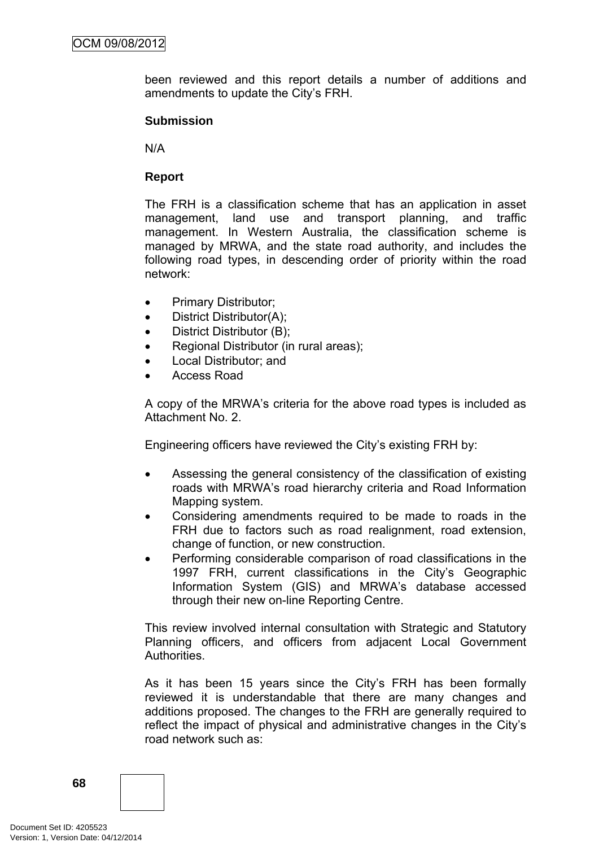been reviewed and this report details a number of additions and amendments to update the City's FRH.

### **Submission**

N/A

### **Report**

The FRH is a classification scheme that has an application in asset management, land use and transport planning, and traffic management. In Western Australia, the classification scheme is managed by MRWA, and the state road authority, and includes the following road types, in descending order of priority within the road network:

- Primary Distributor;
- District Distributor(A);
- District Distributor (B);
- Regional Distributor (in rural areas);
- Local Distributor; and
- Access Road

A copy of the MRWA's criteria for the above road types is included as Attachment No. 2.

Engineering officers have reviewed the City's existing FRH by:

- Assessing the general consistency of the classification of existing roads with MRWA's road hierarchy criteria and Road Information Mapping system.
- Considering amendments required to be made to roads in the FRH due to factors such as road realignment, road extension, change of function, or new construction.
- Performing considerable comparison of road classifications in the 1997 FRH, current classifications in the City's Geographic Information System (GIS) and MRWA's database accessed through their new on-line Reporting Centre.

This review involved internal consultation with Strategic and Statutory Planning officers, and officers from adjacent Local Government Authorities.

As it has been 15 years since the City's FRH has been formally reviewed it is understandable that there are many changes and additions proposed. The changes to the FRH are generally required to reflect the impact of physical and administrative changes in the City's road network such as: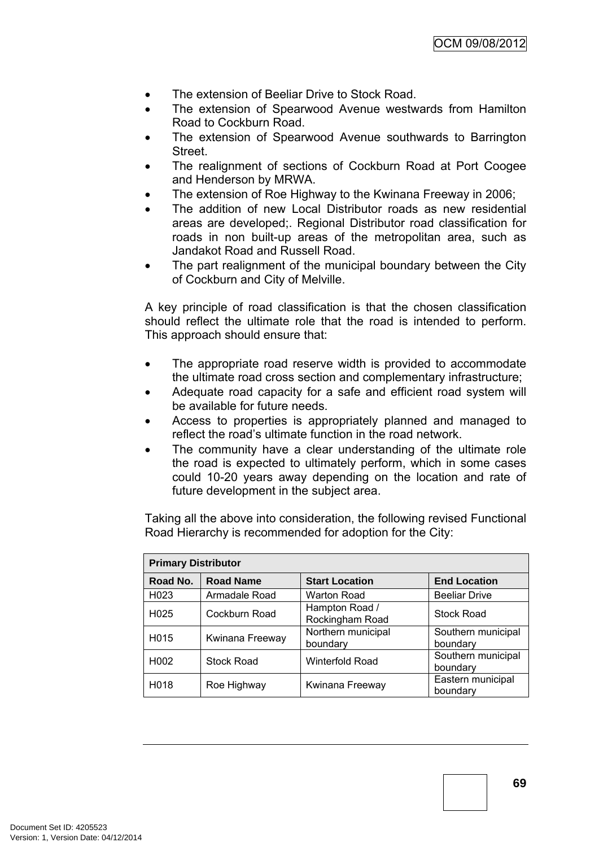- The extension of Beeliar Drive to Stock Road.
- The extension of Spearwood Avenue westwards from Hamilton Road to Cockburn Road.
- The extension of Spearwood Avenue southwards to Barrington Street.
- The realignment of sections of Cockburn Road at Port Coogee and Henderson by MRWA.
- The extension of Roe Highway to the Kwinana Freeway in 2006;
- The addition of new Local Distributor roads as new residential areas are developed;. Regional Distributor road classification for roads in non built-up areas of the metropolitan area, such as Jandakot Road and Russell Road.
- The part realignment of the municipal boundary between the City of Cockburn and City of Melville.

A key principle of road classification is that the chosen classification should reflect the ultimate role that the road is intended to perform. This approach should ensure that:

- The appropriate road reserve width is provided to accommodate the ultimate road cross section and complementary infrastructure;
- Adequate road capacity for a safe and efficient road system will be available for future needs.
- Access to properties is appropriately planned and managed to reflect the road's ultimate function in the road network.
- The community have a clear understanding of the ultimate role the road is expected to ultimately perform, which in some cases could 10-20 years away depending on the location and rate of future development in the subject area.

Taking all the above into consideration, the following revised Functional Road Hierarchy is recommended for adoption for the City:

| <b>Primary Distributor</b> |                   |                                   |                                |
|----------------------------|-------------------|-----------------------------------|--------------------------------|
| Road No.                   | <b>Road Name</b>  | <b>Start Location</b>             | <b>End Location</b>            |
| H <sub>023</sub>           | Armadale Road     | Warton Road                       | <b>Beeliar Drive</b>           |
| H <sub>025</sub>           | Cockburn Road     | Hampton Road /<br>Rockingham Road | <b>Stock Road</b>              |
| H <sub>0</sub> 15          | Kwinana Freeway   | Northern municipal<br>boundary    | Southern municipal<br>boundary |
| H <sub>0</sub> 02          | <b>Stock Road</b> | Winterfold Road                   | Southern municipal<br>boundary |
| H <sub>0</sub> 18          | Roe Highway       | Kwinana Freeway                   | Eastern municipal<br>boundary  |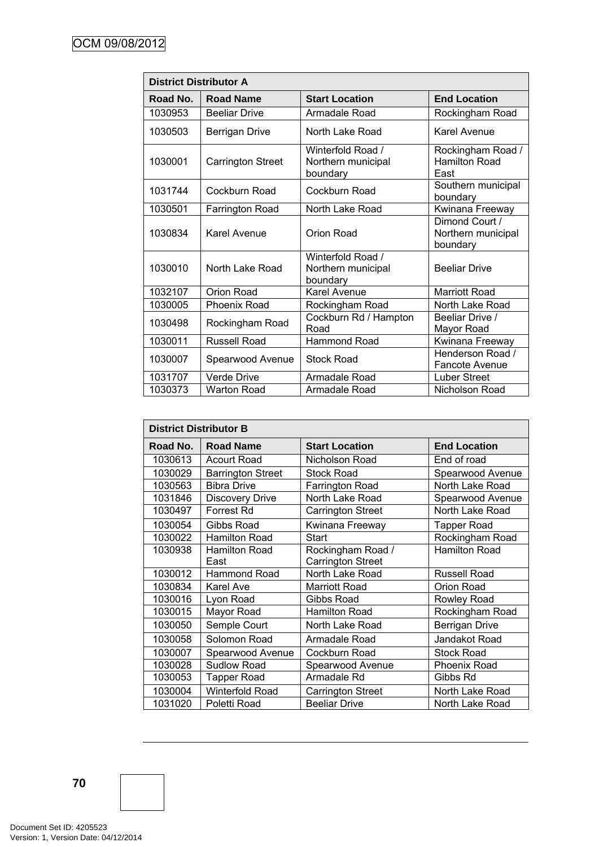| <b>District Distributor A</b> |                          |                                                     |                                                   |
|-------------------------------|--------------------------|-----------------------------------------------------|---------------------------------------------------|
| Road No.                      | <b>Road Name</b>         | <b>Start Location</b>                               | <b>End Location</b>                               |
| 1030953                       | <b>Beeliar Drive</b>     | Armadale Road                                       | Rockingham Road                                   |
| 1030503                       | <b>Berrigan Drive</b>    | North Lake Road                                     | Karel Avenue                                      |
| 1030001                       | <b>Carrington Street</b> | Winterfold Road /<br>Northern municipal<br>boundary | Rockingham Road /<br><b>Hamilton Road</b><br>East |
| 1031744                       | Cockburn Road            | Cockburn Road                                       | Southern municipal<br>boundary                    |
| 1030501                       | Farrington Road          | North Lake Road                                     | Kwinana Freeway                                   |
| 1030834                       | Karel Avenue             | Orion Road                                          | Dimond Court /<br>Northern municipal<br>boundary  |
| 1030010                       | North Lake Road          | Winterfold Road /<br>Northern municipal<br>boundary | <b>Beeliar Drive</b>                              |
| 1032107                       | Orion Road               | Karel Avenue                                        | <b>Marriott Road</b>                              |
| 1030005                       | Phoenix Road             | Rockingham Road                                     | North Lake Road                                   |
| 1030498                       | Rockingham Road          | Cockburn Rd / Hampton<br>Road                       | Beeliar Drive /<br>Mayor Road                     |
| 1030011                       | <b>Russell Road</b>      | Hammond Road                                        | Kwinana Freeway                                   |
| 1030007                       | Spearwood Avenue         | <b>Stock Road</b>                                   | Henderson Road /<br><b>Fancote Avenue</b>         |
| 1031707                       | Verde Drive              | Armadale Road                                       | <b>Luber Street</b>                               |
| 1030373                       | <b>Warton Road</b>       | Armadale Road                                       | Nicholson Road                                    |

| <b>District Distributor B</b> |                          |                          |                      |
|-------------------------------|--------------------------|--------------------------|----------------------|
| Road No.                      | <b>Road Name</b>         | <b>Start Location</b>    | <b>End Location</b>  |
| 1030613                       | <b>Acourt Road</b>       | Nicholson Road           | End of road          |
| 1030029                       | <b>Barrington Street</b> | <b>Stock Road</b>        | Spearwood Avenue     |
| 1030563                       | <b>Bibra Drive</b>       | Farrington Road          | North Lake Road      |
| 1031846                       | <b>Discovery Drive</b>   | North Lake Road          | Spearwood Avenue     |
| 1030497                       | <b>Forrest Rd</b>        | Carrington Street        | North Lake Road      |
| 1030054                       | Gibbs Road               | Kwinana Freeway          | <b>Tapper Road</b>   |
| 1030022                       | <b>Hamilton Road</b>     | Start                    | Rockingham Road      |
| 1030938                       | Hamilton Road            | Rockingham Road /        | <b>Hamilton Road</b> |
|                               | East                     | <b>Carrington Street</b> |                      |
| 1030012                       | <b>Hammond Road</b>      | North Lake Road          | <b>Russell Road</b>  |
| 1030834                       | <b>Karel Ave</b>         | <b>Marriott Road</b>     | Orion Road           |
| 1030016                       | Lyon Road                | Gibbs Road               | <b>Rowley Road</b>   |
| 1030015                       | Mayor Road               | Hamilton Road            | Rockingham Road      |
| 1030050                       | Semple Court             | North Lake Road          | Berrigan Drive       |
| 1030058                       | Solomon Road             | Armadale Road            | Jandakot Road        |
| 1030007                       | Spearwood Avenue         | Cockburn Road            | <b>Stock Road</b>    |
| 1030028                       | <b>Sudlow Road</b>       | Spearwood Avenue         | Phoenix Road         |
| 1030053                       | Tapper Road              | Armadale Rd              | Gibbs Rd             |
| 1030004                       | Winterfold Road          | Carrington Street        | North Lake Road      |
| 1031020                       | Poletti Road             | <b>Beeliar Drive</b>     | North Lake Road      |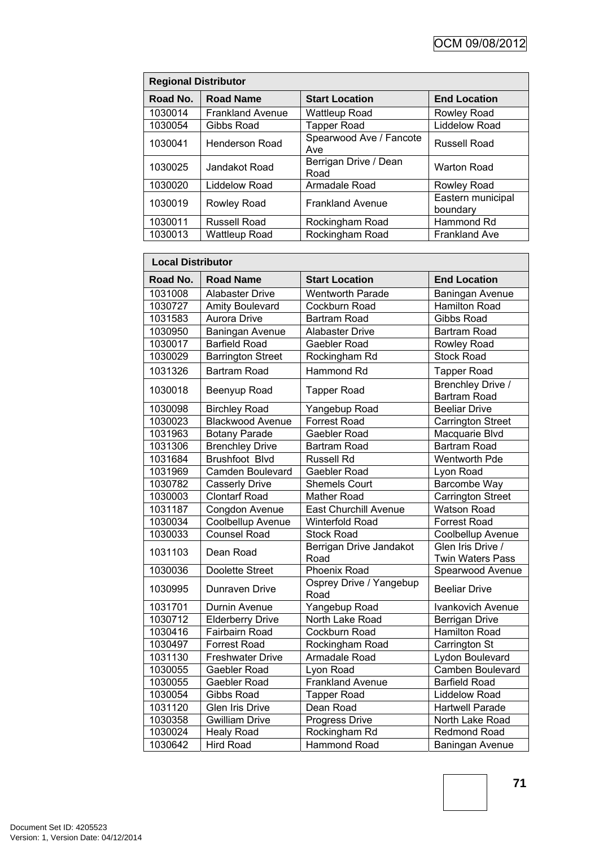| <b>Regional Distributor</b> |                         |                                |                               |
|-----------------------------|-------------------------|--------------------------------|-------------------------------|
| Road No.                    | <b>Road Name</b>        | <b>Start Location</b>          | <b>End Location</b>           |
| 1030014                     | <b>Frankland Avenue</b> | Wattleup Road                  | Rowley Road                   |
| 1030054                     | Gibbs Road              | <b>Tapper Road</b>             | <b>Liddelow Road</b>          |
| 1030041                     | Henderson Road          | Spearwood Ave / Fancote<br>Ave | Russell Road                  |
| 1030025                     | Jandakot Road           | Berrigan Drive / Dean<br>Road  | Warton Road                   |
| 1030020                     | Liddelow Road           | Armadale Road                  | <b>Rowley Road</b>            |
| 1030019                     | <b>Rowley Road</b>      | <b>Frankland Avenue</b>        | Eastern municipal<br>boundary |
| 1030011                     | Russell Road            | Rockingham Road                | Hammond Rd                    |
| 1030013                     | Wattleup Road           | Rockingham Road                | <b>Frankland Ave</b>          |

| <b>Local Distributor</b> |                          |                                 |                                              |
|--------------------------|--------------------------|---------------------------------|----------------------------------------------|
| Road No.                 | <b>Road Name</b>         | <b>Start Location</b>           | <b>End Location</b>                          |
| 1031008                  | <b>Alabaster Drive</b>   | <b>Wentworth Parade</b>         | Baningan Avenue                              |
| 1030727                  | <b>Amity Boulevard</b>   | Cockburn Road                   | <b>Hamilton Road</b>                         |
| 1031583                  | Aurora Drive             | <b>Bartram Road</b>             | Gibbs Road                                   |
| 1030950                  | <b>Baningan Avenue</b>   | <b>Alabaster Drive</b>          | Bartram Road                                 |
| 1030017                  | <b>Barfield Road</b>     | Gaebler Road                    | Rowley Road                                  |
| 1030029                  | <b>Barrington Street</b> | Rockingham Rd                   | <b>Stock Road</b>                            |
| 1031326                  | <b>Bartram Road</b>      | Hammond Rd                      | <b>Tapper Road</b>                           |
| 1030018                  | Beenyup Road             | <b>Tapper Road</b>              | Brenchley Drive /<br>Bartram Road            |
| 1030098                  | <b>Birchley Road</b>     | Yangebup Road                   | <b>Beeliar Drive</b>                         |
| 1030023                  | <b>Blackwood Avenue</b>  | <b>Forrest Road</b>             | <b>Carrington Street</b>                     |
| 1031963                  | <b>Botany Parade</b>     | Gaebler Road                    | Macquarie Blvd                               |
| 1031306                  | <b>Brenchley Drive</b>   | Bartram Road                    | Bartram Road                                 |
| 1031684                  | <b>Brushfoot Blvd</b>    | Russell Rd                      | Wentworth Pde                                |
| 1031969                  | Camden Boulevard         | Gaebler Road                    | Lyon Road                                    |
| 1030782                  | <b>Casserly Drive</b>    | <b>Shemels Court</b>            | Barcombe Way                                 |
| 1030003                  | Clontarf Road            | Mather Road                     | <b>Carrington Street</b>                     |
| 1031187                  | Congdon Avenue           | <b>East Churchill Avenue</b>    | <b>Watson Road</b>                           |
| 1030034                  | Coolbellup Avenue        | Winterfold Road                 | <b>Forrest Road</b>                          |
| 1030033                  | <b>Counsel Road</b>      | <b>Stock Road</b>               | Coolbellup Avenue                            |
| 1031103                  | Dean Road                | Berrigan Drive Jandakot<br>Road | Glen Iris Drive /<br><b>Twin Waters Pass</b> |
| 1030036                  | <b>Doolette Street</b>   | Phoenix Road                    | Spearwood Avenue                             |
| 1030995                  | Dunraven Drive           | Osprey Drive / Yangebup<br>Road | <b>Beeliar Drive</b>                         |
| 1031701                  | Durnin Avenue            | Yangebup Road                   | Ivankovich Avenue                            |
| 1030712                  | <b>Elderberry Drive</b>  | North Lake Road                 | Berrigan Drive                               |
| 1030416                  | Fairbairn Road           | Cockburn Road                   | <b>Hamilton Road</b>                         |
| 1030497                  | <b>Forrest Road</b>      | Rockingham Road                 | Carrington St                                |
| 1031130                  | <b>Freshwater Drive</b>  | Armadale Road                   | Lydon Boulevard                              |
| 1030055                  | Gaebler Road             | Lyon Road                       | <b>Camben Boulevard</b>                      |
| 1030055                  | Gaebler Road             | <b>Frankland Avenue</b>         | <b>Barfield Road</b>                         |
| 1030054                  | Gibbs Road               | <b>Tapper Road</b>              | Liddelow Road                                |
| 1031120                  | Glen Iris Drive          | Dean Road                       | <b>Hartwell Parade</b>                       |
| 1030358                  | <b>Gwilliam Drive</b>    | Progress Drive                  | North Lake Road                              |
| 1030024                  | <b>Healy Road</b>        | Rockingham Rd                   | Redmond Road                                 |
| 1030642                  | <b>Hird Road</b>         | Hammond Road                    | Baningan Avenue                              |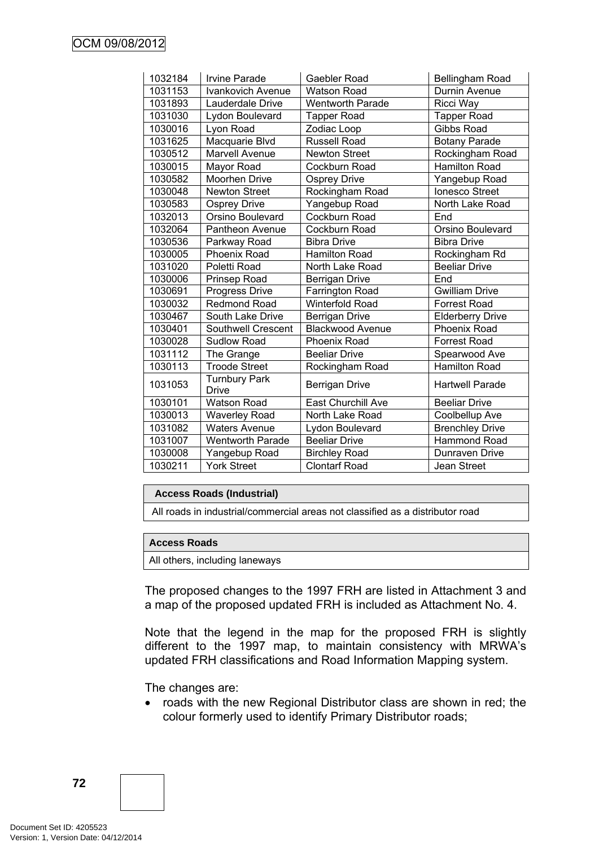| 1032184 | Irvine Parade                 | Gaebler Road            | Bellingham Road         |
|---------|-------------------------------|-------------------------|-------------------------|
| 1031153 | <b>Ivankovich Avenue</b>      | <b>Watson Road</b>      | Durnin Avenue           |
| 1031893 | Lauderdale Drive              | <b>Wentworth Parade</b> | Ricci Way               |
| 1031030 | Lydon Boulevard               | <b>Tapper Road</b>      | <b>Tapper Road</b>      |
| 1030016 | Lyon Road                     | Zodiac Loop             | Gibbs Road              |
| 1031625 | Macquarie Blvd                | Russell Road            | <b>Botany Parade</b>    |
| 1030512 | Marvell Avenue                | <b>Newton Street</b>    | Rockingham Road         |
| 1030015 | Mayor Road                    | Cockburn Road           | <b>Hamilton Road</b>    |
| 1030582 | <b>Moorhen Drive</b>          | <b>Osprey Drive</b>     | Yangebup Road           |
| 1030048 | <b>Newton Street</b>          | Rockingham Road         | <b>Ionesco Street</b>   |
| 1030583 | <b>Osprey Drive</b>           | Yangebup Road           | North Lake Road         |
| 1032013 | Orsino Boulevard              | Cockburn Road           | End                     |
| 1032064 | Pantheon Avenue               | Cockburn Road           | Orsino Boulevard        |
| 1030536 | Parkway Road                  | <b>Bibra Drive</b>      | <b>Bibra Drive</b>      |
| 1030005 | Phoenix Road                  | <b>Hamilton Road</b>    | Rockingham Rd           |
| 1031020 | Poletti Road                  | North Lake Road         | <b>Beeliar Drive</b>    |
| 1030006 | Prinsep Road                  | Berrigan Drive          | End                     |
| 1030691 | Progress Drive                | <b>Farrington Road</b>  | <b>Gwilliam Drive</b>   |
| 1030032 | <b>Redmond Road</b>           | Winterfold Road         | <b>Forrest Road</b>     |
| 1030467 | South Lake Drive              | <b>Berrigan Drive</b>   | <b>Elderberry Drive</b> |
| 1030401 | Southwell Crescent            | <b>Blackwood Avenue</b> | <b>Phoenix Road</b>     |
| 1030028 | <b>Sudlow Road</b>            | Phoenix Road            | <b>Forrest Road</b>     |
| 1031112 | The Grange                    | <b>Beeliar Drive</b>    | Spearwood Ave           |
| 1030113 | <b>Troode Street</b>          | Rockingham Road         | <b>Hamilton Road</b>    |
| 1031053 | <b>Turnbury Park</b><br>Drive | Berrigan Drive          | <b>Hartwell Parade</b>  |
| 1030101 | <b>Watson Road</b>            | East Churchill Ave      | <b>Beeliar Drive</b>    |
| 1030013 | <b>Waverley Road</b>          | North Lake Road         | Coolbellup Ave          |
| 1031082 | <b>Waters Avenue</b>          | Lydon Boulevard         | <b>Brenchley Drive</b>  |
| 1031007 | <b>Wentworth Parade</b>       | <b>Beeliar Drive</b>    | Hammond Road            |
| 1030008 | Yangebup Road                 | <b>Birchley Road</b>    | Dunraven Drive          |
| 1030211 | <b>York Street</b>            | <b>Clontarf Road</b>    | Jean Street             |

#### **Access Roads (Industrial)**

All roads in industrial/commercial areas not classified as a distributor road

#### **Access Roads**

All others, including laneways

The proposed changes to the 1997 FRH are listed in Attachment 3 and a map of the proposed updated FRH is included as Attachment No. 4.

Note that the legend in the map for the proposed FRH is slightly different to the 1997 map, to maintain consistency with MRWA's updated FRH classifications and Road Information Mapping system.

The changes are:

 roads with the new Regional Distributor class are shown in red; the colour formerly used to identify Primary Distributor roads;



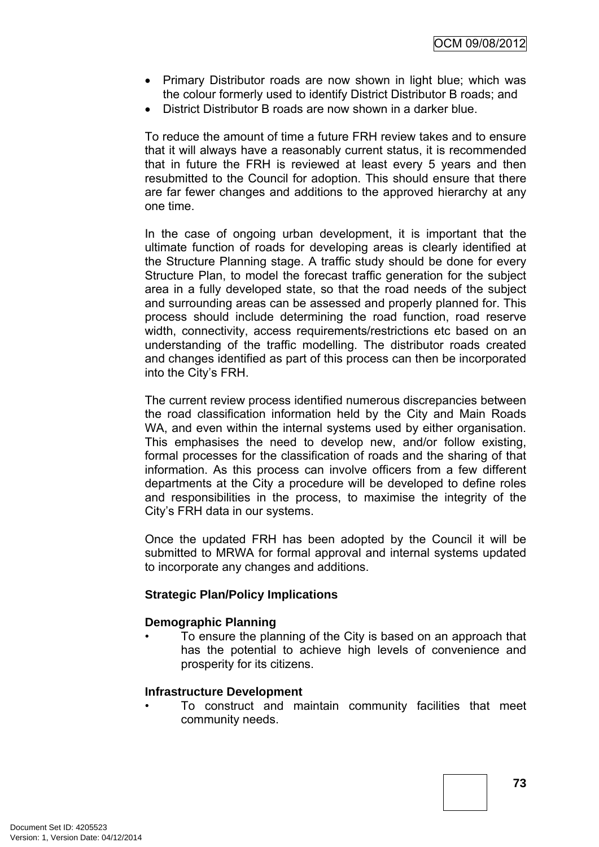- Primary Distributor roads are now shown in light blue; which was the colour formerly used to identify District Distributor B roads; and
- District Distributor B roads are now shown in a darker blue.

To reduce the amount of time a future FRH review takes and to ensure that it will always have a reasonably current status, it is recommended that in future the FRH is reviewed at least every 5 years and then resubmitted to the Council for adoption. This should ensure that there are far fewer changes and additions to the approved hierarchy at any one time.

In the case of ongoing urban development, it is important that the ultimate function of roads for developing areas is clearly identified at the Structure Planning stage. A traffic study should be done for every Structure Plan, to model the forecast traffic generation for the subject area in a fully developed state, so that the road needs of the subject and surrounding areas can be assessed and properly planned for. This process should include determining the road function, road reserve width, connectivity, access requirements/restrictions etc based on an understanding of the traffic modelling. The distributor roads created and changes identified as part of this process can then be incorporated into the City's FRH.

The current review process identified numerous discrepancies between the road classification information held by the City and Main Roads WA, and even within the internal systems used by either organisation. This emphasises the need to develop new, and/or follow existing, formal processes for the classification of roads and the sharing of that information. As this process can involve officers from a few different departments at the City a procedure will be developed to define roles and responsibilities in the process, to maximise the integrity of the City's FRH data in our systems.

Once the updated FRH has been adopted by the Council it will be submitted to MRWA for formal approval and internal systems updated to incorporate any changes and additions.

#### **Strategic Plan/Policy Implications**

#### **Demographic Planning**

• To ensure the planning of the City is based on an approach that has the potential to achieve high levels of convenience and prosperity for its citizens.

#### **Infrastructure Development**

• To construct and maintain community facilities that meet community needs.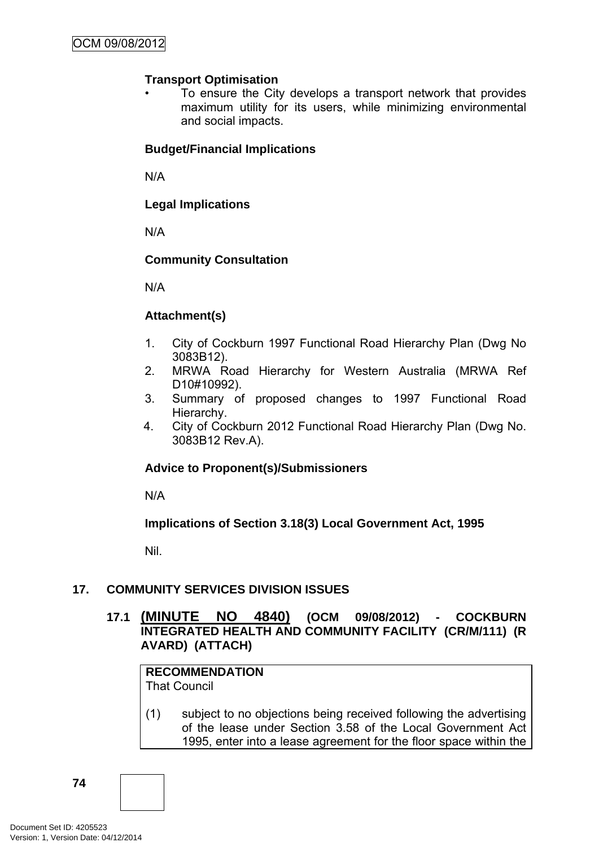## **Transport Optimisation**

To ensure the City develops a transport network that provides maximum utility for its users, while minimizing environmental and social impacts.

#### **Budget/Financial Implications**

N/A

**Legal Implications** 

N/A

## **Community Consultation**

N/A

## **Attachment(s)**

- 1. City of Cockburn 1997 Functional Road Hierarchy Plan (Dwg No 3083B12).
- 2. MRWA Road Hierarchy for Western Australia (MRWA Ref D10#10992).
- 3. Summary of proposed changes to 1997 Functional Road Hierarchy.
- 4. City of Cockburn 2012 Functional Road Hierarchy Plan (Dwg No. 3083B12 Rev.A).

## **Advice to Proponent(s)/Submissioners**

N/A

## **Implications of Section 3.18(3) Local Government Act, 1995**

Nil.

## **17. COMMUNITY SERVICES DIVISION ISSUES**

## **17.1 (MINUTE NO 4840) (OCM 09/08/2012) - COCKBURN INTEGRATED HEALTH AND COMMUNITY FACILITY (CR/M/111) (R AVARD) (ATTACH)**

**RECOMMENDATION** That Council

(1) subject to no objections being received following the advertising of the lease under Section 3.58 of the Local Government Act 1995, enter into a lease agreement for the floor space within the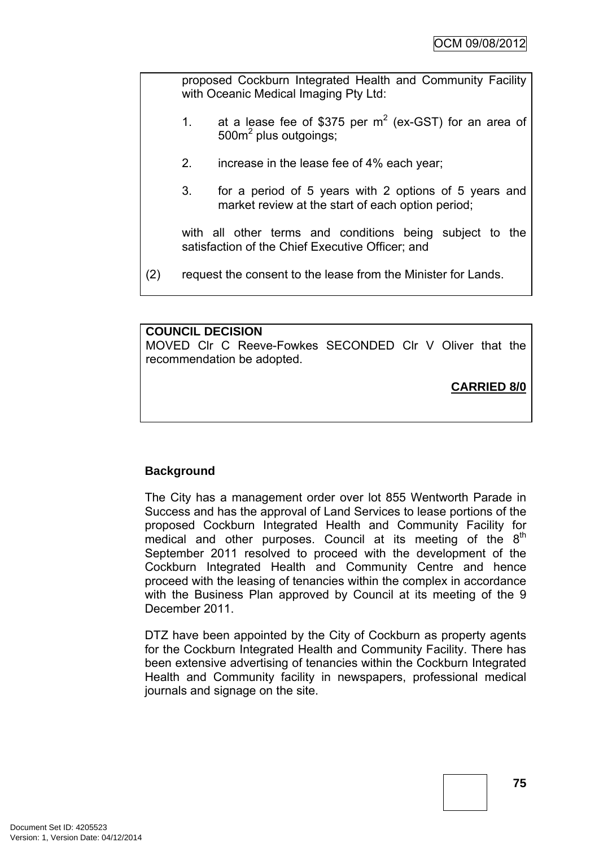proposed Cockburn Integrated Health and Community Facility with Oceanic Medical Imaging Pty Ltd:

- 1. at a lease fee of \$375 per  $m^2$  (ex-GST) for an area of 500m<sup>2</sup> plus outgoings;
- 2. increase in the lease fee of 4% each year;
- 3. for a period of 5 years with 2 options of 5 years and market review at the start of each option period;

with all other terms and conditions being subject to the satisfaction of the Chief Executive Officer; and

(2) request the consent to the lease from the Minister for Lands.

#### **COUNCIL DECISION**

MOVED Clr C Reeve-Fowkes SECONDED Clr V Oliver that the recommendation be adopted.

**CARRIED 8/0**

## **Background**

The City has a management order over lot 855 Wentworth Parade in Success and has the approval of Land Services to lease portions of the proposed Cockburn Integrated Health and Community Facility for medical and other purposes. Council at its meeting of the  $8<sup>th</sup>$ September 2011 resolved to proceed with the development of the Cockburn Integrated Health and Community Centre and hence proceed with the leasing of tenancies within the complex in accordance with the Business Plan approved by Council at its meeting of the 9 December 2011.

DTZ have been appointed by the City of Cockburn as property agents for the Cockburn Integrated Health and Community Facility. There has been extensive advertising of tenancies within the Cockburn Integrated Health and Community facility in newspapers, professional medical journals and signage on the site.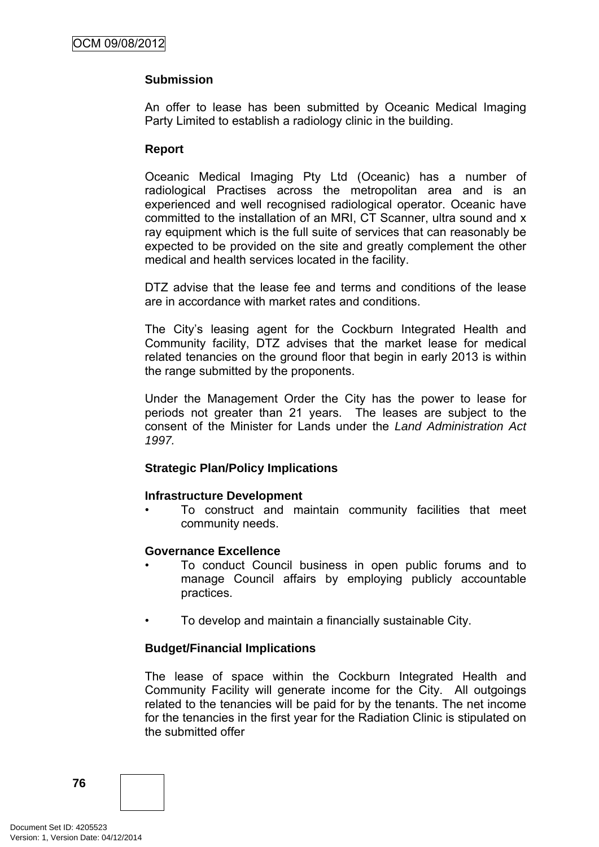## **Submission**

An offer to lease has been submitted by Oceanic Medical Imaging Party Limited to establish a radiology clinic in the building.

#### **Report**

Oceanic Medical Imaging Pty Ltd (Oceanic) has a number of radiological Practises across the metropolitan area and is an experienced and well recognised radiological operator. Oceanic have committed to the installation of an MRI, CT Scanner, ultra sound and x ray equipment which is the full suite of services that can reasonably be expected to be provided on the site and greatly complement the other medical and health services located in the facility.

DTZ advise that the lease fee and terms and conditions of the lease are in accordance with market rates and conditions.

The City's leasing agent for the Cockburn Integrated Health and Community facility, DTZ advises that the market lease for medical related tenancies on the ground floor that begin in early 2013 is within the range submitted by the proponents.

Under the Management Order the City has the power to lease for periods not greater than 21 years. The leases are subject to the consent of the Minister for Lands under the *Land Administration Act 1997.*

#### **Strategic Plan/Policy Implications**

#### **Infrastructure Development**

• To construct and maintain community facilities that meet community needs.

#### **Governance Excellence**

- To conduct Council business in open public forums and to manage Council affairs by employing publicly accountable practices.
- To develop and maintain a financially sustainable City.

## **Budget/Financial Implications**

The lease of space within the Cockburn Integrated Health and Community Facility will generate income for the City. All outgoings related to the tenancies will be paid for by the tenants. The net income for the tenancies in the first year for the Radiation Clinic is stipulated on the submitted offer

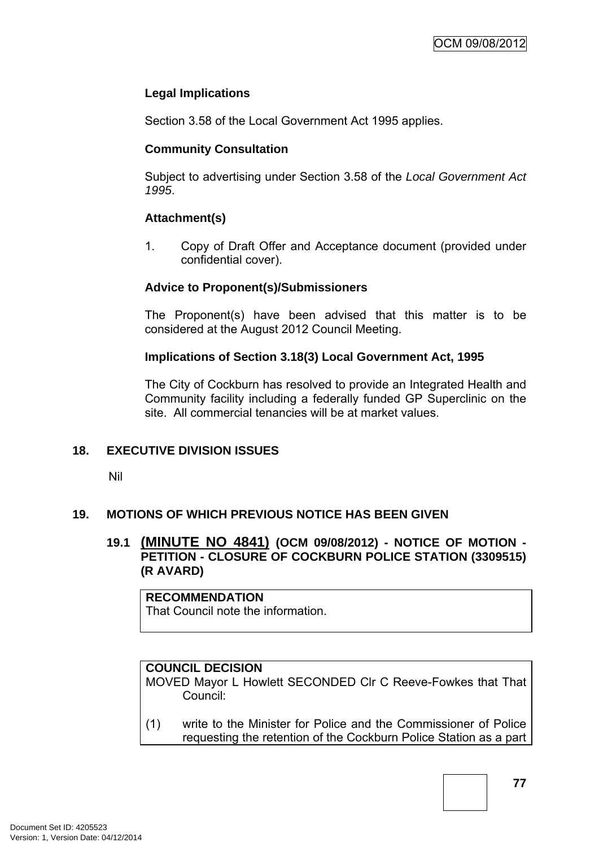## **Legal Implications**

Section 3.58 of the Local Government Act 1995 applies.

## **Community Consultation**

Subject to advertising under Section 3.58 of the *Local Government Act 1995*.

## **Attachment(s)**

1. Copy of Draft Offer and Acceptance document (provided under confidential cover).

## **Advice to Proponent(s)/Submissioners**

The Proponent(s) have been advised that this matter is to be considered at the August 2012 Council Meeting.

## **Implications of Section 3.18(3) Local Government Act, 1995**

The City of Cockburn has resolved to provide an Integrated Health and Community facility including a federally funded GP Superclinic on the site. All commercial tenancies will be at market values.

## **18. EXECUTIVE DIVISION ISSUES**

Nil

## **19. MOTIONS OF WHICH PREVIOUS NOTICE HAS BEEN GIVEN**

## **19.1 (MINUTE NO 4841) (OCM 09/08/2012) - NOTICE OF MOTION - PETITION - CLOSURE OF COCKBURN POLICE STATION (3309515) (R AVARD)**

**RECOMMENDATION** That Council note the information.

## **COUNCIL DECISION**

MOVED Mayor L Howlett SECONDED Clr C Reeve-Fowkes that That Council:

(1) write to the Minister for Police and the Commissioner of Police requesting the retention of the Cockburn Police Station as a part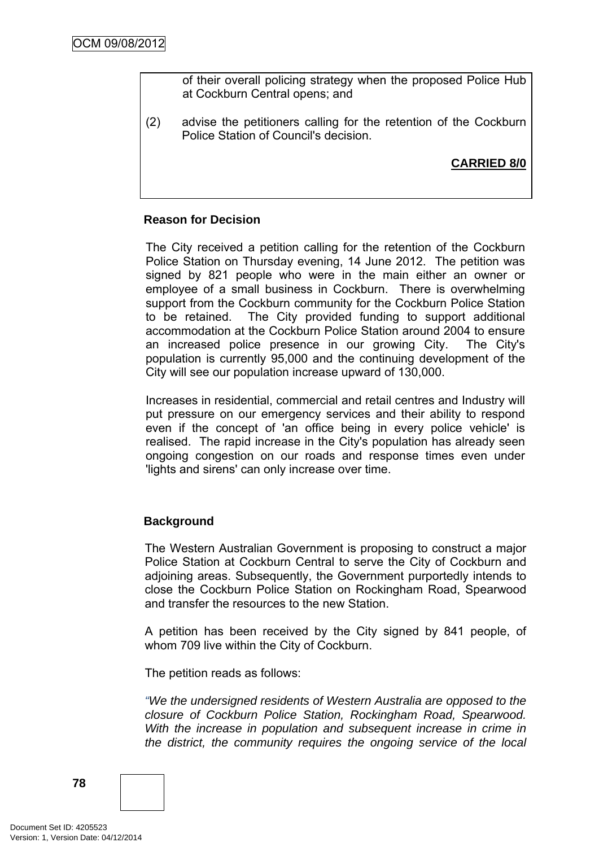of their overall policing strategy when the proposed Police Hub at Cockburn Central opens; and

(2) advise the petitioners calling for the retention of the Cockburn Police Station of Council's decision.

**CARRIED 8/0**

#### **Reason for Decision**

The City received a petition calling for the retention of the Cockburn Police Station on Thursday evening, 14 June 2012. The petition was signed by 821 people who were in the main either an owner or employee of a small business in Cockburn. There is overwhelming support from the Cockburn community for the Cockburn Police Station to be retained. The City provided funding to support additional accommodation at the Cockburn Police Station around 2004 to ensure an increased police presence in our growing City. The City's population is currently 95,000 and the continuing development of the City will see our population increase upward of 130,000.

Increases in residential, commercial and retail centres and Industry will put pressure on our emergency services and their ability to respond even if the concept of 'an office being in every police vehicle' is realised. The rapid increase in the City's population has already seen ongoing congestion on our roads and response times even under 'lights and sirens' can only increase over time.

#### **Background**

The Western Australian Government is proposing to construct a major Police Station at Cockburn Central to serve the City of Cockburn and adjoining areas. Subsequently, the Government purportedly intends to close the Cockburn Police Station on Rockingham Road, Spearwood and transfer the resources to the new Station.

A petition has been received by the City signed by 841 people, of whom 709 live within the City of Cockburn.

The petition reads as follows:

*"We the undersigned residents of Western Australia are opposed to the closure of Cockburn Police Station, Rockingham Road, Spearwood. With the increase in population and subsequent increase in crime in the district, the community requires the ongoing service of the local* 

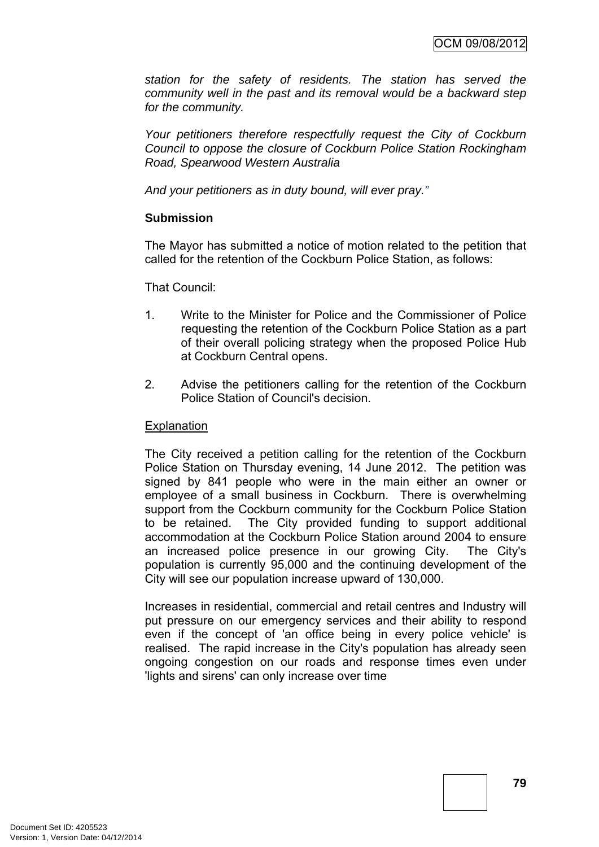*station for the safety of residents. The station has served the community well in the past and its removal would be a backward step for the community.* 

*Your petitioners therefore respectfully request the City of Cockburn Council to oppose the closure of Cockburn Police Station Rockingham Road, Spearwood Western Australia* 

*And your petitioners as in duty bound, will ever pray."*

#### **Submission**

The Mayor has submitted a notice of motion related to the petition that called for the retention of the Cockburn Police Station, as follows:

That Council:

- 1. Write to the Minister for Police and the Commissioner of Police requesting the retention of the Cockburn Police Station as a part of their overall policing strategy when the proposed Police Hub at Cockburn Central opens.
- 2. Advise the petitioners calling for the retention of the Cockburn Police Station of Council's decision.

#### **Explanation**

The City received a petition calling for the retention of the Cockburn Police Station on Thursday evening, 14 June 2012. The petition was signed by 841 people who were in the main either an owner or employee of a small business in Cockburn. There is overwhelming support from the Cockburn community for the Cockburn Police Station to be retained. The City provided funding to support additional accommodation at the Cockburn Police Station around 2004 to ensure an increased police presence in our growing City. The City's population is currently 95,000 and the continuing development of the City will see our population increase upward of 130,000.

Increases in residential, commercial and retail centres and Industry will put pressure on our emergency services and their ability to respond even if the concept of 'an office being in every police vehicle' is realised. The rapid increase in the City's population has already seen ongoing congestion on our roads and response times even under 'lights and sirens' can only increase over time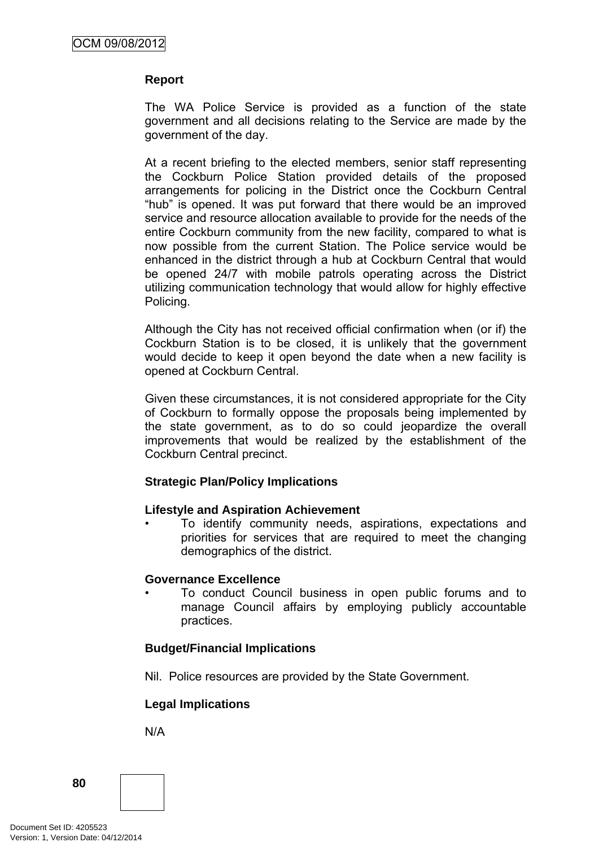### **Report**

The WA Police Service is provided as a function of the state government and all decisions relating to the Service are made by the government of the day.

At a recent briefing to the elected members, senior staff representing the Cockburn Police Station provided details of the proposed arrangements for policing in the District once the Cockburn Central "hub" is opened. It was put forward that there would be an improved service and resource allocation available to provide for the needs of the entire Cockburn community from the new facility, compared to what is now possible from the current Station. The Police service would be enhanced in the district through a hub at Cockburn Central that would be opened 24/7 with mobile patrols operating across the District utilizing communication technology that would allow for highly effective Policing.

Although the City has not received official confirmation when (or if) the Cockburn Station is to be closed, it is unlikely that the government would decide to keep it open beyond the date when a new facility is opened at Cockburn Central.

Given these circumstances, it is not considered appropriate for the City of Cockburn to formally oppose the proposals being implemented by the state government, as to do so could jeopardize the overall improvements that would be realized by the establishment of the Cockburn Central precinct.

#### **Strategic Plan/Policy Implications**

#### **Lifestyle and Aspiration Achievement**

• To identify community needs, aspirations, expectations and priorities for services that are required to meet the changing demographics of the district.

#### **Governance Excellence**

• To conduct Council business in open public forums and to manage Council affairs by employing publicly accountable practices.

## **Budget/Financial Implications**

Nil. Police resources are provided by the State Government.

#### **Legal Implications**

N/A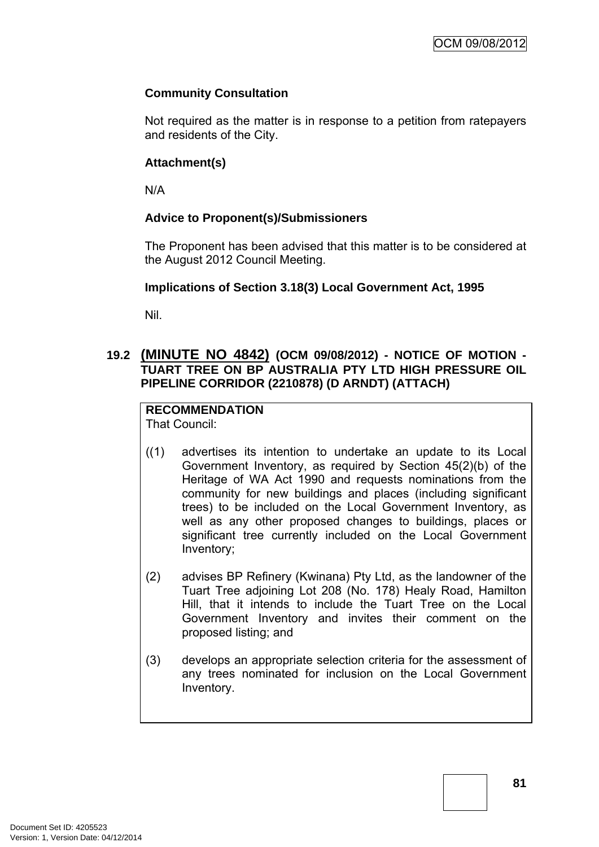## **Community Consultation**

Not required as the matter is in response to a petition from ratepayers and residents of the City.

## **Attachment(s)**

N/A

## **Advice to Proponent(s)/Submissioners**

The Proponent has been advised that this matter is to be considered at the August 2012 Council Meeting.

#### **Implications of Section 3.18(3) Local Government Act, 1995**

Nil.

## **19.2 (MINUTE NO 4842) (OCM 09/08/2012) - NOTICE OF MOTION - TUART TREE ON BP AUSTRALIA PTY LTD HIGH PRESSURE OIL PIPELINE CORRIDOR (2210878) (D ARNDT) (ATTACH)**

# **RECOMMENDATION**

That Council:

- ((1) advertises its intention to undertake an update to its Local Government Inventory, as required by Section 45(2)(b) of the Heritage of WA Act 1990 and requests nominations from the community for new buildings and places (including significant trees) to be included on the Local Government Inventory, as well as any other proposed changes to buildings, places or significant tree currently included on the Local Government Inventory;
- (2) advises BP Refinery (Kwinana) Pty Ltd, as the landowner of the Tuart Tree adjoining Lot 208 (No. 178) Healy Road, Hamilton Hill, that it intends to include the Tuart Tree on the Local Government Inventory and invites their comment on the proposed listing; and
- (3) develops an appropriate selection criteria for the assessment of any trees nominated for inclusion on the Local Government Inventory.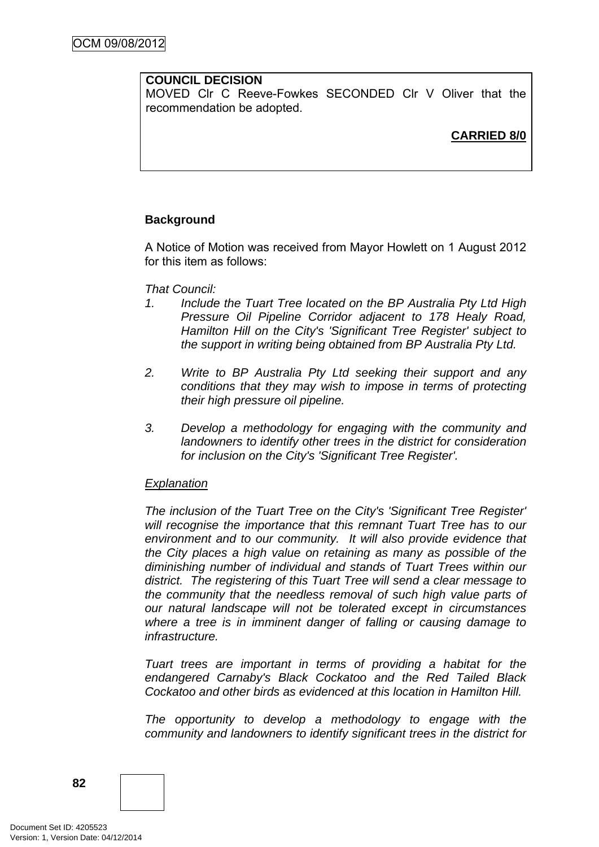## **COUNCIL DECISION**

MOVED Clr C Reeve-Fowkes SECONDED Clr V Oliver that the recommendation be adopted.

**CARRIED 8/0**

## **Background**

A Notice of Motion was received from Mayor Howlett on 1 August 2012 for this item as follows:

*That Council:* 

- *1. Include the Tuart Tree located on the BP Australia Pty Ltd High Pressure Oil Pipeline Corridor adjacent to 178 Healy Road, Hamilton Hill on the City's 'Significant Tree Register' subject to the support in writing being obtained from BP Australia Pty Ltd.*
- *2. Write to BP Australia Pty Ltd seeking their support and any conditions that they may wish to impose in terms of protecting their high pressure oil pipeline.*
- *3. Develop a methodology for engaging with the community and landowners to identify other trees in the district for consideration for inclusion on the City's 'Significant Tree Register'.*

#### *Explanation*

*The inclusion of the Tuart Tree on the City's 'Significant Tree Register' will recognise the importance that this remnant Tuart Tree has to our environment and to our community. It will also provide evidence that the City places a high value on retaining as many as possible of the diminishing number of individual and stands of Tuart Trees within our district. The registering of this Tuart Tree will send a clear message to the community that the needless removal of such high value parts of our natural landscape will not be tolerated except in circumstances where a tree is in imminent danger of falling or causing damage to infrastructure.* 

*Tuart trees are important in terms of providing a habitat for the endangered Carnaby's Black Cockatoo and the Red Tailed Black Cockatoo and other birds as evidenced at this location in Hamilton Hill.* 

*The opportunity to develop a methodology to engage with the community and landowners to identify significant trees in the district for* 

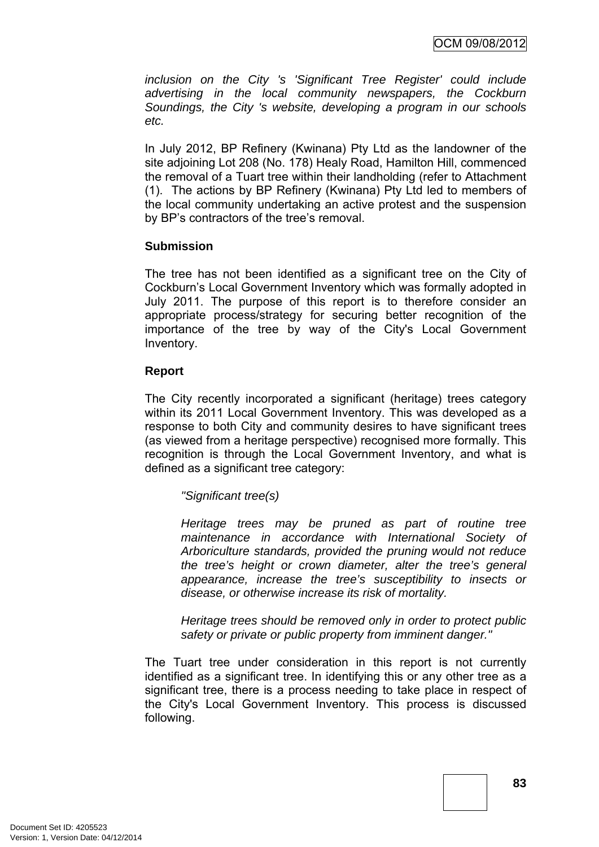*inclusion on the City 's 'Significant Tree Register' could include advertising in the local community newspapers, the Cockburn Soundings, the City 's website, developing a program in our schools etc.* 

In July 2012, BP Refinery (Kwinana) Pty Ltd as the landowner of the site adjoining Lot 208 (No. 178) Healy Road, Hamilton Hill, commenced the removal of a Tuart tree within their landholding (refer to Attachment (1). The actions by BP Refinery (Kwinana) Pty Ltd led to members of the local community undertaking an active protest and the suspension by BP's contractors of the tree's removal.

#### **Submission**

The tree has not been identified as a significant tree on the City of Cockburn's Local Government Inventory which was formally adopted in July 2011. The purpose of this report is to therefore consider an appropriate process/strategy for securing better recognition of the importance of the tree by way of the City's Local Government Inventory.

## **Report**

The City recently incorporated a significant (heritage) trees category within its 2011 Local Government Inventory. This was developed as a response to both City and community desires to have significant trees (as viewed from a heritage perspective) recognised more formally. This recognition is through the Local Government Inventory, and what is defined as a significant tree category:

## *"Significant tree(s)*

*Heritage trees may be pruned as part of routine tree maintenance in accordance with International Society of Arboriculture standards, provided the pruning would not reduce the tree's height or crown diameter, alter the tree's general appearance, increase the tree's susceptibility to insects or disease, or otherwise increase its risk of mortality.* 

*Heritage trees should be removed only in order to protect public safety or private or public property from imminent danger."* 

The Tuart tree under consideration in this report is not currently identified as a significant tree. In identifying this or any other tree as a significant tree, there is a process needing to take place in respect of the City's Local Government Inventory. This process is discussed following.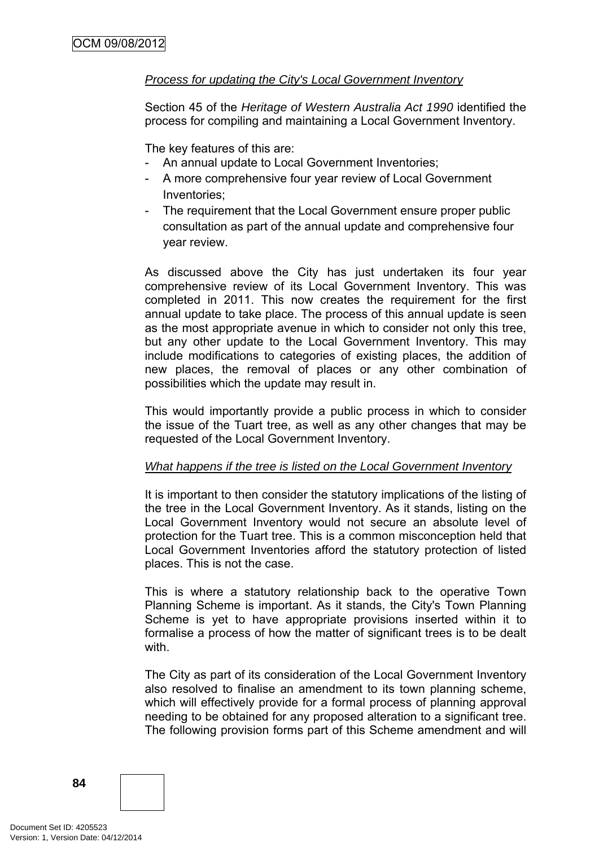## *Process for updating the City's Local Government Inventory*

Section 45 of the *Heritage of Western Australia Act 1990* identified the process for compiling and maintaining a Local Government Inventory.

The key features of this are:

- An annual update to Local Government Inventories;
- A more comprehensive four year review of Local Government Inventories;
- The requirement that the Local Government ensure proper public consultation as part of the annual update and comprehensive four year review.

As discussed above the City has just undertaken its four year comprehensive review of its Local Government Inventory. This was completed in 2011. This now creates the requirement for the first annual update to take place. The process of this annual update is seen as the most appropriate avenue in which to consider not only this tree, but any other update to the Local Government Inventory. This may include modifications to categories of existing places, the addition of new places, the removal of places or any other combination of possibilities which the update may result in.

This would importantly provide a public process in which to consider the issue of the Tuart tree, as well as any other changes that may be requested of the Local Government Inventory.

#### *What happens if the tree is listed on the Local Government Inventory*

It is important to then consider the statutory implications of the listing of the tree in the Local Government Inventory. As it stands, listing on the Local Government Inventory would not secure an absolute level of protection for the Tuart tree. This is a common misconception held that Local Government Inventories afford the statutory protection of listed places. This is not the case.

This is where a statutory relationship back to the operative Town Planning Scheme is important. As it stands, the City's Town Planning Scheme is yet to have appropriate provisions inserted within it to formalise a process of how the matter of significant trees is to be dealt with.

The City as part of its consideration of the Local Government Inventory also resolved to finalise an amendment to its town planning scheme, which will effectively provide for a formal process of planning approval needing to be obtained for any proposed alteration to a significant tree. The following provision forms part of this Scheme amendment and will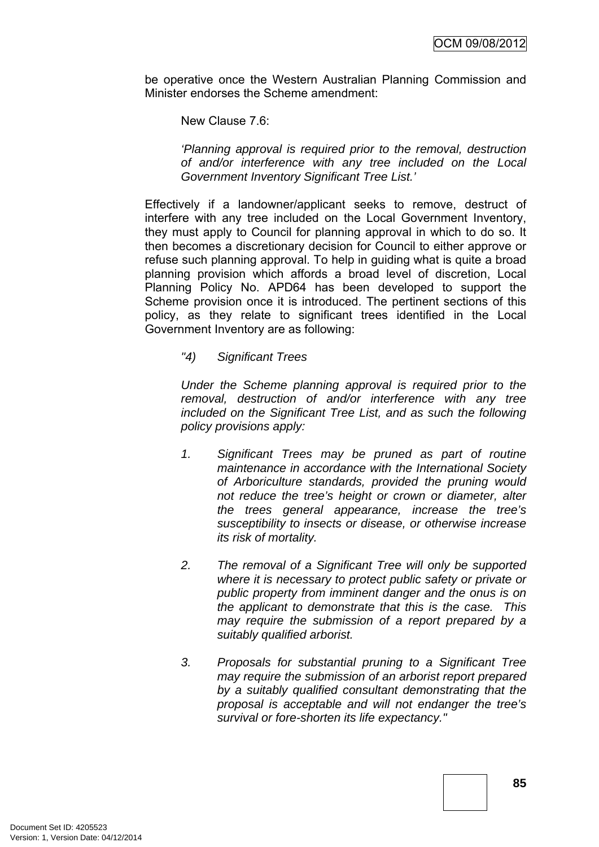be operative once the Western Australian Planning Commission and Minister endorses the Scheme amendment:

New Clause 7.6:

*'Planning approval is required prior to the removal, destruction of and/or interference with any tree included on the Local Government Inventory Significant Tree List.'* 

Effectively if a landowner/applicant seeks to remove, destruct of interfere with any tree included on the Local Government Inventory, they must apply to Council for planning approval in which to do so. It then becomes a discretionary decision for Council to either approve or refuse such planning approval. To help in guiding what is quite a broad planning provision which affords a broad level of discretion, Local Planning Policy No. APD64 has been developed to support the Scheme provision once it is introduced. The pertinent sections of this policy, as they relate to significant trees identified in the Local Government Inventory are as following:

*"4) Significant Trees* 

*Under the Scheme planning approval is required prior to the removal, destruction of and/or interference with any tree included on the Significant Tree List, and as such the following policy provisions apply:* 

- *1. Significant Trees may be pruned as part of routine maintenance in accordance with the International Society of Arboriculture standards, provided the pruning would not reduce the tree's height or crown or diameter, alter the trees general appearance, increase the tree's susceptibility to insects or disease, or otherwise increase its risk of mortality.*
- *2. The removal of a Significant Tree will only be supported where it is necessary to protect public safety or private or public property from imminent danger and the onus is on the applicant to demonstrate that this is the case. This may require the submission of a report prepared by a suitably qualified arborist.*
- *3. Proposals for substantial pruning to a Significant Tree may require the submission of an arborist report prepared by a suitably qualified consultant demonstrating that the proposal is acceptable and will not endanger the tree's survival or fore-shorten its life expectancy."*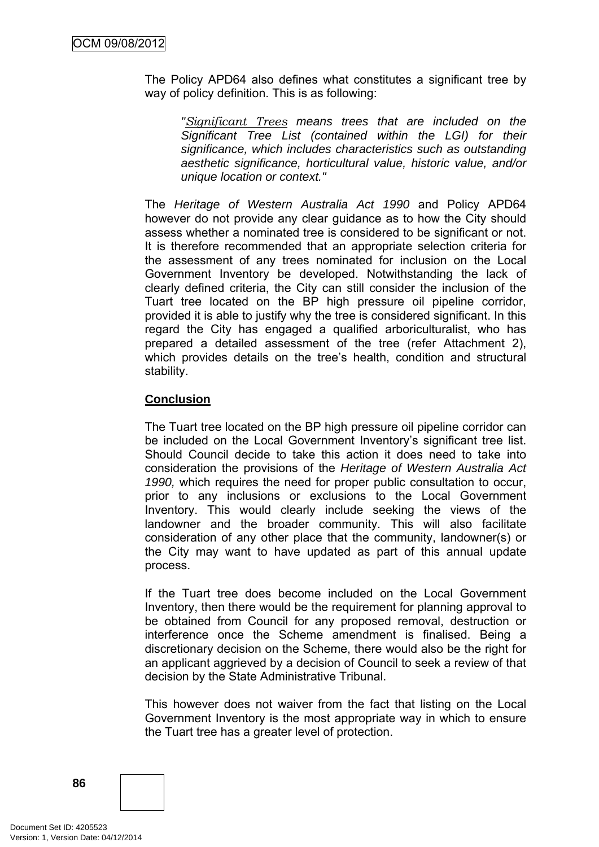The Policy APD64 also defines what constitutes a significant tree by way of policy definition. This is as following:

*"Significant Trees means trees that are included on the Significant Tree List (contained within the LGI) for their significance, which includes characteristics such as outstanding aesthetic significance, horticultural value, historic value, and/or unique location or context."* 

The *Heritage of Western Australia Act 1990* and Policy APD64 however do not provide any clear guidance as to how the City should assess whether a nominated tree is considered to be significant or not. It is therefore recommended that an appropriate selection criteria for the assessment of any trees nominated for inclusion on the Local Government Inventory be developed. Notwithstanding the lack of clearly defined criteria, the City can still consider the inclusion of the Tuart tree located on the BP high pressure oil pipeline corridor, provided it is able to justify why the tree is considered significant. In this regard the City has engaged a qualified arboriculturalist, who has prepared a detailed assessment of the tree (refer Attachment 2), which provides details on the tree's health, condition and structural stability.

## **Conclusion**

The Tuart tree located on the BP high pressure oil pipeline corridor can be included on the Local Government Inventory's significant tree list. Should Council decide to take this action it does need to take into consideration the provisions of the *Heritage of Western Australia Act 1990,* which requires the need for proper public consultation to occur, prior to any inclusions or exclusions to the Local Government Inventory. This would clearly include seeking the views of the landowner and the broader community. This will also facilitate consideration of any other place that the community, landowner(s) or the City may want to have updated as part of this annual update process.

If the Tuart tree does become included on the Local Government Inventory, then there would be the requirement for planning approval to be obtained from Council for any proposed removal, destruction or interference once the Scheme amendment is finalised. Being a discretionary decision on the Scheme, there would also be the right for an applicant aggrieved by a decision of Council to seek a review of that decision by the State Administrative Tribunal.

This however does not waiver from the fact that listing on the Local Government Inventory is the most appropriate way in which to ensure the Tuart tree has a greater level of protection.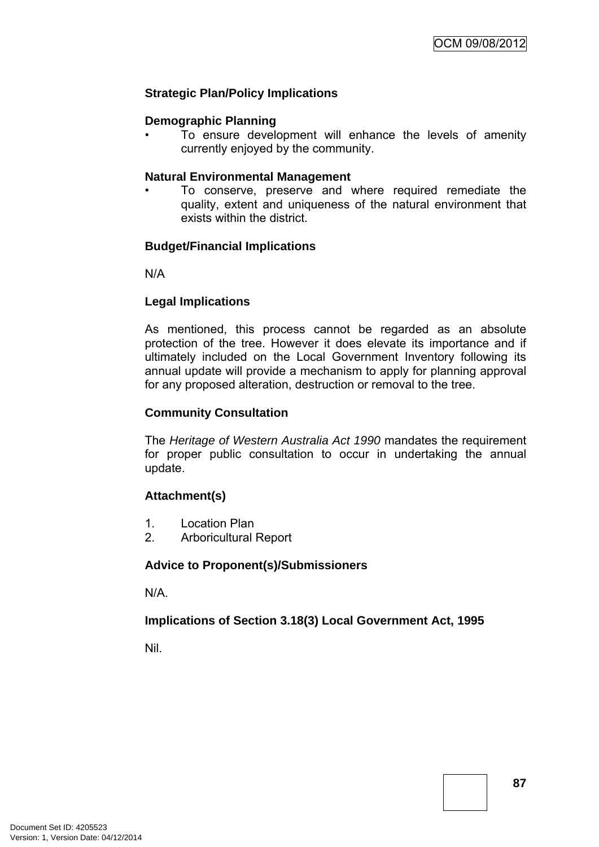## **Strategic Plan/Policy Implications**

## **Demographic Planning**

To ensure development will enhance the levels of amenity currently enjoyed by the community.

#### **Natural Environmental Management**

• To conserve, preserve and where required remediate the quality, extent and uniqueness of the natural environment that exists within the district.

#### **Budget/Financial Implications**

N/A

#### **Legal Implications**

As mentioned, this process cannot be regarded as an absolute protection of the tree. However it does elevate its importance and if ultimately included on the Local Government Inventory following its annual update will provide a mechanism to apply for planning approval for any proposed alteration, destruction or removal to the tree.

#### **Community Consultation**

The *Heritage of Western Australia Act 1990* mandates the requirement for proper public consultation to occur in undertaking the annual update.

#### **Attachment(s)**

- 1. Location Plan
- 2. Arboricultural Report

#### **Advice to Proponent(s)/Submissioners**

N/A.

#### **Implications of Section 3.18(3) Local Government Act, 1995**

Nil.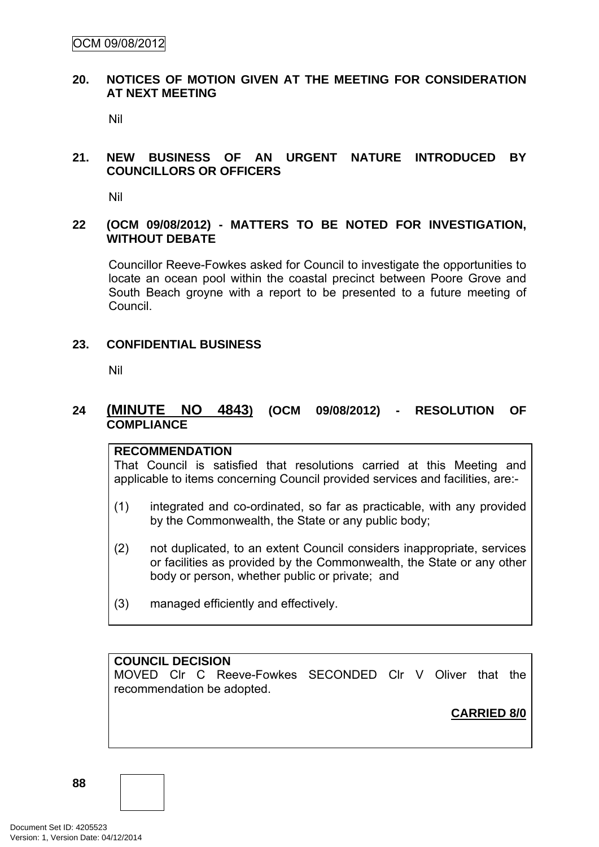#### **20. NOTICES OF MOTION GIVEN AT THE MEETING FOR CONSIDERATION AT NEXT MEETING**

Nil

## **21. NEW BUSINESS OF AN URGENT NATURE INTRODUCED BY COUNCILLORS OR OFFICERS**

Nil

## **22 (OCM 09/08/2012) - MATTERS TO BE NOTED FOR INVESTIGATION, WITHOUT DEBATE**

Councillor Reeve-Fowkes asked for Council to investigate the opportunities to locate an ocean pool within the coastal precinct between Poore Grove and South Beach groyne with a report to be presented to a future meeting of Council.

## **23. CONFIDENTIAL BUSINESS**

Nil

## **24 (MINUTE NO 4843) (OCM 09/08/2012) - RESOLUTION OF COMPLIANCE**

#### **RECOMMENDATION**

That Council is satisfied that resolutions carried at this Meeting and applicable to items concerning Council provided services and facilities, are:-

- (1) integrated and co-ordinated, so far as practicable, with any provided by the Commonwealth, the State or any public body;
- (2) not duplicated, to an extent Council considers inappropriate, services or facilities as provided by the Commonwealth, the State or any other body or person, whether public or private; and
- (3) managed efficiently and effectively.

# **COUNCIL DECISION**  MOVED Clr C Reeve-Fowkes SECONDED Clr V Oliver that the recommendation be adopted.

**CARRIED 8/0**